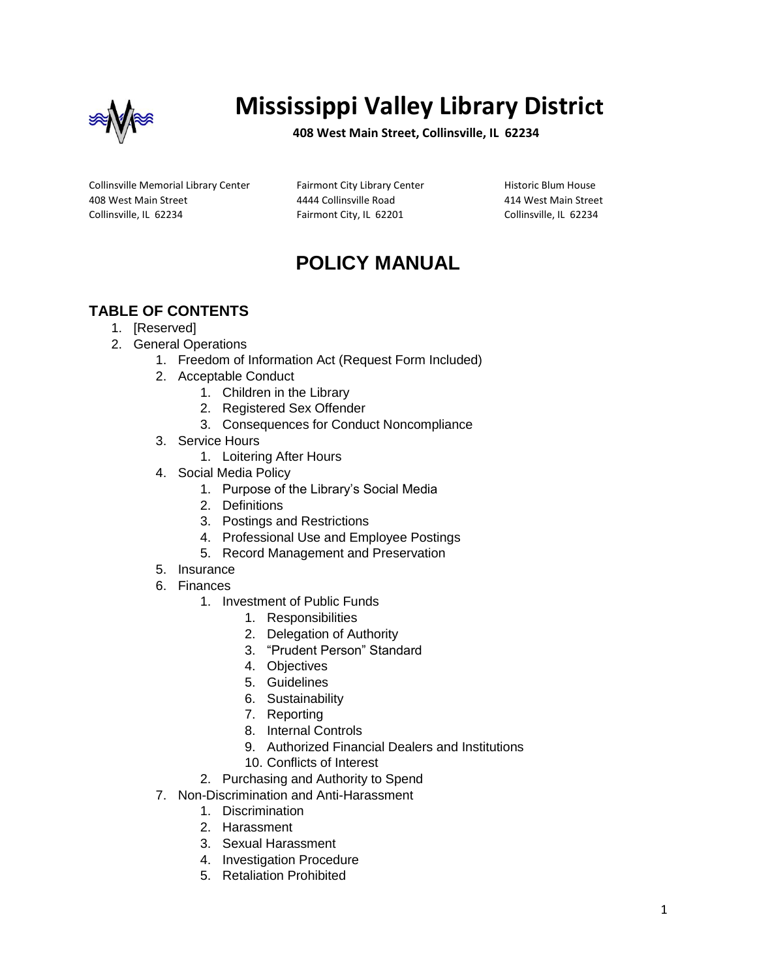

# **Mississippi Valley Library District**

**408 West Main Street, Collinsville, IL 62234**

Collinsville Memorial Library Center 408 West Main Street Collinsville, IL 62234

Fairmont City Library Center 4444 Collinsville Road Fairmont City, IL 62201

Historic Blum House 414 West Main Street Collinsville, IL 62234

## **POLICY MANUAL**

## **TABLE OF CONTENTS**

- 1. [Reserved]
- 2. General Operations
	- 1. Freedom of Information Act (Request Form Included)
	- 2. Acceptable Conduct
		- 1. Children in the Library
		- 2. Registered Sex Offender
		- 3. Consequences for Conduct Noncompliance
	- 3. Service Hours
		- 1. Loitering After Hours
	- 4. Social Media Policy
		- 1. Purpose of the Library's Social Media
		- 2. Definitions
		- 3. Postings and Restrictions
		- 4. Professional Use and Employee Postings
		- 5. Record Management and Preservation
	- 5. Insurance
	- 6. Finances
		- 1. Investment of Public Funds
			- 1. Responsibilities
			- 2. Delegation of Authority
			- 3. "Prudent Person" Standard
			- 4. Objectives
			- 5. Guidelines
			- 6. Sustainability
			- 7. Reporting
			- 8. Internal Controls
			- 9. Authorized Financial Dealers and Institutions
			- 10. Conflicts of Interest
		- 2. Purchasing and Authority to Spend
	- 7. Non-Discrimination and Anti-Harassment
		- 1. Discrimination
			- 2. Harassment
			- 3. Sexual Harassment
			- 4. Investigation Procedure
			- 5. Retaliation Prohibited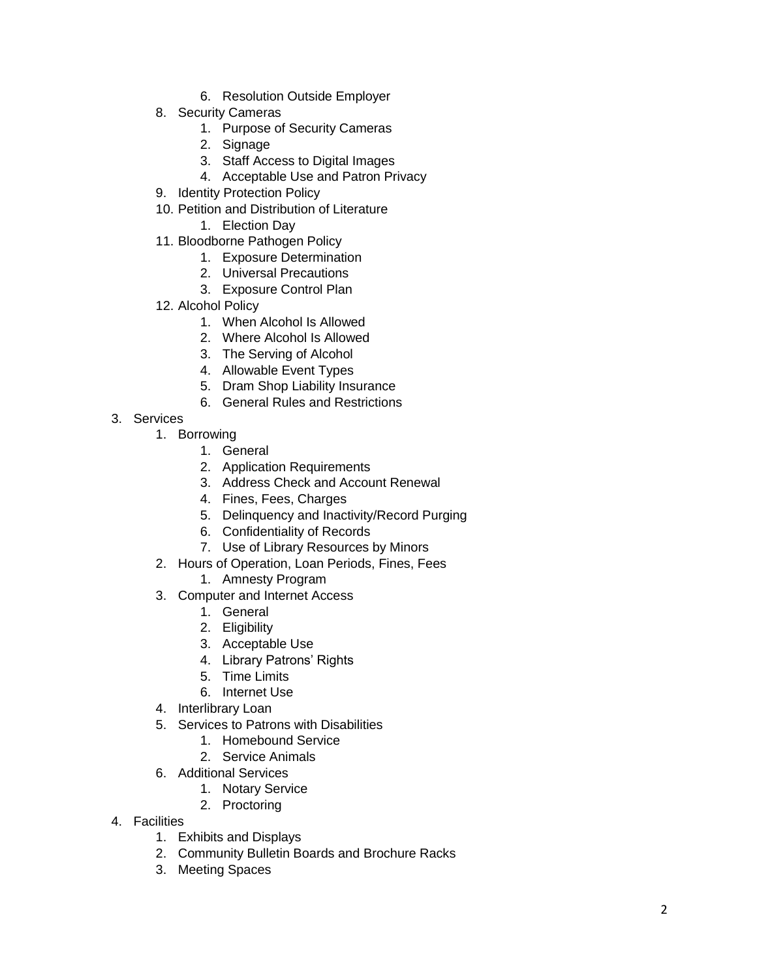- 6. Resolution Outside Employer
- 8. Security Cameras
	- 1. Purpose of Security Cameras
	- 2. Signage
	- 3. Staff Access to Digital Images
	- 4. Acceptable Use and Patron Privacy
- 9. Identity Protection Policy
- 10. Petition and Distribution of Literature
	- 1. Election Day
- 11. Blo odborne Pathogen Policy
	- 1. Exposure Determination
	- 2. Universal Precautions
	- 3. Exposure Control Plan
- 12. Alcohol Policy
	- 1. When Alcohol Is Allowed
	- 2. Where Alcohol Is Allowed
	- 3. The Serving of Alcohol
	- 4. Allowable Event Types
	- 5. Dram Shop Liability Insurance
	- 6. General Rules and Restrictions
- 3. Services
	- 1. Borrowing
		- 1. General
		- 2. Application Requirements
		- 3. Address Check and Account Renewal
		- 4. Fines, Fees, Charges
		- 5. Delinquency and Inactivity/Record Purging
		- 6. Confidentiality of Records
		- 7. Use of Library Resources by Minors
	- 2. Hours of Operation, Loan Periods, Fines, Fees
		- 1. Amnesty Program
	- 3. Computer and Internet Access
		- 1. General
		- 2. Eligibility
		- 3. Acceptable Use
		- 4. Library Patrons' Rights
		- 5. Time Limits
		- 6. Internet Use
	- 4. Interlibrary Loan
	- 5. Services to Patrons with Disabilities
		- 1. Homebound Service
		- 2. Service Animals
	- 6. Additional Services
		- 1. Notary Service
		- 2. Proctoring
- 4. Facilities
	- 1. Exhibits and Displays
	- 2. Community Bulletin Boards and Brochure Racks
	- 3. Meeting Spaces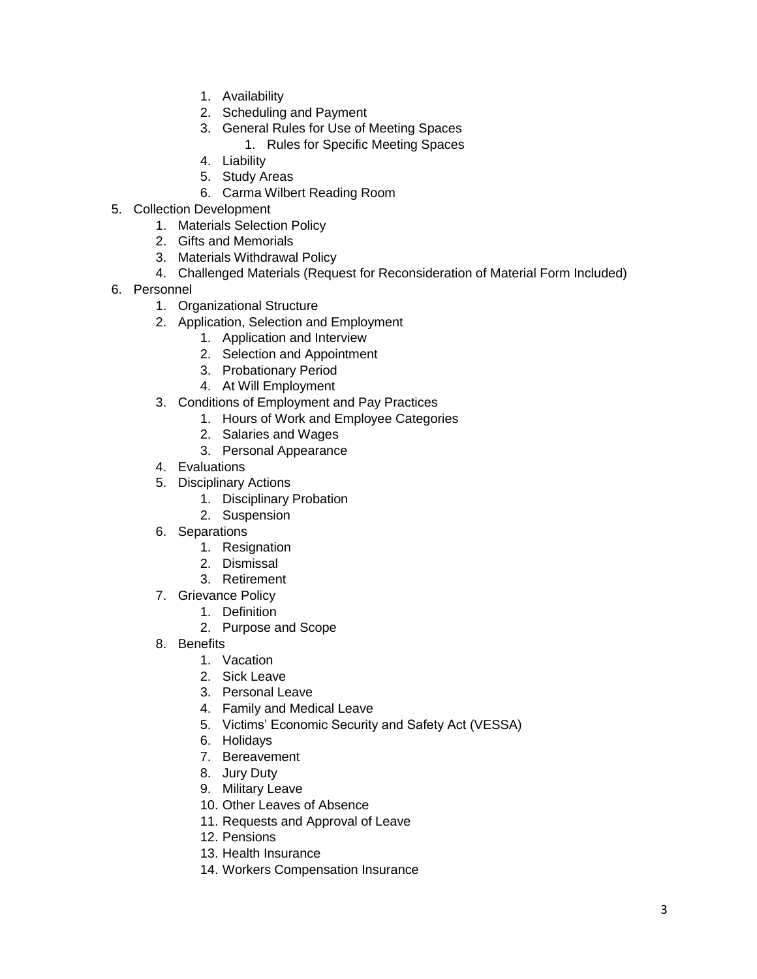- 1. Availability
- 2. Scheduling and Payment
- 3. General Rules for Use of Meeting Spaces
	- 1. Rules for Specific Meeting Spaces
- 4. Liability
- 5. Study Areas
- 6. Carma Wilbert Reading Room
- 5. Collection Development
	- 1. Materials Selection Policy
	- 2. Gifts and Memorials
	- 3. Materials Withdrawal Policy
	- 4. Challenged Materials (Request for Reconsideration of Material Form Included)
- 6. Personnel
	- 1. Organizational Structure
	- 2. Application, Selection and Employment
		- 1. Application and Interview
		- 2. Selection and Appointment
		- 3. Probationary Period
		- 4. At Will Employment
	- 3. Conditions of Employment and Pay Practices
		- 1. Hours of Work and Employee Categories
		- 2. Salaries and Wages
		- 3. Personal Appearance
	- 4. Evaluations
	- 5. Disciplinary Actions
		- 1. Disciplinary Probation
		- 2. Suspension
	- 6. Separations
		- 1. Resignation
		- 2. Dismissal
		- 3. Retirement
	- 7. Grievance Policy
		- 1. Definition
		- 2. Purpose and Scope
	- 8. Benefits
		- 1. Vacation
		- 2. Sick Leave
		- 3. Personal Leave
		- 4. Family and Medical Leave
		- 5. Victims' Economic Security and Safety Act (VESSA)
		- 6. Holidays
		- 7. Bereavement
		- 8. Jury Duty
		- 9. Military Leave
		- 10. Other Leaves of Absence
		- 11. Requests and Approval of Leave
		- 12. Pensions
		- 13. Health Insurance
		- 14. Workers Compensation Insurance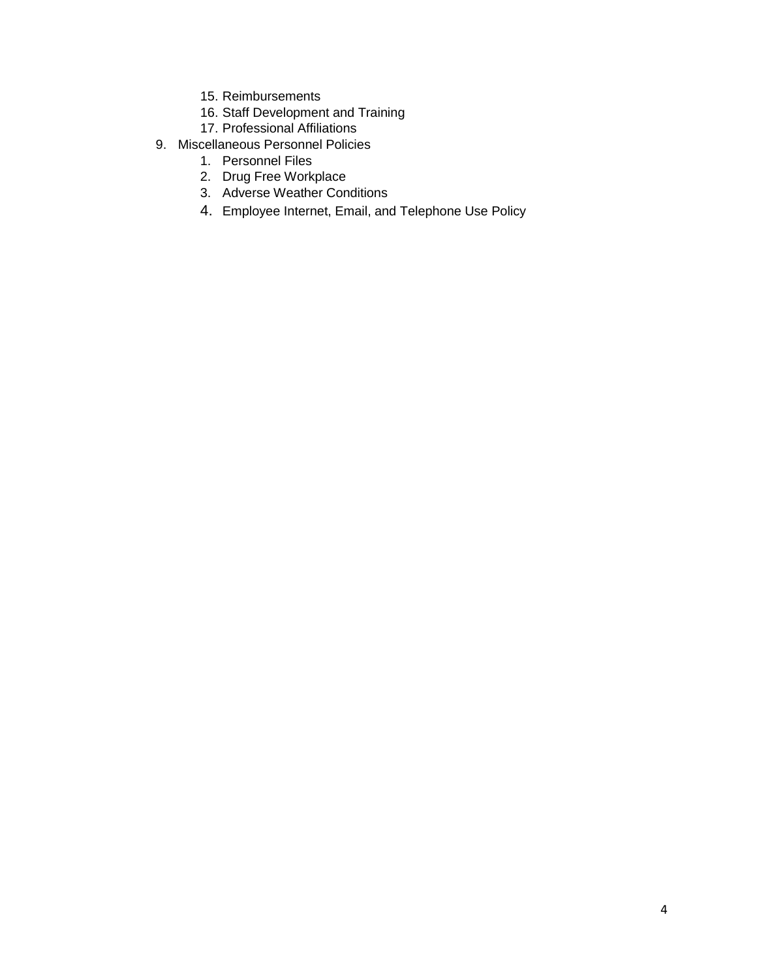- 15. Reimbursements
- 16. Staff Development and Training
- 17. Professional Affiliations
- 9. Miscellaneous Personnel Policies
	- 1. Personnel Files
	- 2. Drug Free Workplace
	- 3. Adverse Weather Conditions
	- 4. Employee Internet, Email, and Telephone Use Policy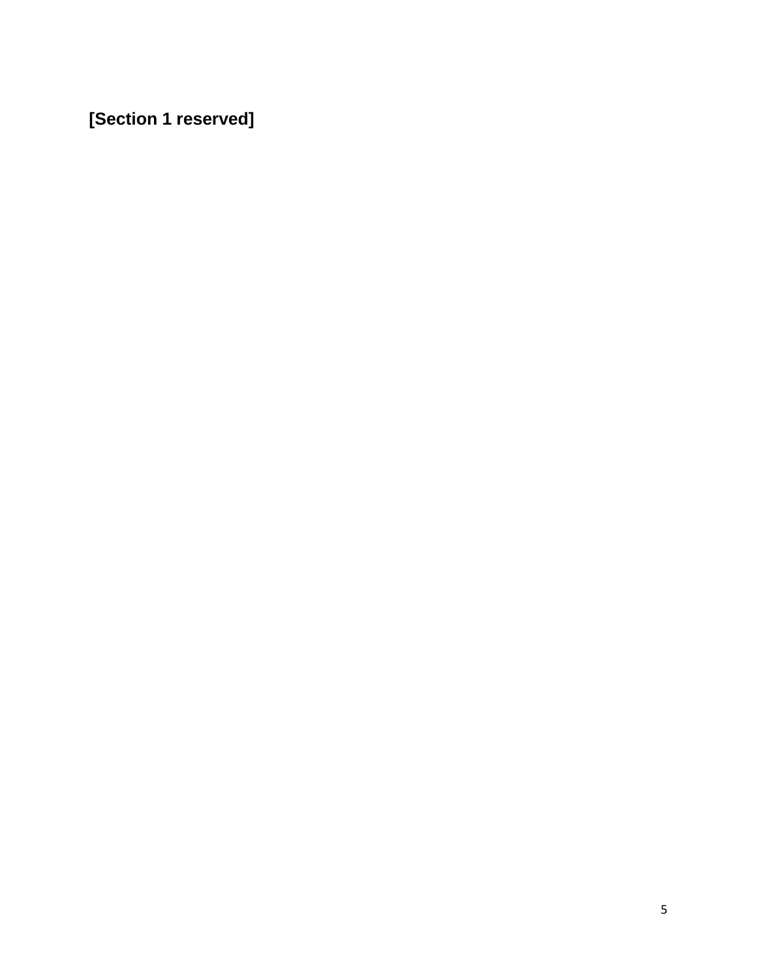**[Section 1 reserved]**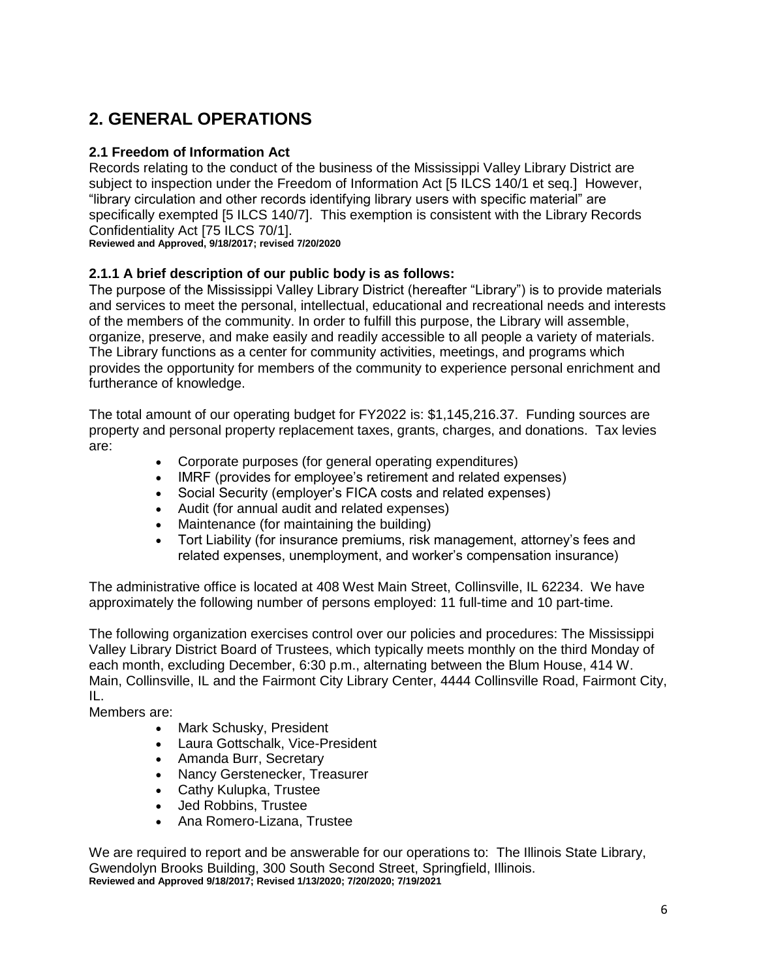## **2. GENERAL OPERATIONS**

## **2.1 Freedom of Information Act**

Records relating to the conduct of the business of the Mississippi Valley Library District are subject to inspection under the Freedom of Information Act [5 ILCS 140/1 et seq.] However, "library circulation and other records identifying library users with specific material" are specifically exempted [5 ILCS 140/7]. This exemption is consistent with the Library Records Confidentiality Act [75 ILCS 70/1].

**Reviewed and Approved, 9/18/2017; revised 7/20/2020**

## **2.1.1 A brief description of our public body is as follows:**

The purpose of the Mississippi Valley Library District (hereafter "Library") is to provide materials and services to meet the personal, intellectual, educational and recreational needs and interests of the members of the community. In order to fulfill this purpose, the Library will assemble, organize, preserve, and make easily and readily accessible to all people a variety of materials. The Library functions as a center for community activities, meetings, and programs which provides the opportunity for members of the community to experience personal enrichment and furtherance of knowledge.

The total amount of our operating budget for FY2022 is: \$1,145,216.37. Funding sources are property and personal property replacement taxes, grants, charges, and donations. Tax levies are:

- Corporate purposes (for general operating expenditures)
- IMRF (provides for employee's retirement and related expenses)
- Social Security (employer's FICA costs and related expenses)
- Audit (for annual audit and related expenses)
- Maintenance (for maintaining the building)
- Tort Liability (for insurance premiums, risk management, attorney's fees and related expenses, unemployment, and worker's compensation insurance)

The administrative office is located at 408 West Main Street, Collinsville, IL 62234. We have approximately the following number of persons employed: 11 full-time and 10 part-time.

The following organization exercises control over our policies and procedures: The Mississippi Valley Library District Board of Trustees, which typically meets monthly on the third Monday of each month, excluding December, 6:30 p.m., alternating between the Blum House, 414 W. Main, Collinsville, IL and the Fairmont City Library Center, 4444 Collinsville Road, Fairmont City, IL.

Members are:

- Mark Schusky, President
- Laura Gottschalk, Vice-President
- Amanda Burr, Secretary
- Nancy Gerstenecker, Treasurer
- Cathy Kulupka, Trustee
- Jed Robbins, Trustee
- Ana Romero-Lizana, Trustee

We are required to report and be answerable for our operations to: The Illinois State Library, Gwendolyn Brooks Building, 300 South Second Street, Springfield, Illinois. **Reviewed and Approved 9/18/2017; Revised 1/13/2020; 7/20/2020; 7/19/2021**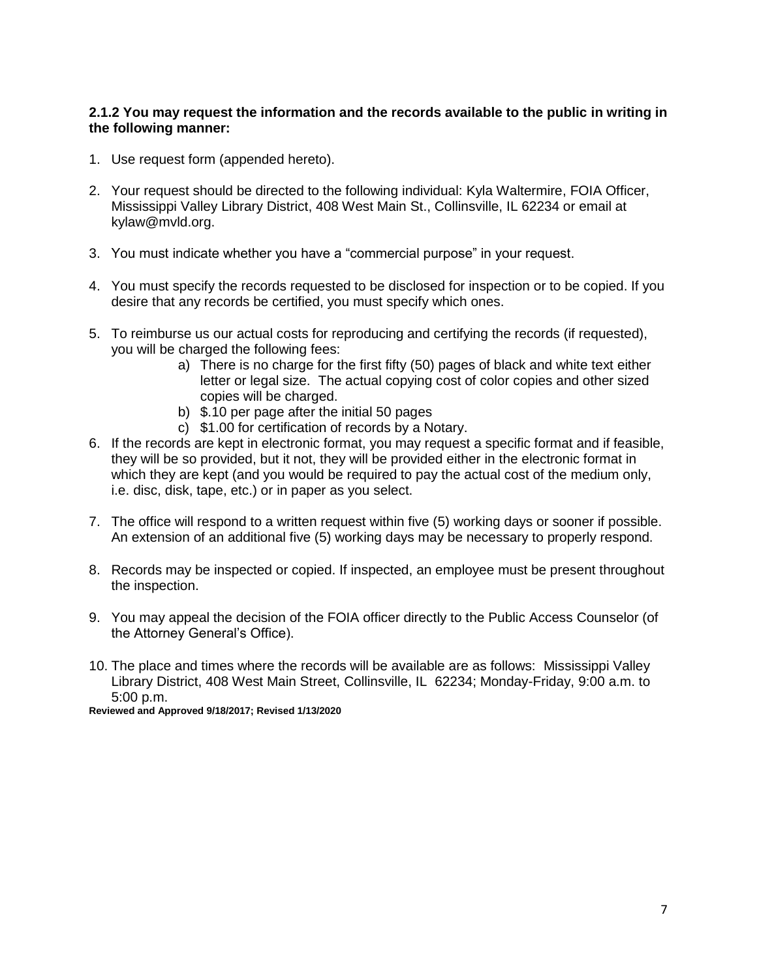#### **2.1.2 You may request the information and the records available to the public in writing in the following manner:**

- 1. Use request form (appended hereto).
- 2. Your request should be directed to the following individual: Kyla Waltermire, FOIA Officer, Mississippi Valley Library District, 408 West Main St., Collinsville, IL 62234 or email at kylaw@mvld.org.
- 3. You must indicate whether you have a "commercial purpose" in your request.
- 4. You must specify the records requested to be disclosed for inspection or to be copied. If you desire that any records be certified, you must specify which ones.
- 5. To reimburse us our actual costs for reproducing and certifying the records (if requested), you will be charged the following fees:
	- a) There is no charge for the first fifty (50) pages of black and white text either letter or legal size. The actual copying cost of color copies and other sized copies will be charged.
	- b) \$.10 per page after the initial 50 pages
	- c) \$1.00 for certification of records by a Notary.
- 6. If the records are kept in electronic format, you may request a specific format and if feasible, they will be so provided, but it not, they will be provided either in the electronic format in which they are kept (and you would be required to pay the actual cost of the medium only, i.e. disc, disk, tape, etc.) or in paper as you select.
- 7. The office will respond to a written request within five (5) working days or sooner if possible. An extension of an additional five (5) working days may be necessary to properly respond.
- 8. Records may be inspected or copied. If inspected, an employee must be present throughout the inspection.
- 9. You may appeal the decision of the FOIA officer directly to the Public Access Counselor (of the Attorney General's Office).
- 10. The place and times where the records will be available are as follows: Mississippi Valley Library District, 408 West Main Street, Collinsville, IL 62234; Monday-Friday, 9:00 a.m. to 5:00 p.m.

**Reviewed and Approved 9/18/2017; Revised 1/13/2020**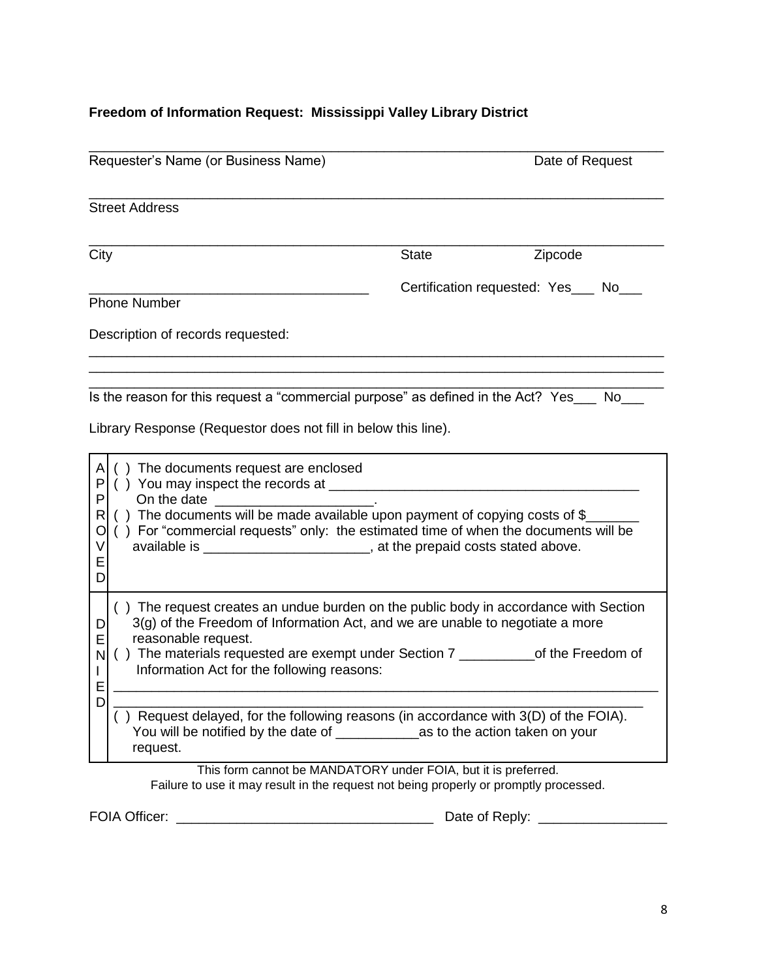## **Freedom of Information Request: Mississippi Valley Library District**

| Requester's Name (or Business Name)                                                                                                                                                                                                                                                                                                                                                                                                                     |              | Date of Request                       |  |
|---------------------------------------------------------------------------------------------------------------------------------------------------------------------------------------------------------------------------------------------------------------------------------------------------------------------------------------------------------------------------------------------------------------------------------------------------------|--------------|---------------------------------------|--|
| <b>Street Address</b>                                                                                                                                                                                                                                                                                                                                                                                                                                   |              |                                       |  |
| City                                                                                                                                                                                                                                                                                                                                                                                                                                                    | <b>State</b> | Zipcode                               |  |
| Phone Number                                                                                                                                                                                                                                                                                                                                                                                                                                            |              | Certification requested: Yes___ No___ |  |
| Description of records requested:                                                                                                                                                                                                                                                                                                                                                                                                                       |              |                                       |  |
| Is the reason for this request a "commercial purpose" as defined in the Act? Yes___ No___<br>Library Response (Requestor does not fill in below this line).                                                                                                                                                                                                                                                                                             |              |                                       |  |
| () The documents request are enclosed<br>A<br>P<br>P<br>On the date and the state of the state of the state of the state of the state of the state of the state of the<br>() The documents will be made available upon payment of copying costs of \$_<br>R<br>() For "commercial requests" only: the estimated time of when the documents will be<br>O<br>available is ____________________________, at the prepaid costs stated above.<br>ν<br>Ε<br>D |              |                                       |  |
| () The request creates an undue burden on the public body in accordance with Section<br>$3(g)$ of the Freedom of Information Act, and we are unable to negotiate a more<br>D<br>reasonable request.<br>Е<br>() The materials requested are exempt under Section 7 _____________of the Freedom of<br>N<br>Information Act for the following reasons:<br>Ε                                                                                                |              |                                       |  |
| D<br>) Request delayed, for the following reasons (in accordance with 3(D) of the FOIA).<br>request.                                                                                                                                                                                                                                                                                                                                                    |              |                                       |  |
| This form cannot be MANDATORY under FOIA, but it is preferred.<br>Failure to use it may result in the request not being properly or promptly processed.                                                                                                                                                                                                                                                                                                 |              |                                       |  |

FOIA Officer: \_\_\_\_\_\_\_\_\_\_\_\_\_\_\_\_\_\_\_\_\_\_\_\_\_\_\_\_\_\_\_\_\_\_ Date of Reply: \_\_\_\_\_\_\_\_\_\_\_\_\_\_\_\_\_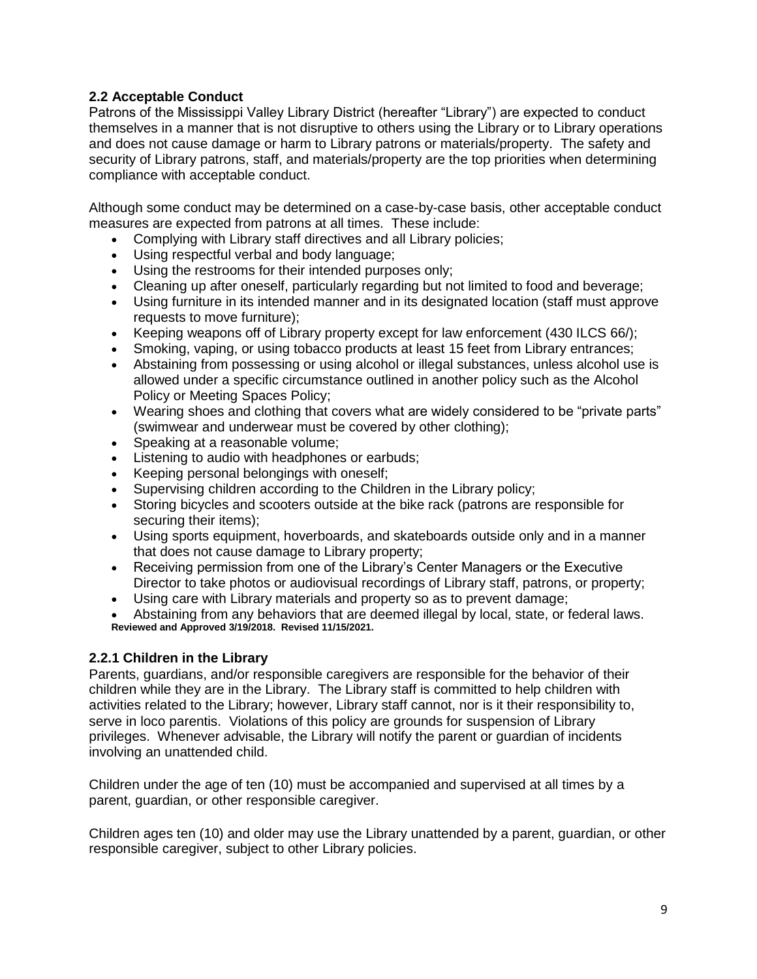## **2.2 Acceptable Conduct**

Patrons of the Mississippi Valley Library District (hereafter "Library") are expected to conduct themselves in a manner that is not disruptive to others using the Library or to Library operations and does not cause damage or harm to Library patrons or materials/property. The safety and security of Library patrons, staff, and materials/property are the top priorities when determining compliance with acceptable conduct.

Although some conduct may be determined on a case-by-case basis, other acceptable conduct measures are expected from patrons at all times. These include:

- Complying with Library staff directives and all Library policies;
- Using respectful verbal and body language;
- Using the restrooms for their intended purposes only;
- Cleaning up after oneself, particularly regarding but not limited to food and beverage;
- Using furniture in its intended manner and in its designated location (staff must approve requests to move furniture);
- Keeping weapons off of Library property except for law enforcement (430 ILCS 66/);
- Smoking, vaping, or using tobacco products at least 15 feet from Library entrances;
- Abstaining from possessing or using alcohol or illegal substances, unless alcohol use is allowed under a specific circumstance outlined in another policy such as the Alcohol Policy or Meeting Spaces Policy;
- Wearing shoes and clothing that covers what are widely considered to be "private parts" (swimwear and underwear must be covered by other clothing);
- Speaking at a reasonable volume;
- **EXECTE:** Listening to audio with headphones or earbuds;
- Keeping personal belongings with oneself;
- Supervising children according to the Children in the Library policy;
- Storing bicycles and scooters outside at the bike rack (patrons are responsible for securing their items);
- Using sports equipment, hoverboards, and skateboards outside only and in a manner that does not cause damage to Library property;
- Receiving permission from one of the Library's Center Managers or the Executive Director to take photos or audiovisual recordings of Library staff, patrons, or property;
- Using care with Library materials and property so as to prevent damage;
- Abstaining from any behaviors that are deemed illegal by local, state, or federal laws. **Reviewed and Approved 3/19/2018. Revised 11/15/2021.**

#### **2.2.1 Children in the Library**

Parents, guardians, and/or responsible caregivers are responsible for the behavior of their children while they are in the Library. The Library staff is committed to help children with activities related to the Library; however, Library staff cannot, nor is it their responsibility to, serve in loco parentis. Violations of this policy are grounds for suspension of Library privileges. Whenever advisable, the Library will notify the parent or guardian of incidents involving an unattended child.

Children under the age of ten (10) must be accompanied and supervised at all times by a parent, guardian, or other responsible caregiver.

Children ages ten (10) and older may use the Library unattended by a parent, guardian, or other responsible caregiver, subject to other Library policies.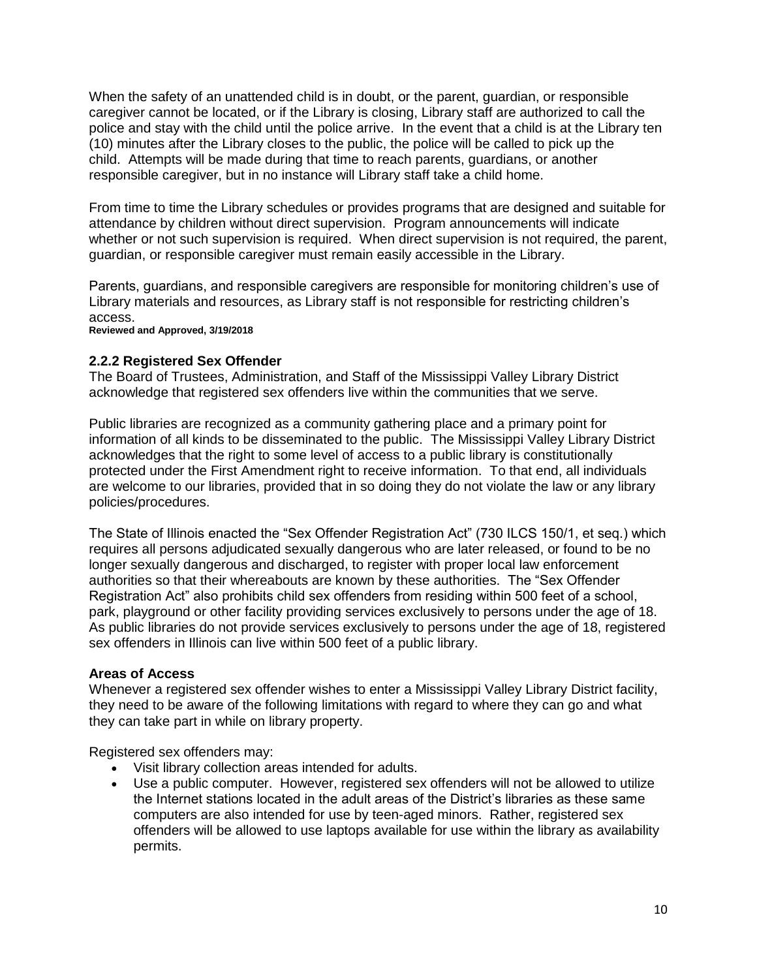When the safety of an unattended child is in doubt, or the parent, guardian, or responsible caregiver cannot be located, or if the Library is closing, Library staff are authorized to call the police and stay with the child until the police arrive. In the event that a child is at the Library ten (10) minutes after the Library closes to the public, the police will be called to pick up the child. Attempts will be made during that time to reach parents, guardians, or another responsible caregiver, but in no instance will Library staff take a child home.

From time to time the Library schedules or provides programs that are designed and suitable for attendance by children without direct supervision. Program announcements will indicate whether or not such supervision is required. When direct supervision is not required, the parent, guardian, or responsible caregiver must remain easily accessible in the Library.

Parents, guardians, and responsible caregivers are responsible for monitoring children's use of Library materials and resources, as Library staff is not responsible for restricting children's access.

**Reviewed and Approved, 3/19/2018**

#### **2.2.2 Registered Sex Offender**

The Board of Trustees, Administration, and Staff of the Mississippi Valley Library District acknowledge that registered sex offenders live within the communities that we serve.

Public libraries are recognized as a community gathering place and a primary point for information of all kinds to be disseminated to the public. The Mississippi Valley Library District acknowledges that the right to some level of access to a public library is constitutionally protected under the First Amendment right to receive information. To that end, all individuals are welcome to our libraries, provided that in so doing they do not violate the law or any library policies/procedures.

The State of Illinois enacted the "Sex Offender Registration Act" (730 ILCS 150/1, et seq.) which requires all persons adjudicated sexually dangerous who are later released, or found to be no longer sexually dangerous and discharged, to register with proper local law enforcement authorities so that their whereabouts are known by these authorities. The "Sex Offender Registration Act" also prohibits child sex offenders from residing within 500 feet of a school, park, playground or other facility providing services exclusively to persons under the age of 18. As public libraries do not provide services exclusively to persons under the age of 18, registered sex offenders in Illinois can live within 500 feet of a public library.

#### **Areas of Access**

Whenever a registered sex offender wishes to enter a Mississippi Valley Library District facility, they need to be aware of the following limitations with regard to where they can go and what they can take part in while on library property.

Registered sex offenders may:

- Visit library collection areas intended for adults.
- Use a public computer. However, registered sex offenders will not be allowed to utilize the Internet stations located in the adult areas of the District's libraries as these same computers are also intended for use by teen-aged minors. Rather, registered sex offenders will be allowed to use laptops available for use within the library as availability permits.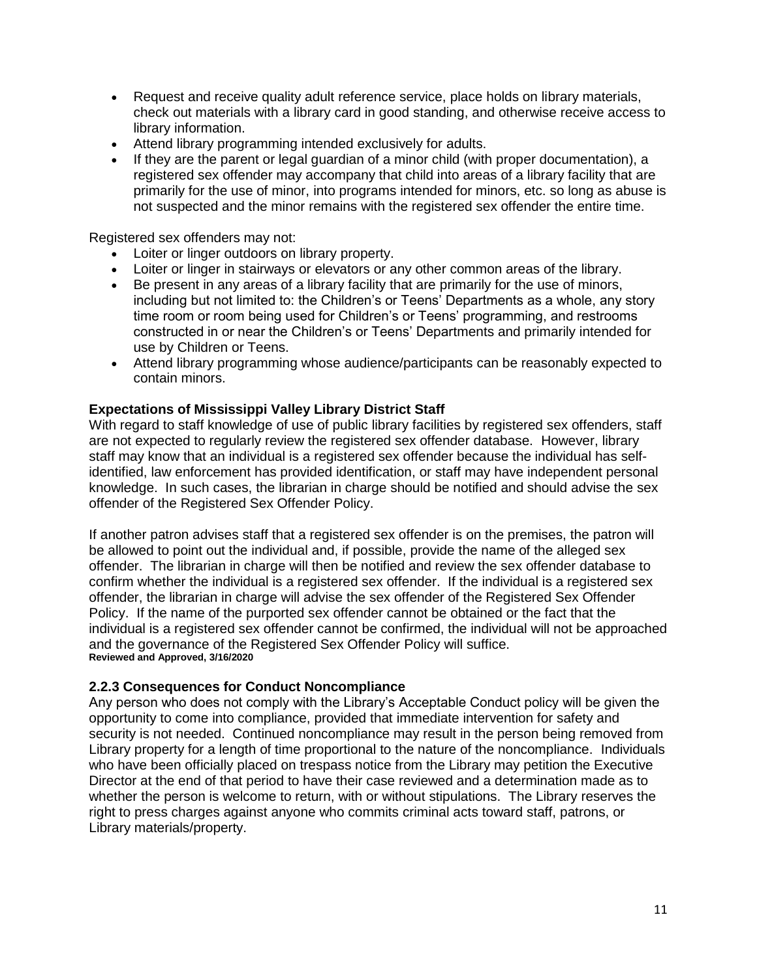- Request and receive quality adult reference service, place holds on library materials, check out materials with a library card in good standing, and otherwise receive access to library information.
- Attend library programming intended exclusively for adults.
- If they are the parent or legal guardian of a minor child (with proper documentation), a registered sex offender may accompany that child into areas of a library facility that are primarily for the use of minor, into programs intended for minors, etc. so long as abuse is not suspected and the minor remains with the registered sex offender the entire time.

Registered sex offenders may not:

- Loiter or linger outdoors on library property.
- Loiter or linger in stairways or elevators or any other common areas of the library.
- Be present in any areas of a library facility that are primarily for the use of minors, including but not limited to: the Children's or Teens' Departments as a whole, any story time room or room being used for Children's or Teens' programming, and restrooms constructed in or near the Children's or Teens' Departments and primarily intended for use by Children or Teens.
- Attend library programming whose audience/participants can be reasonably expected to contain minors.

#### **Expectations of Mississippi Valley Library District Staff**

With regard to staff knowledge of use of public library facilities by registered sex offenders, staff are not expected to regularly review the registered sex offender database. However, library staff may know that an individual is a registered sex offender because the individual has selfidentified, law enforcement has provided identification, or staff may have independent personal knowledge. In such cases, the librarian in charge should be notified and should advise the sex offender of the Registered Sex Offender Policy.

If another patron advises staff that a registered sex offender is on the premises, the patron will be allowed to point out the individual and, if possible, provide the name of the alleged sex offender. The librarian in charge will then be notified and review the sex offender database to confirm whether the individual is a registered sex offender. If the individual is a registered sex offender, the librarian in charge will advise the sex offender of the Registered Sex Offender Policy. If the name of the purported sex offender cannot be obtained or the fact that the individual is a registered sex offender cannot be confirmed, the individual will not be approached and the governance of the Registered Sex Offender Policy will suffice. **Reviewed and Approved, 3/16/2020**

#### **2.2.3 Consequences for Conduct Noncompliance**

Any person who does not comply with the Library's Acceptable Conduct policy will be given the opportunity to come into compliance, provided that immediate intervention for safety and security is not needed. Continued noncompliance may result in the person being removed from Library property for a length of time proportional to the nature of the noncompliance. Individuals who have been officially placed on trespass notice from the Library may petition the Executive Director at the end of that period to have their case reviewed and a determination made as to whether the person is welcome to return, with or without stipulations. The Library reserves the right to press charges against anyone who commits criminal acts toward staff, patrons, or Library materials/property.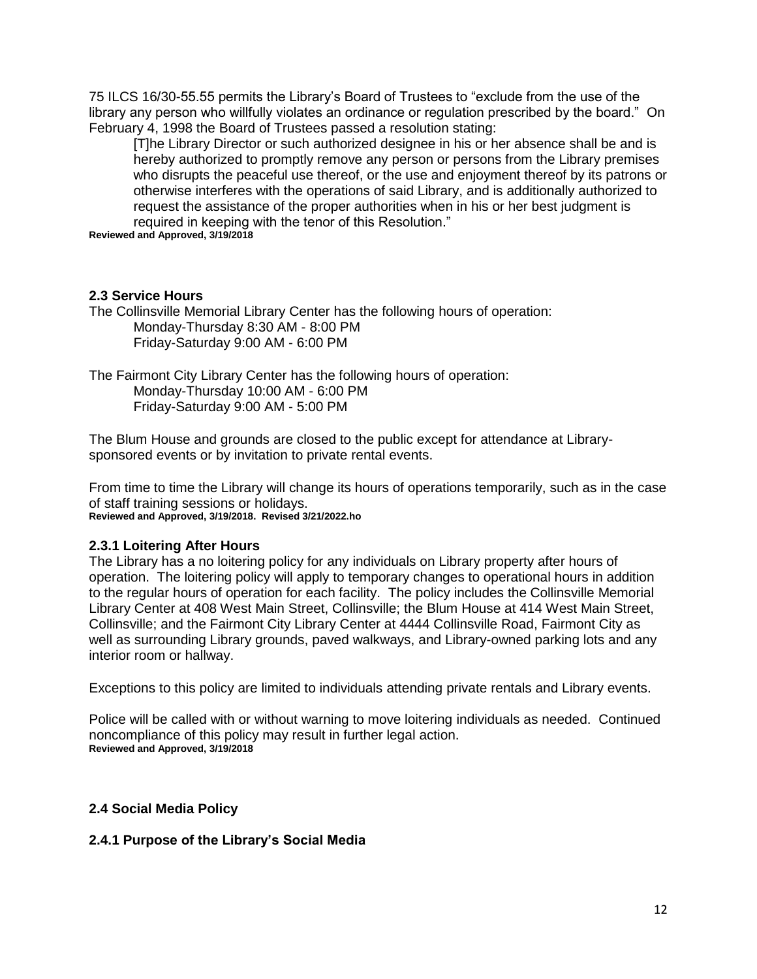75 ILCS 16/30-55.55 permits the Library's Board of Trustees to "exclude from the use of the library any person who willfully violates an ordinance or regulation prescribed by the board." On February 4, 1998 the Board of Trustees passed a resolution stating:

[T]he Library Director or such authorized designee in his or her absence shall be and is hereby authorized to promptly remove any person or persons from the Library premises who disrupts the peaceful use thereof, or the use and enjoyment thereof by its patrons or otherwise interferes with the operations of said Library, and is additionally authorized to request the assistance of the proper authorities when in his or her best judgment is required in keeping with the tenor of this Resolution."

**Reviewed and Approved, 3/19/2018**

#### **2.3 Service Hours**

The Collinsville Memorial Library Center has the following hours of operation: Monday-Thursday 8:30 AM - 8:00 PM Friday-Saturday 9:00 AM - 6:00 PM

The Fairmont City Library Center has the following hours of operation: Monday-Thursday 10:00 AM - 6:00 PM Friday-Saturday 9:00 AM - 5:00 PM

The Blum House and grounds are closed to the public except for attendance at Librarysponsored events or by invitation to private rental events.

From time to time the Library will change its hours of operations temporarily, such as in the case of staff training sessions or holidays.

**Reviewed and Approved, 3/19/2018. Revised 3/21/2022.ho**

#### **2.3.1 Loitering After Hours**

The Library has a no loitering policy for any individuals on Library property after hours of operation. The loitering policy will apply to temporary changes to operational hours in addition to the regular hours of operation for each facility. The policy includes the Collinsville Memorial Library Center at 408 West Main Street, Collinsville; the Blum House at 414 West Main Street, Collinsville; and the Fairmont City Library Center at 4444 Collinsville Road, Fairmont City as well as surrounding Library grounds, paved walkways, and Library-owned parking lots and any interior room or hallway.

Exceptions to this policy are limited to individuals attending private rentals and Library events.

Police will be called with or without warning to move loitering individuals as needed. Continued noncompliance of this policy may result in further legal action. **Reviewed and Approved, 3/19/2018**

#### **2.4 Social Media Policy**

#### **2.4.1 Purpose of the Library's Social Media**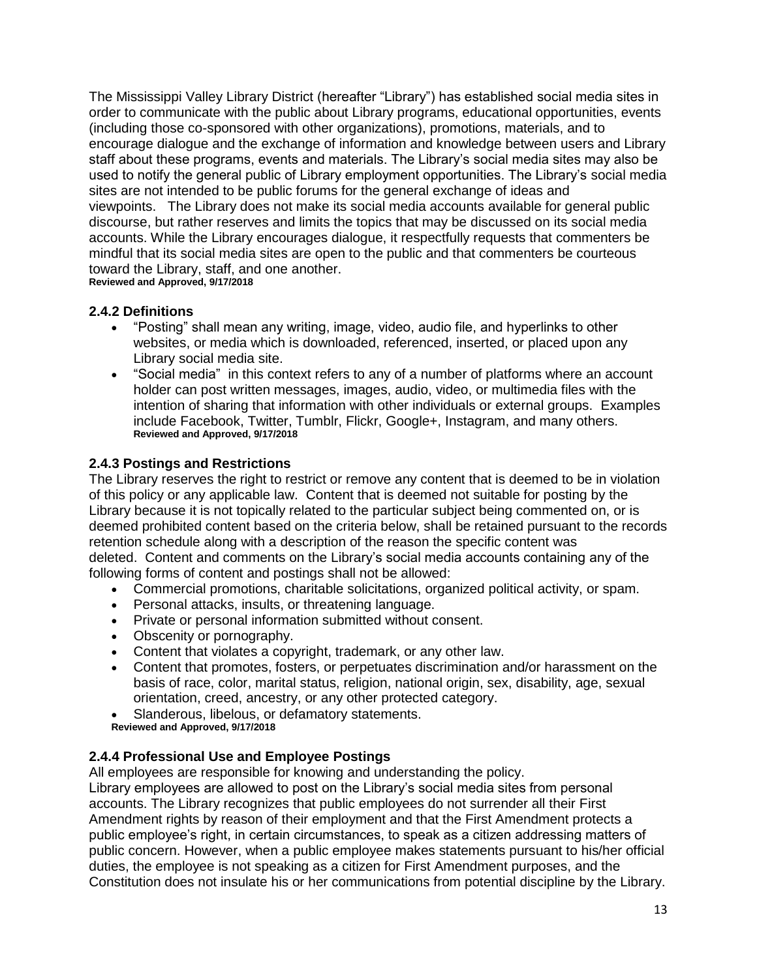The Mississippi Valley Library District (hereafter "Library") has established social media sites in order to communicate with the public about Library programs, educational opportunities, events (including those co-sponsored with other organizations), promotions, materials, and to encourage dialogue and the exchange of information and knowledge between users and Library staff about these programs, events and materials. The Library's social media sites may also be used to notify the general public of Library employment opportunities. The Library's social media sites are not intended to be public forums for the general exchange of ideas and viewpoints. The Library does not make its social media accounts available for general public discourse, but rather reserves and limits the topics that may be discussed on its social media accounts. While the Library encourages dialogue, it respectfully requests that commenters be mindful that its social media sites are open to the public and that commenters be courteous toward the Library, staff, and one another.

**Reviewed and Approved, 9/17/2018**

## **2.4.2 Definitions**

- "Posting" shall mean any writing, image, video, audio file, and hyperlinks to other websites, or media which is downloaded, referenced, inserted, or placed upon any Library social media site.
- "Social media" in this context refers to any of a number of platforms where an account holder can post written messages, images, audio, video, or multimedia files with the intention of sharing that information with other individuals or external groups. Examples include Facebook, Twitter, Tumblr, Flickr, Google+, Instagram, and many others. **Reviewed and Approved, 9/17/2018**

## **2.4.3 Postings and Restrictions**

The Library reserves the right to restrict or remove any content that is deemed to be in violation of this policy or any applicable law. Content that is deemed not suitable for posting by the Library because it is not topically related to the particular subject being commented on, or is deemed prohibited content based on the criteria below, shall be retained pursuant to the records retention schedule along with a description of the reason the specific content was deleted. Content and comments on the Library's social media accounts containing any of the following forms of content and postings shall not be allowed:

- Commercial promotions, charitable solicitations, organized political activity, or spam.
- Personal attacks, insults, or threatening language.
- Private or personal information submitted without consent.
- Obscenity or pornography.
- Content that violates a copyright, trademark, or any other law.
- Content that promotes, fosters, or perpetuates discrimination and/or harassment on the basis of race, color, marital status, religion, national origin, sex, disability, age, sexual orientation, creed, ancestry, or any other protected category.
- Slanderous, libelous, or defamatory statements.
- **Reviewed and Approved, 9/17/2018**

## **2.4.4 Professional Use and Employee Postings**

All employees are responsible for knowing and understanding the policy.

Library employees are allowed to post on the Library's social media sites from personal accounts. The Library recognizes that public employees do not surrender all their First Amendment rights by reason of their employment and that the First Amendment protects a public employee's right, in certain circumstances, to speak as a citizen addressing matters of public concern. However, when a public employee makes statements pursuant to his/her official duties, the employee is not speaking as a citizen for First Amendment purposes, and the Constitution does not insulate his or her communications from potential discipline by the Library.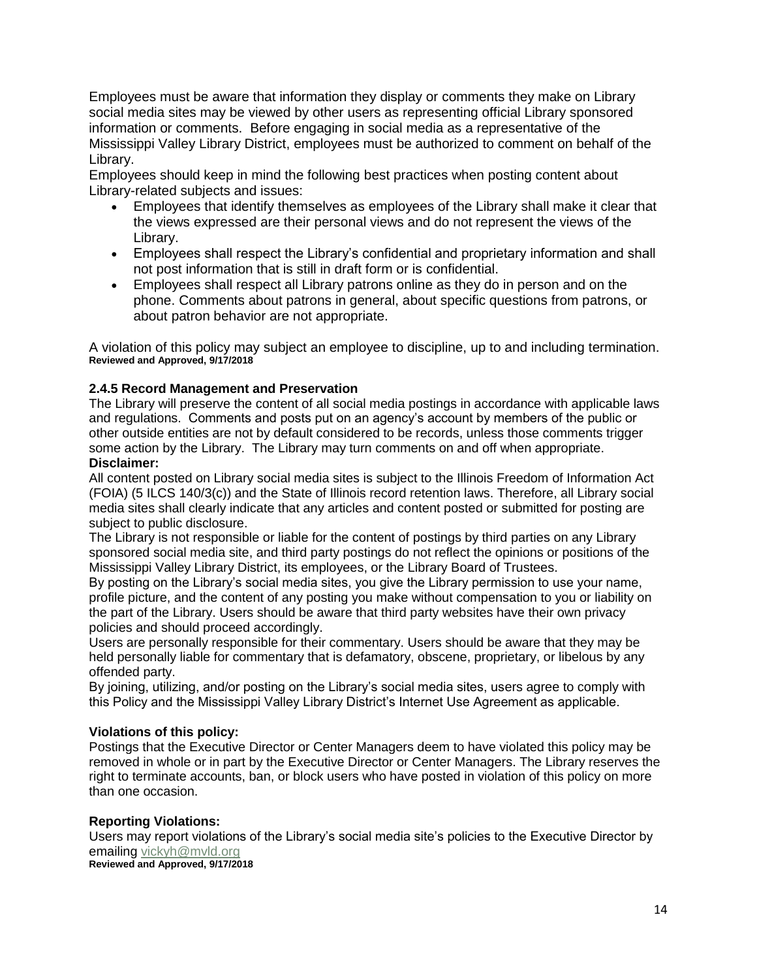Employees must be aware that information they display or comments they make on Library social media sites may be viewed by other users as representing official Library sponsored information or comments. Before engaging in social media as a representative of the Mississippi Valley Library District, employees must be authorized to comment on behalf of the Library.

Employees should keep in mind the following best practices when posting content about Library-related subjects and issues:

- Employees that identify themselves as employees of the Library shall make it clear that the views expressed are their personal views and do not represent the views of the Library.
- Employees shall respect the Library's confidential and proprietary information and shall not post information that is still in draft form or is confidential.
- Employees shall respect all Library patrons online as they do in person and on the phone. Comments about patrons in general, about specific questions from patrons, or about patron behavior are not appropriate.

A violation of this policy may subject an employee to discipline, up to and including termination. **Reviewed and Approved, 9/17/2018**

#### **2.4.5 Record Management and Preservation**

The Library will preserve the content of all social media postings in accordance with applicable laws and regulations. Comments and posts put on an agency's account by members of the public or other outside entities are not by default considered to be records, unless those comments trigger some action by the Library. The Library may turn comments on and off when appropriate. **Disclaimer:** 

All content posted on Library social media sites is subject to the Illinois Freedom of Information Act (FOIA) (5 ILCS 140/3(c)) and the State of Illinois record retention laws. Therefore, all Library social media sites shall clearly indicate that any articles and content posted or submitted for posting are subject to public disclosure.

The Library is not responsible or liable for the content of postings by third parties on any Library sponsored social media site, and third party postings do not reflect the opinions or positions of the Mississippi Valley Library District, its employees, or the Library Board of Trustees.

By posting on the Library's social media sites, you give the Library permission to use your name, profile picture, and the content of any posting you make without compensation to you or liability on the part of the Library. Users should be aware that third party websites have their own privacy policies and should proceed accordingly.

Users are personally responsible for their commentary. Users should be aware that they may be held personally liable for commentary that is defamatory, obscene, proprietary, or libelous by any offended party.

By joining, utilizing, and/or posting on the Library's social media sites, users agree to comply with this Policy and the Mississippi Valley Library District's Internet Use Agreement as applicable.

#### **Violations of this policy:**

Postings that the Executive Director or Center Managers deem to have violated this policy may be removed in whole or in part by the Executive Director or Center Managers. The Library reserves the right to terminate accounts, ban, or block users who have posted in violation of this policy on more than one occasion.

#### **Reporting Violations:**

Users may report violations of the Library's social media site's policies to the Executive Director by emailing vickyh@mvld.org **Reviewed and Approved, 9/17/2018**

14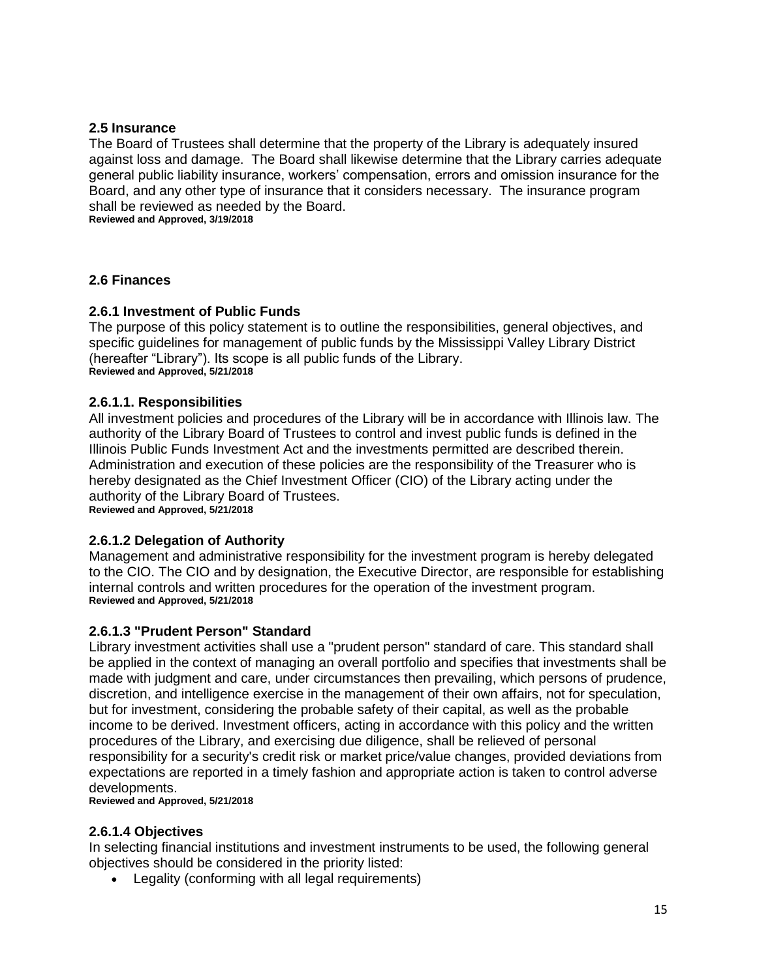#### **2.5 Insurance**

The Board of Trustees shall determine that the property of the Library is adequately insured against loss and damage. The Board shall likewise determine that the Library carries adequate general public liability insurance, workers' compensation, errors and omission insurance for the Board, and any other type of insurance that it considers necessary. The insurance program shall be reviewed as needed by the Board. **Reviewed and Approved, 3/19/2018**

**2.6 Finances**

#### **2.6.1 Investment of Public Funds**

The purpose of this policy statement is to outline the responsibilities, general objectives, and specific guidelines for management of public funds by the Mississippi Valley Library District (hereafter "Library"). Its scope is all public funds of the Library. **Reviewed and Approved, 5/21/2018**

#### **2.6.1.1. Responsibilities**

All investment policies and procedures of the Library will be in accordance with Illinois law. The authority of the Library Board of Trustees to control and invest public funds is defined in the Illinois Public Funds Investment Act and the investments permitted are described therein. Administration and execution of these policies are the responsibility of the Treasurer who is hereby designated as the Chief Investment Officer (CIO) of the Library acting under the authority of the Library Board of Trustees. **Reviewed and Approved, 5/21/2018**

**2.6.1.2 Delegation of Authority**

Management and administrative responsibility for the investment program is hereby delegated to the CIO. The CIO and by designation, the Executive Director, are responsible for establishing internal controls and written procedures for the operation of the investment program. **Reviewed and Approved, 5/21/2018**

#### **2.6.1.3 "Prudent Person" Standard**

Library investment activities shall use a "prudent person" standard of care. This standard shall be applied in the context of managing an overall portfolio and specifies that investments shall be made with judgment and care, under circumstances then prevailing, which persons of prudence, discretion, and intelligence exercise in the management of their own affairs, not for speculation, but for investment, considering the probable safety of their capital, as well as the probable income to be derived. Investment officers, acting in accordance with this policy and the written procedures of the Library, and exercising due diligence, shall be relieved of personal responsibility for a security's credit risk or market price/value changes, provided deviations from expectations are reported in a timely fashion and appropriate action is taken to control adverse developments.

**Reviewed and Approved, 5/21/2018**

## **2.6.1.4 Objectives**

In selecting financial institutions and investment instruments to be used, the following general objectives should be considered in the priority listed:

Legality (conforming with all legal requirements)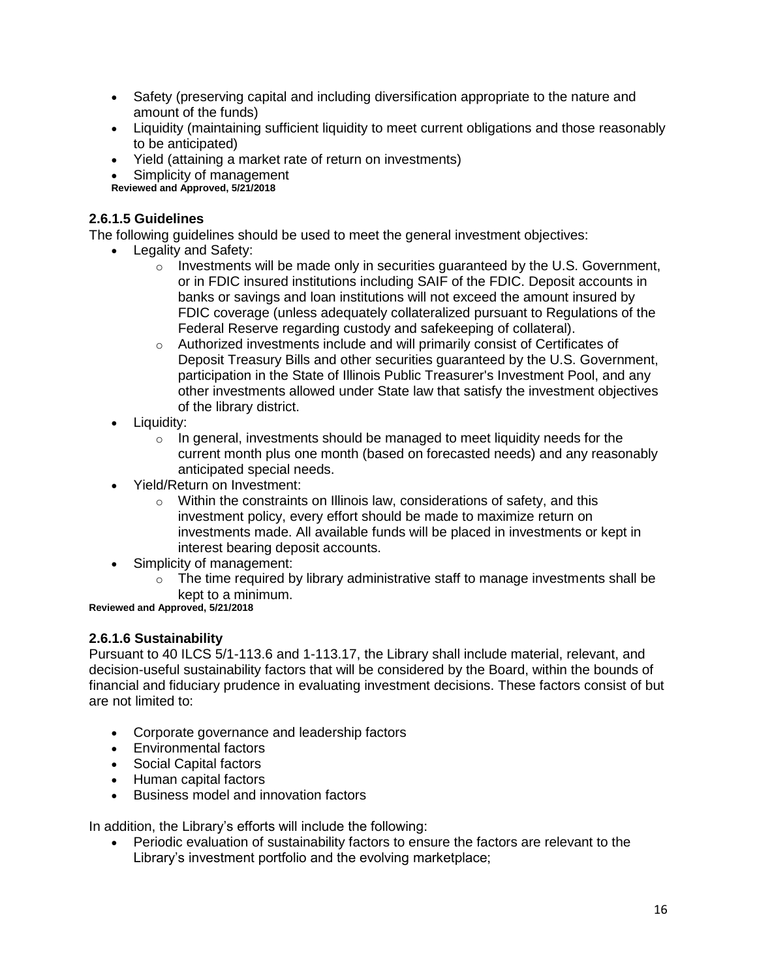- Safety (preserving capital and including diversification appropriate to the nature and amount of the funds)
- Liquidity (maintaining sufficient liquidity to meet current obligations and those reasonably to be anticipated)
- Yield (attaining a market rate of return on investments)
- Simplicity of management

**Reviewed and Approved, 5/21/2018**

## **2.6.1.5 Guidelines**

The following guidelines should be used to meet the general investment objectives:

- Legality and Safety:
	- $\circ$  Investments will be made only in securities guaranteed by the U.S. Government, or in FDIC insured institutions including SAIF of the FDIC. Deposit accounts in banks or savings and loan institutions will not exceed the amount insured by FDIC coverage (unless adequately collateralized pursuant to Regulations of the Federal Reserve regarding custody and safekeeping of collateral).
	- o Authorized investments include and will primarily consist of Certificates of Deposit Treasury Bills and other securities guaranteed by the U.S. Government, participation in the State of Illinois Public Treasurer's Investment Pool, and any other investments allowed under State law that satisfy the investment objectives of the library district.
- Liquidity:
	- $\circ$  In general, investments should be managed to meet liquidity needs for the current month plus one month (based on forecasted needs) and any reasonably anticipated special needs.
- Yield/Return on Investment:
	- $\circ$  Within the constraints on Illinois law, considerations of safety, and this investment policy, every effort should be made to maximize return on investments made. All available funds will be placed in investments or kept in interest bearing deposit accounts.
- Simplicity of management:
	- $\circ$  The time required by library administrative staff to manage investments shall be kept to a minimum.

**Reviewed and Approved, 5/21/2018**

## **2.6.1.6 Sustainability**

Pursuant to 40 ILCS 5/1-113.6 and 1-113.17, the Library shall include material, relevant, and decision-useful sustainability factors that will be considered by the Board, within the bounds of financial and fiduciary prudence in evaluating investment decisions. These factors consist of but are not limited to:

- Corporate governance and leadership factors
- Environmental factors
- Social Capital factors
- Human capital factors
- **•** Business model and innovation factors

In addition, the Library's efforts will include the following:

 Periodic evaluation of sustainability factors to ensure the factors are relevant to the Library's investment portfolio and the evolving marketplace;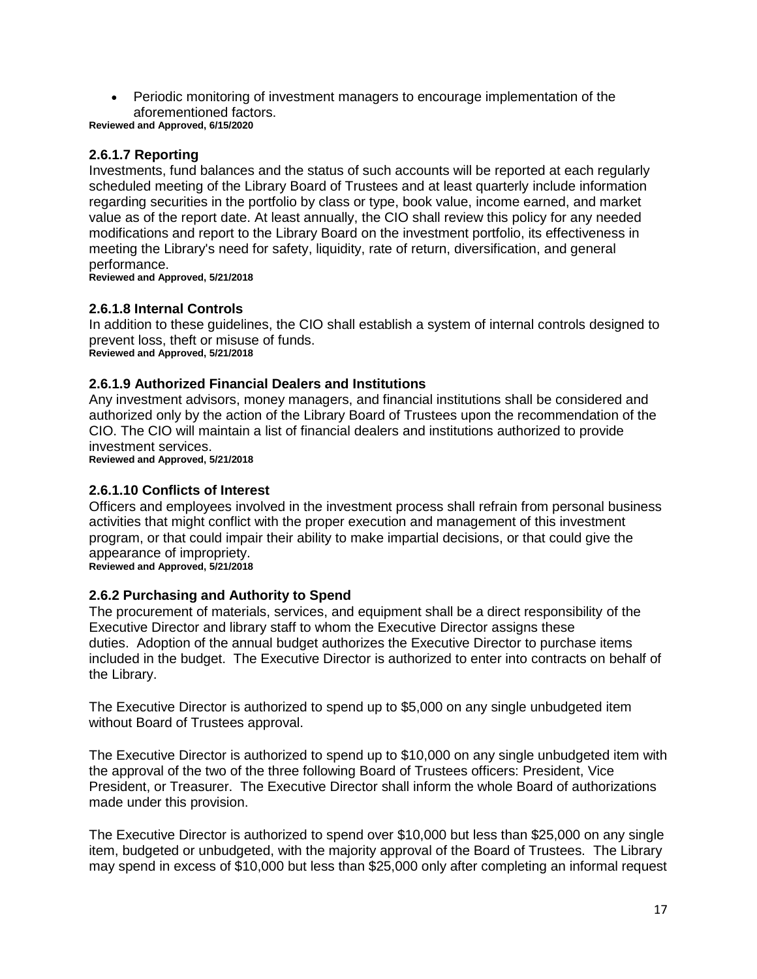Periodic monitoring of investment managers to encourage implementation of the aforementioned factors.

**Reviewed and Approved, 6/15/2020**

## **2.6.1.7 Reporting**

Investments, fund balances and the status of such accounts will be reported at each regularly scheduled meeting of the Library Board of Trustees and at least quarterly include information regarding securities in the portfolio by class or type, book value, income earned, and market value as of the report date. At least annually, the CIO shall review this policy for any needed modifications and report to the Library Board on the investment portfolio, its effectiveness in meeting the Library's need for safety, liquidity, rate of return, diversification, and general performance.

**Reviewed and Approved, 5/21/2018**

#### **2.6.1.8 Internal Controls**

In addition to these guidelines, the CIO shall establish a system of internal controls designed to prevent loss, theft or misuse of funds. **Reviewed and Approved, 5/21/2018**

#### **2.6.1.9 Authorized Financial Dealers and Institutions**

Any investment advisors, money managers, and financial institutions shall be considered and authorized only by the action of the Library Board of Trustees upon the recommendation of the CIO. The CIO will maintain a list of financial dealers and institutions authorized to provide investment services.

**Reviewed and Approved, 5/21/2018**

#### **2.6.1.10 Conflicts of Interest**

Officers and employees involved in the investment process shall refrain from personal business activities that might conflict with the proper execution and management of this investment program, or that could impair their ability to make impartial decisions, or that could give the appearance of impropriety. **Reviewed and Approved, 5/21/2018**

#### **2.6.2 Purchasing and Authority to Spend**

The procurement of materials, services, and equipment shall be a direct responsibility of the Executive Director and library staff to whom the Executive Director assigns these duties. Adoption of the annual budget authorizes the Executive Director to purchase items included in the budget. The Executive Director is authorized to enter into contracts on behalf of the Library.

The Executive Director is authorized to spend up to \$5,000 on any single unbudgeted item without Board of Trustees approval.

The Executive Director is authorized to spend up to \$10,000 on any single unbudgeted item with the approval of the two of the three following Board of Trustees officers: President, Vice President, or Treasurer. The Executive Director shall inform the whole Board of authorizations made under this provision.

The Executive Director is authorized to spend over \$10,000 but less than \$25,000 on any single item, budgeted or unbudgeted, with the majority approval of the Board of Trustees. The Library may spend in excess of \$10,000 but less than \$25,000 only after completing an informal request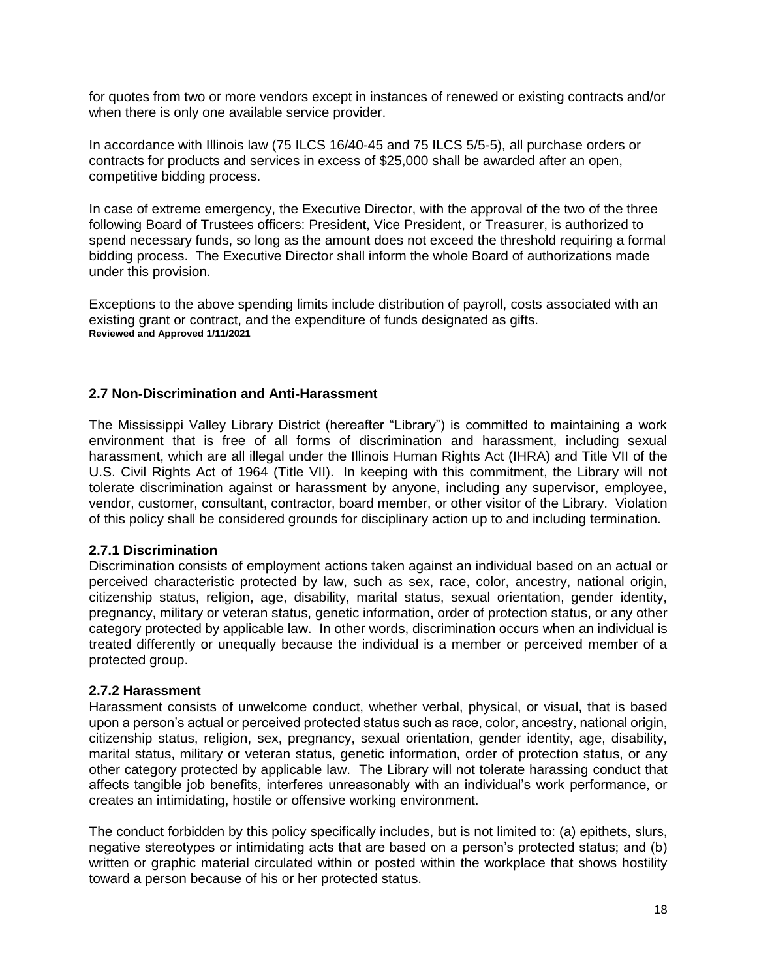for quotes from two or more vendors except in instances of renewed or existing contracts and/or when there is only one available service provider.

In accordance with Illinois law (75 ILCS 16/40-45 and 75 ILCS 5/5-5), all purchase orders or contracts for products and services in excess of \$25,000 shall be awarded after an open, competitive bidding process.

In case of extreme emergency, the Executive Director, with the approval of the two of the three following Board of Trustees officers: President, Vice President, or Treasurer, is authorized to spend necessary funds, so long as the amount does not exceed the threshold requiring a formal bidding process. The Executive Director shall inform the whole Board of authorizations made under this provision.

Exceptions to the above spending limits include distribution of payroll, costs associated with an existing grant or contract, and the expenditure of funds designated as gifts. **Reviewed and Approved 1/11/2021**

#### **2.7 Non-Discrimination and Anti-Harassment**

The Mississippi Valley Library District (hereafter "Library") is committed to maintaining a work environment that is free of all forms of discrimination and harassment, including sexual harassment, which are all illegal under the Illinois Human Rights Act (IHRA) and Title VII of the U.S. Civil Rights Act of 1964 (Title VII). In keeping with this commitment, the Library will not tolerate discrimination against or harassment by anyone, including any supervisor, employee, vendor, customer, consultant, contractor, board member, or other visitor of the Library. Violation of this policy shall be considered grounds for disciplinary action up to and including termination.

#### **2.7.1 Discrimination**

Discrimination consists of employment actions taken against an individual based on an actual or perceived characteristic protected by law, such as sex, race, color, ancestry, national origin, citizenship status, religion, age, disability, marital status, sexual orientation, gender identity, pregnancy, military or veteran status, genetic information, order of protection status, or any other category protected by applicable law. In other words, discrimination occurs when an individual is treated differently or unequally because the individual is a member or perceived member of a protected group.

#### **2.7.2 Harassment**

Harassment consists of unwelcome conduct, whether verbal, physical, or visual, that is based upon a person's actual or perceived protected status such as race, color, ancestry, national origin, citizenship status, religion, sex, pregnancy, sexual orientation, gender identity, age, disability, marital status, military or veteran status, genetic information, order of protection status, or any other category protected by applicable law. The Library will not tolerate harassing conduct that affects tangible job benefits, interferes unreasonably with an individual's work performance, or creates an intimidating, hostile or offensive working environment.

The conduct forbidden by this policy specifically includes, but is not limited to: (a) epithets, slurs, negative stereotypes or intimidating acts that are based on a person's protected status; and (b) written or graphic material circulated within or posted within the workplace that shows hostility toward a person because of his or her protected status.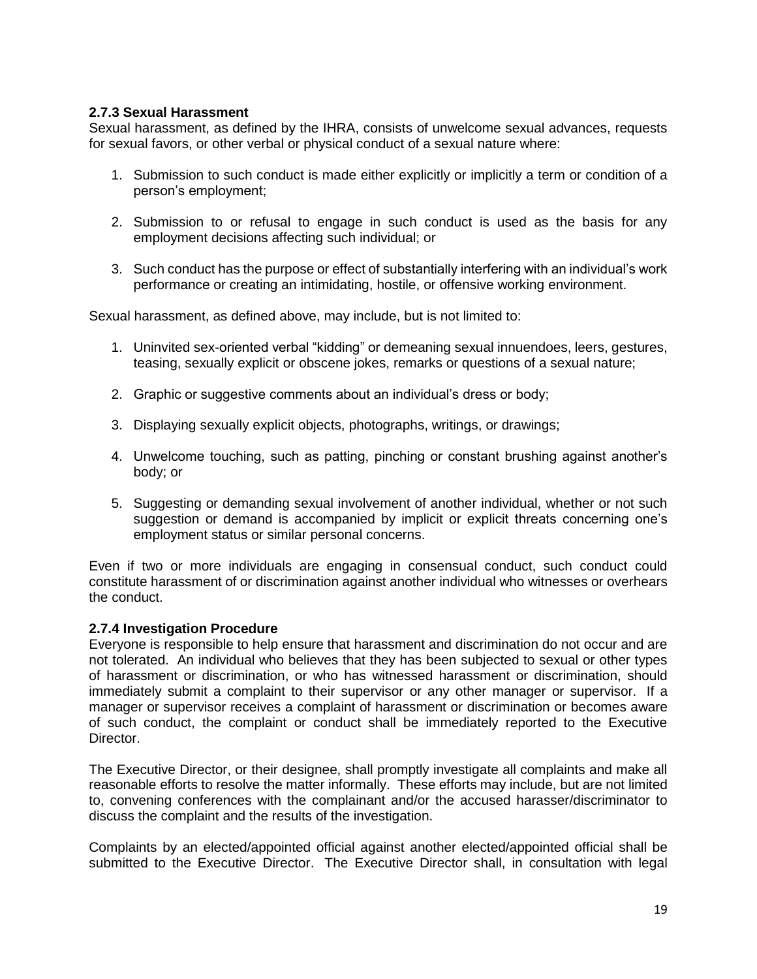#### **2.7.3 Sexual Harassment**

Sexual harassment, as defined by the IHRA, consists of unwelcome sexual advances, requests for sexual favors, or other verbal or physical conduct of a sexual nature where:

- 1. Submission to such conduct is made either explicitly or implicitly a term or condition of a person's employment;
- 2. Submission to or refusal to engage in such conduct is used as the basis for any employment decisions affecting such individual; or
- 3. Such conduct has the purpose or effect of substantially interfering with an individual's work performance or creating an intimidating, hostile, or offensive working environment.

Sexual harassment, as defined above, may include, but is not limited to:

- 1. Uninvited sex-oriented verbal "kidding" or demeaning sexual innuendoes, leers, gestures, teasing, sexually explicit or obscene jokes, remarks or questions of a sexual nature;
- 2. Graphic or suggestive comments about an individual's dress or body;
- 3. Displaying sexually explicit objects, photographs, writings, or drawings;
- 4. Unwelcome touching, such as patting, pinching or constant brushing against another's body; or
- 5. Suggesting or demanding sexual involvement of another individual, whether or not such suggestion or demand is accompanied by implicit or explicit threats concerning one's employment status or similar personal concerns.

Even if two or more individuals are engaging in consensual conduct, such conduct could constitute harassment of or discrimination against another individual who witnesses or overhears the conduct.

#### **2.7.4 Investigation Procedure**

Everyone is responsible to help ensure that harassment and discrimination do not occur and are not tolerated. An individual who believes that they has been subjected to sexual or other types of harassment or discrimination, or who has witnessed harassment or discrimination, should immediately submit a complaint to their supervisor or any other manager or supervisor. If a manager or supervisor receives a complaint of harassment or discrimination or becomes aware of such conduct, the complaint or conduct shall be immediately reported to the Executive Director.

The Executive Director, or their designee, shall promptly investigate all complaints and make all reasonable efforts to resolve the matter informally. These efforts may include, but are not limited to, convening conferences with the complainant and/or the accused harasser/discriminator to discuss the complaint and the results of the investigation.

Complaints by an elected/appointed official against another elected/appointed official shall be submitted to the Executive Director. The Executive Director shall, in consultation with legal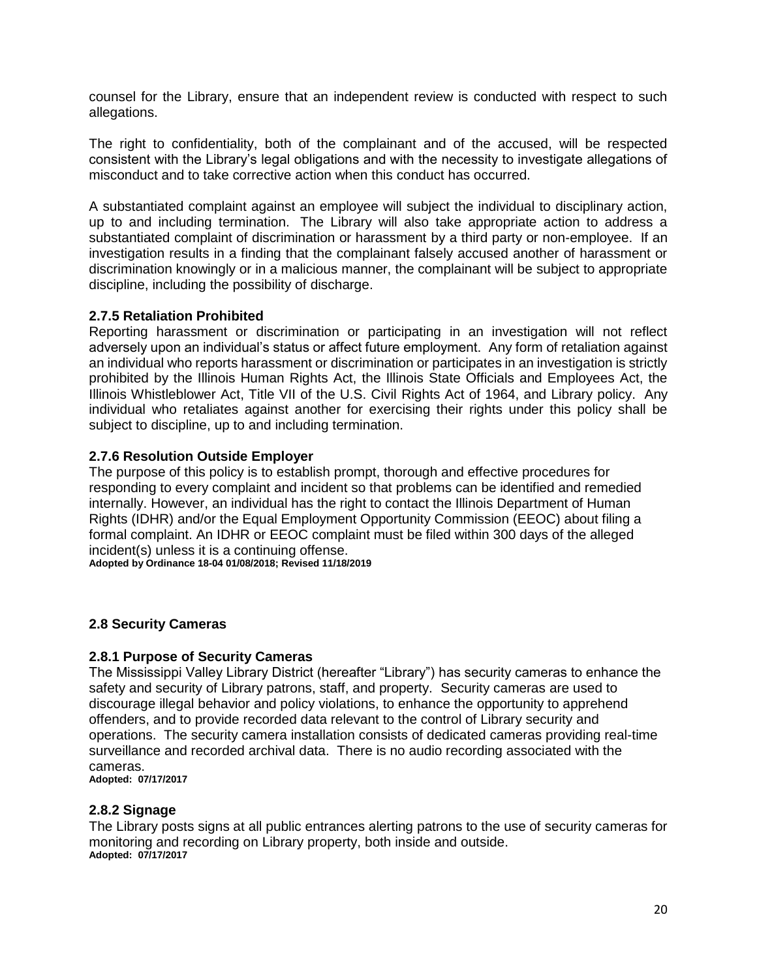counsel for the Library, ensure that an independent review is conducted with respect to such allegations.

The right to confidentiality, both of the complainant and of the accused, will be respected consistent with the Library's legal obligations and with the necessity to investigate allegations of misconduct and to take corrective action when this conduct has occurred.

A substantiated complaint against an employee will subject the individual to disciplinary action, up to and including termination. The Library will also take appropriate action to address a substantiated complaint of discrimination or harassment by a third party or non-employee. If an investigation results in a finding that the complainant falsely accused another of harassment or discrimination knowingly or in a malicious manner, the complainant will be subject to appropriate discipline, including the possibility of discharge.

#### **2.7.5 Retaliation Prohibited**

Reporting harassment or discrimination or participating in an investigation will not reflect adversely upon an individual's status or affect future employment. Any form of retaliation against an individual who reports harassment or discrimination or participates in an investigation is strictly prohibited by the Illinois Human Rights Act, the Illinois State Officials and Employees Act, the Illinois Whistleblower Act, Title VII of the U.S. Civil Rights Act of 1964, and Library policy. Any individual who retaliates against another for exercising their rights under this policy shall be subject to discipline, up to and including termination.

#### **2.7.6 Resolution Outside Employer**

The purpose of this policy is to establish prompt, thorough and effective procedures for responding to every complaint and incident so that problems can be identified and remedied internally. However, an individual has the right to contact the Illinois Department of Human Rights (IDHR) and/or the Equal Employment Opportunity Commission (EEOC) about filing a formal complaint. An IDHR or EEOC complaint must be filed within 300 days of the alleged incident(s) unless it is a continuing offense.

**Adopted by Ordinance 18-04 01/08/2018; Revised 11/18/2019**

#### **2.8 Security Cameras**

#### **2.8.1 Purpose of Security Cameras**

The Mississippi Valley Library District (hereafter "Library") has security cameras to enhance the safety and security of Library patrons, staff, and property. Security cameras are used to discourage illegal behavior and policy violations, to enhance the opportunity to apprehend offenders, and to provide recorded data relevant to the control of Library security and operations. The security camera installation consists of dedicated cameras providing real-time surveillance and recorded archival data. There is no audio recording associated with the cameras.

**Adopted: 07/17/2017**

#### **2.8.2 Signage**

The Library posts signs at all public entrances alerting patrons to the use of security cameras for monitoring and recording on Library property, both inside and outside. **Adopted: 07/17/2017**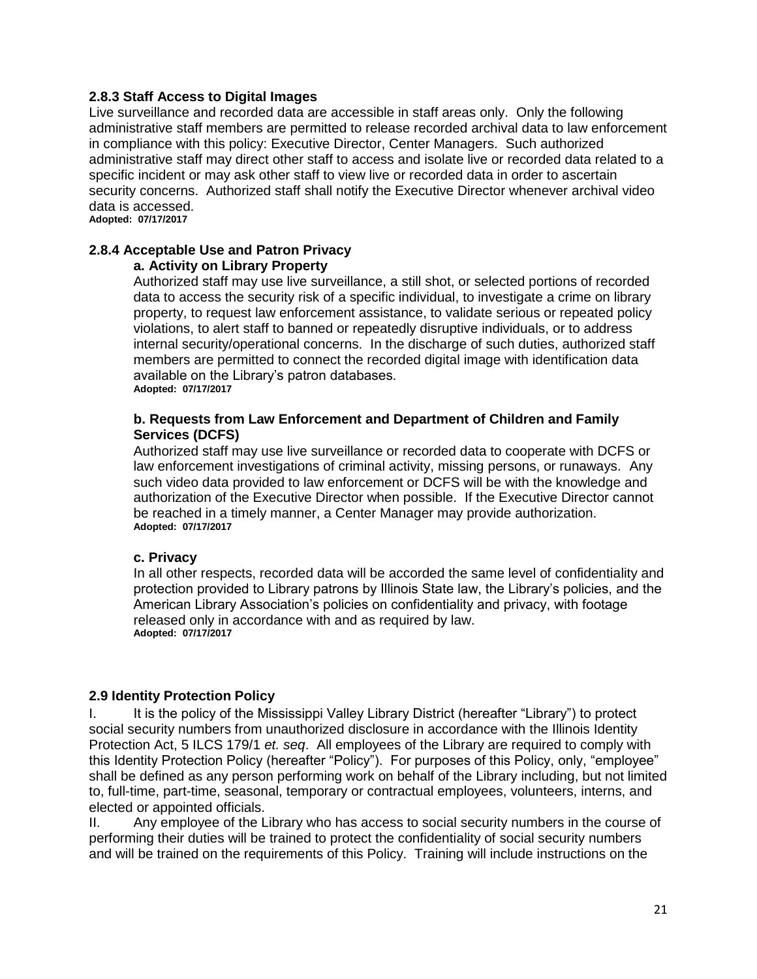#### **2.8.3 Staff Access to Digital Images**

Live surveillance and recorded data are accessible in staff areas only. Only the following administrative staff members are permitted to release recorded archival data to law enforcement in compliance with this policy: Executive Director, Center Managers. Such authorized administrative staff may direct other staff to access and isolate live or recorded data related to a specific incident or may ask other staff to view live or recorded data in order to ascertain security concerns. Authorized staff shall notify the Executive Director whenever archival video data is accessed.

**Adopted: 07/17/2017**

## **2.8.4 Acceptable Use and Patron Privacy**

#### **a. Activity on Library Property**

Authorized staff may use live surveillance, a still shot, or selected portions of recorded data to access the security risk of a specific individual, to investigate a crime on library property, to request law enforcement assistance, to validate serious or repeated policy violations, to alert staff to banned or repeatedly disruptive individuals, or to address internal security/operational concerns. In the discharge of such duties, authorized staff members are permitted to connect the recorded digital image with identification data available on the Library's patron databases. **Adopted: 07/17/2017**

#### **b. Requests from Law Enforcement and Department of Children and Family Services (DCFS)**

Authorized staff may use live surveillance or recorded data to cooperate with DCFS or law enforcement investigations of criminal activity, missing persons, or runaways. Any such video data provided to law enforcement or DCFS will be with the knowledge and authorization of the Executive Director when possible. If the Executive Director cannot be reached in a timely manner, a Center Manager may provide authorization. **Adopted: 07/17/2017**

#### **c. Privacy**

In all other respects, recorded data will be accorded the same level of confidentiality and protection provided to Library patrons by Illinois State law, the Library's policies, and the American Library Association's policies on confidentiality and privacy, with footage released only in accordance with and as required by law. **Adopted: 07/17/2017**

#### **2.9 Identity Protection Policy**

I. It is the policy of the Mississippi Valley Library District (hereafter "Library") to protect social security numbers from unauthorized disclosure in accordance with the Illinois Identity Protection Act, 5 ILCS 179/1 *et. seq*. All employees of the Library are required to comply with this Identity Protection Policy (hereafter "Policy"). For purposes of this Policy, only, "employee" shall be defined as any person performing work on behalf of the Library including, but not limited to, full-time, part-time, seasonal, temporary or contractual employees, volunteers, interns, and elected or appointed officials.

II. Any employee of the Library who has access to social security numbers in the course of performing their duties will be trained to protect the confidentiality of social security numbers and will be trained on the requirements of this Policy. Training will include instructions on the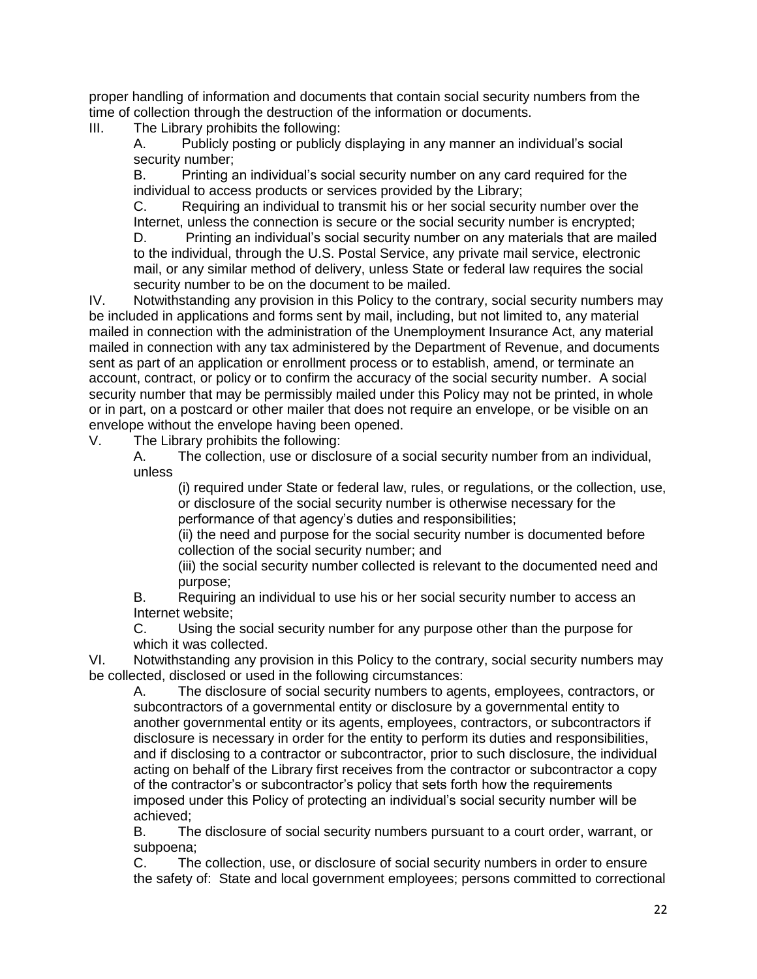proper handling of information and documents that contain social security numbers from the time of collection through the destruction of the information or documents.

III. The Library prohibits the following:

A. Publicly posting or publicly displaying in any manner an individual's social security number;

B. Printing an individual's social security number on any card required for the individual to access products or services provided by the Library;

C. Requiring an individual to transmit his or her social security number over the Internet, unless the connection is secure or the social security number is encrypted; D. Printing an individual's social security number on any materials that are mailed to the individual, through the U.S. Postal Service, any private mail service, electronic mail, or any similar method of delivery, unless State or federal law requires the social security number to be on the document to be mailed.

IV. Notwithstanding any provision in this Policy to the contrary, social security numbers may be included in applications and forms sent by mail, including, but not limited to, any material mailed in connection with the administration of the Unemployment Insurance Act, any material mailed in connection with any tax administered by the Department of Revenue, and documents sent as part of an application or enrollment process or to establish, amend, or terminate an account, contract, or policy or to confirm the accuracy of the social security number. A social security number that may be permissibly mailed under this Policy may not be printed, in whole or in part, on a postcard or other mailer that does not require an envelope, or be visible on an envelope without the envelope having been opened.

V. The Library prohibits the following:

A. The collection, use or disclosure of a social security number from an individual, unless

(i) required under State or federal law, rules, or regulations, or the collection, use, or disclosure of the social security number is otherwise necessary for the performance of that agency's duties and responsibilities;

(ii) the need and purpose for the social security number is documented before collection of the social security number; and

(iii) the social security number collected is relevant to the documented need and purpose;

B. Requiring an individual to use his or her social security number to access an Internet website;

C. Using the social security number for any purpose other than the purpose for which it was collected.

VI. Notwithstanding any provision in this Policy to the contrary, social security numbers may be collected, disclosed or used in the following circumstances:

A. The disclosure of social security numbers to agents, employees, contractors, or subcontractors of a governmental entity or disclosure by a governmental entity to another governmental entity or its agents, employees, contractors, or subcontractors if disclosure is necessary in order for the entity to perform its duties and responsibilities, and if disclosing to a contractor or subcontractor, prior to such disclosure, the individual acting on behalf of the Library first receives from the contractor or subcontractor a copy of the contractor's or subcontractor's policy that sets forth how the requirements imposed under this Policy of protecting an individual's social security number will be achieved;

B. The disclosure of social security numbers pursuant to a court order, warrant, or subpoena;

C. The collection, use, or disclosure of social security numbers in order to ensure the safety of: State and local government employees; persons committed to correctional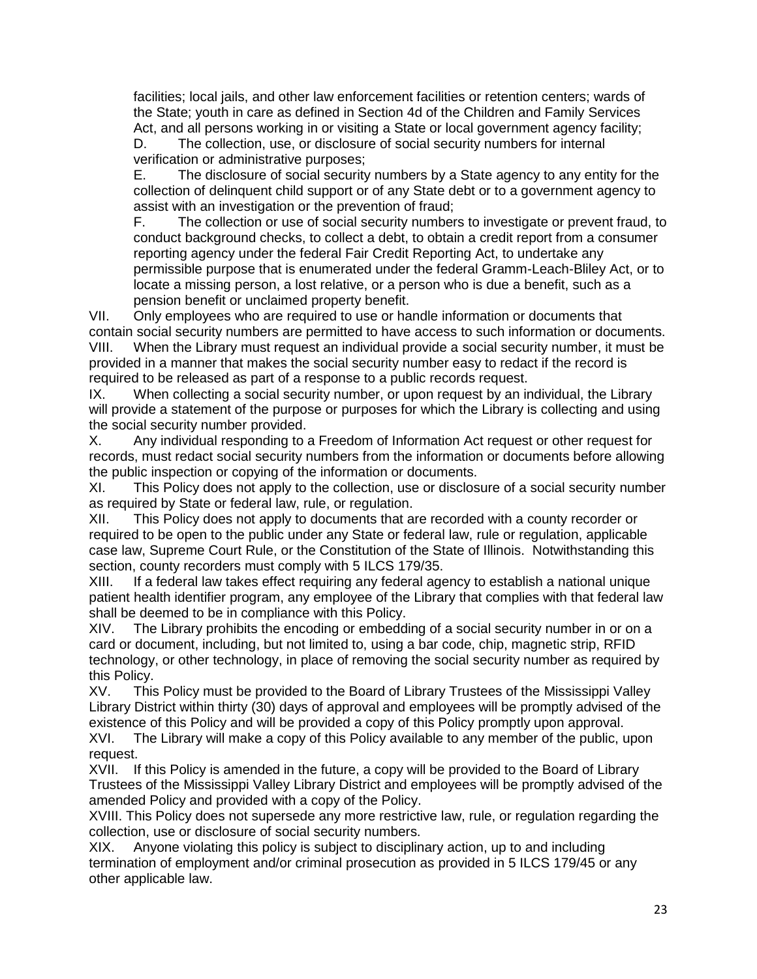facilities; local jails, and other law enforcement facilities or retention centers; wards of the State; youth in care as defined in Section 4d of the Children and Family Services Act, and all persons working in or visiting a State or local government agency facility;

D. The collection, use, or disclosure of social security numbers for internal verification or administrative purposes;

E. The disclosure of social security numbers by a State agency to any entity for the collection of delinquent child support or of any State debt or to a government agency to assist with an investigation or the prevention of fraud;

F. The collection or use of social security numbers to investigate or prevent fraud, to conduct background checks, to collect a debt, to obtain a credit report from a consumer reporting agency under the federal Fair Credit Reporting Act, to undertake any permissible purpose that is enumerated under the federal Gramm-Leach-Bliley Act, or to locate a missing person, a lost relative, or a person who is due a benefit, such as a pension benefit or unclaimed property benefit.

VII. Only employees who are required to use or handle information or documents that contain social security numbers are permitted to have access to such information or documents. VIII. When the Library must request an individual provide a social security number, it must be provided in a manner that makes the social security number easy to redact if the record is required to be released as part of a response to a public records request.

IX. When collecting a social security number, or upon request by an individual, the Library will provide a statement of the purpose or purposes for which the Library is collecting and using the social security number provided.

X. Any individual responding to a Freedom of Information Act request or other request for records, must redact social security numbers from the information or documents before allowing the public inspection or copying of the information or documents.

XI. This Policy does not apply to the collection, use or disclosure of a social security number as required by State or federal law, rule, or regulation.

XII. This Policy does not apply to documents that are recorded with a county recorder or required to be open to the public under any State or federal law, rule or regulation, applicable case law, Supreme Court Rule, or the Constitution of the State of Illinois. Notwithstanding this section, county recorders must comply with 5 ILCS 179/35.

XIII. If a federal law takes effect requiring any federal agency to establish a national unique patient health identifier program, any employee of the Library that complies with that federal law shall be deemed to be in compliance with this Policy.

XIV. The Library prohibits the encoding or embedding of a social security number in or on a card or document, including, but not limited to, using a bar code, chip, magnetic strip, RFID technology, or other technology, in place of removing the social security number as required by this Policy.

XV. This Policy must be provided to the Board of Library Trustees of the Mississippi Valley Library District within thirty (30) days of approval and employees will be promptly advised of the existence of this Policy and will be provided a copy of this Policy promptly upon approval.

XVI. The Library will make a copy of this Policy available to any member of the public, upon request.

XVII. If this Policy is amended in the future, a copy will be provided to the Board of Library Trustees of the Mississippi Valley Library District and employees will be promptly advised of the amended Policy and provided with a copy of the Policy.

XVIII. This Policy does not supersede any more restrictive law, rule, or regulation regarding the collection, use or disclosure of social security numbers.

XIX. Anyone violating this policy is subject to disciplinary action, up to and including termination of employment and/or criminal prosecution as provided in 5 ILCS 179/45 or any other applicable law.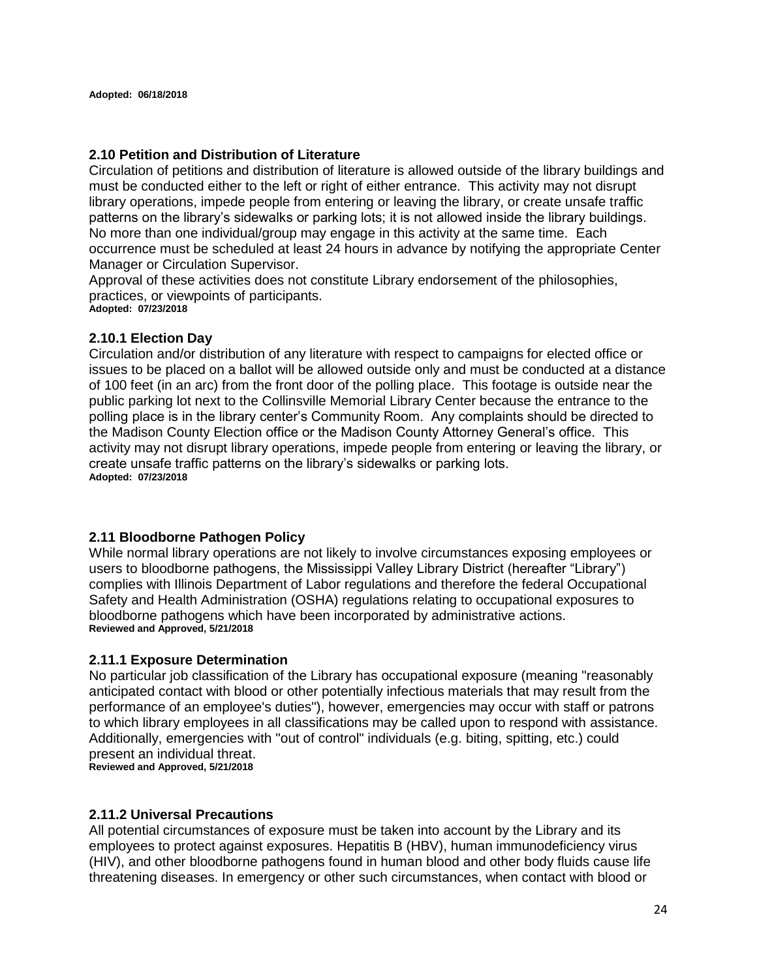#### **2.10 Petition and Distribution of Literature**

Circulation of petitions and distribution of literature is allowed outside of the library buildings and must be conducted either to the left or right of either entrance. This activity may not disrupt library operations, impede people from entering or leaving the library, or create unsafe traffic patterns on the library's sidewalks or parking lots; it is not allowed inside the library buildings. No more than one individual/group may engage in this activity at the same time. Each occurrence must be scheduled at least 24 hours in advance by notifying the appropriate Center Manager or Circulation Supervisor.

Approval of these activities does not constitute Library endorsement of the philosophies, practices, or viewpoints of participants. **Adopted: 07/23/2018**

#### **2.10.1 Election Day**

Circulation and/or distribution of any literature with respect to campaigns for elected office or issues to be placed on a ballot will be allowed outside only and must be conducted at a distance of 100 feet (in an arc) from the front door of the polling place. This footage is outside near the public parking lot next to the Collinsville Memorial Library Center because the entrance to the polling place is in the library center's Community Room. Any complaints should be directed to the Madison County Election office or the Madison County Attorney General's office. This activity may not disrupt library operations, impede people from entering or leaving the library, or create unsafe traffic patterns on the library's sidewalks or parking lots. **Adopted: 07/23/2018**

#### **2.11 Bloodborne Pathogen Policy**

While normal library operations are not likely to involve circumstances exposing employees or users to bloodborne pathogens, the Mississippi Valley Library District (hereafter "Library") complies with Illinois Department of Labor regulations and therefore the federal Occupational Safety and Health Administration (OSHA) regulations relating to occupational exposures to bloodborne pathogens which have been incorporated by administrative actions. **Reviewed and Approved, 5/21/2018**

#### **2.11.1 Exposure Determination**

No particular job classification of the Library has occupational exposure (meaning "reasonably anticipated contact with blood or other potentially infectious materials that may result from the performance of an employee's duties"), however, emergencies may occur with staff or patrons to which library employees in all classifications may be called upon to respond with assistance. Additionally, emergencies with "out of control" individuals (e.g. biting, spitting, etc.) could present an individual threat. **Reviewed and Approved, 5/21/2018**

#### **2.11.2 Universal Precautions**

All potential circumstances of exposure must be taken into account by the Library and its employees to protect against exposures. Hepatitis B (HBV), human immunodeficiency virus (HIV), and other bloodborne pathogens found in human blood and other body fluids cause life threatening diseases. In emergency or other such circumstances, when contact with blood or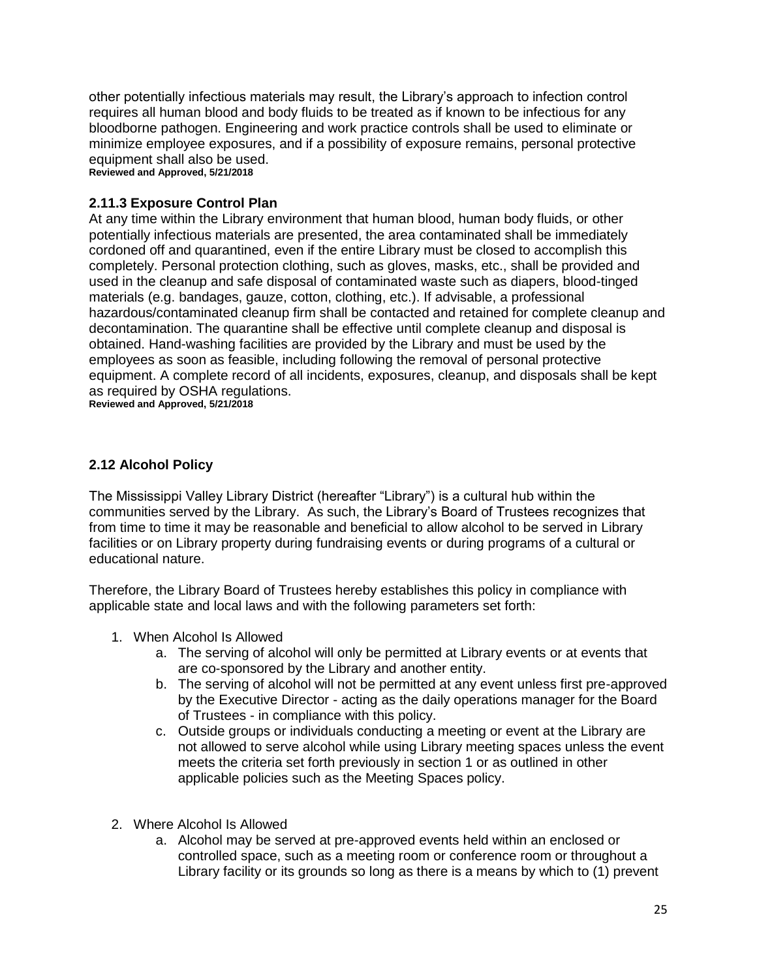other potentially infectious materials may result, the Library's approach to infection control requires all human blood and body fluids to be treated as if known to be infectious for any bloodborne pathogen. Engineering and work practice controls shall be used to eliminate or minimize employee exposures, and if a possibility of exposure remains, personal protective equipment shall also be used. **Reviewed and Approved, 5/21/2018**

## **2.11.3 Exposure Control Plan**

At any time within the Library environment that human blood, human body fluids, or other potentially infectious materials are presented, the area contaminated shall be immediately cordoned off and quarantined, even if the entire Library must be closed to accomplish this completely. Personal protection clothing, such as gloves, masks, etc., shall be provided and used in the cleanup and safe disposal of contaminated waste such as diapers, blood-tinged materials (e.g. bandages, gauze, cotton, clothing, etc.). If advisable, a professional hazardous/contaminated cleanup firm shall be contacted and retained for complete cleanup and decontamination. The quarantine shall be effective until complete cleanup and disposal is obtained. Hand-washing facilities are provided by the Library and must be used by the employees as soon as feasible, including following the removal of personal protective equipment. A complete record of all incidents, exposures, cleanup, and disposals shall be kept as required by OSHA regulations.

**Reviewed and Approved, 5/21/2018**

#### **2.12 Alcohol Policy**

The Mississippi Valley Library District (hereafter "Library") is a cultural hub within the communities served by the Library. As such, the Library's Board of Trustees recognizes that from time to time it may be reasonable and beneficial to allow alcohol to be served in Library facilities or on Library property during fundraising events or during programs of a cultural or educational nature.

Therefore, the Library Board of Trustees hereby establishes this policy in compliance with applicable state and local laws and with the following parameters set forth:

- 1. When Alcohol Is Allowed
	- a. The serving of alcohol will only be permitted at Library events or at events that are co-sponsored by the Library and another entity.
	- b. The serving of alcohol will not be permitted at any event unless first pre-approved by the Executive Director - acting as the daily operations manager for the Board of Trustees - in compliance with this policy.
	- c. Outside groups or individuals conducting a meeting or event at the Library are not allowed to serve alcohol while using Library meeting spaces unless the event meets the criteria set forth previously in section 1 or as outlined in other applicable policies such as the Meeting Spaces policy.
- 2. Where Alcohol Is Allowed
	- a. Alcohol may be served at pre-approved events held within an enclosed or controlled space, such as a meeting room or conference room or throughout a Library facility or its grounds so long as there is a means by which to (1) prevent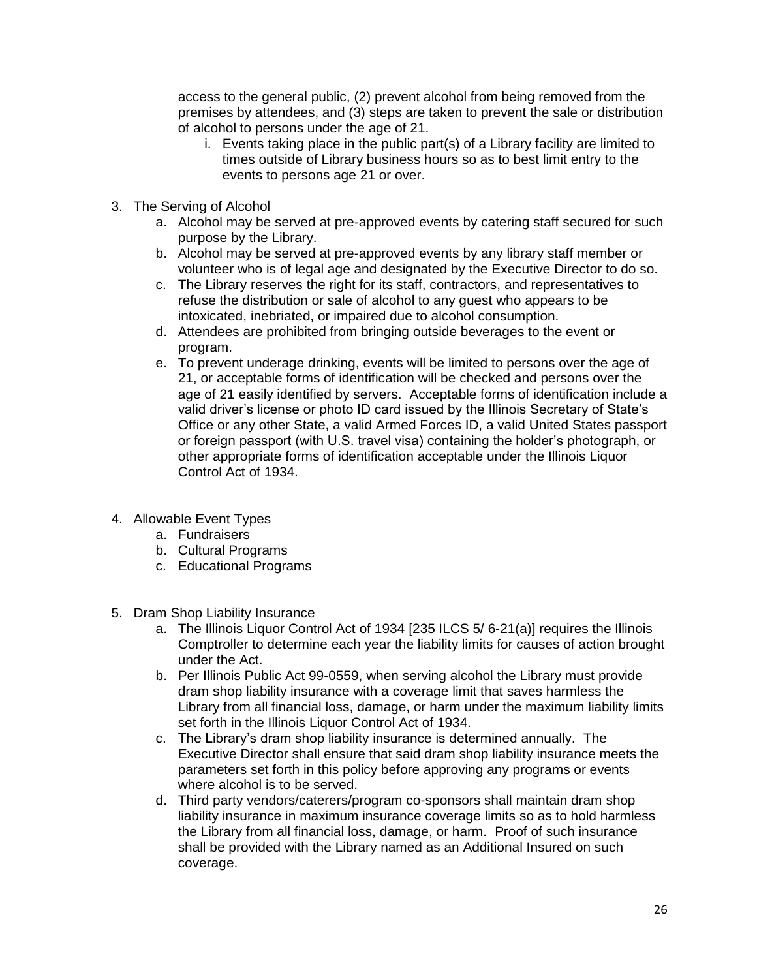access to the general public, (2) prevent alcohol from being removed from the premises by attendees, and (3) steps are taken to prevent the sale or distribution of alcohol to persons under the age of 21.

- i. Events taking place in the public part(s) of a Library facility are limited to times outside of Library business hours so as to best limit entry to the events to persons age 21 or over.
- 3. The Serving of Alcohol
	- a. Alcohol may be served at pre-approved events by catering staff secured for such purpose by the Library.
	- b. Alcohol may be served at pre-approved events by any library staff member or volunteer who is of legal age and designated by the Executive Director to do so.
	- c. The Library reserves the right for its staff, contractors, and representatives to refuse the distribution or sale of alcohol to any guest who appears to be intoxicated, inebriated, or impaired due to alcohol consumption.
	- d. Attendees are prohibited from bringing outside beverages to the event or program.
	- e. To prevent underage drinking, events will be limited to persons over the age of 21, or acceptable forms of identification will be checked and persons over the age of 21 easily identified by servers. Acceptable forms of identification include a valid driver's license or photo ID card issued by the Illinois Secretary of State's Office or any other State, a valid Armed Forces ID, a valid United States passport or foreign passport (with U.S. travel visa) containing the holder's photograph, or other appropriate forms of identification acceptable under the Illinois Liquor Control Act of 1934.
- 4. Allowable Event Types
	- a. Fundraisers
	- b. Cultural Programs
	- c. Educational Programs
- 5. Dram Shop Liability Insurance
	- a. The Illinois Liquor Control Act of 1934 [235 ILCS 5/ 6-21(a)] requires the Illinois Comptroller to determine each year the liability limits for causes of action brought under the Act.
	- b. Per Illinois Public Act 99-0559, when serving alcohol the Library must provide dram shop liability insurance with a coverage limit that saves harmless the Library from all financial loss, damage, or harm under the maximum liability limits set forth in the Illinois Liquor Control Act of 1934.
	- c. The Library's dram shop liability insurance is determined annually. The Executive Director shall ensure that said dram shop liability insurance meets the parameters set forth in this policy before approving any programs or events where alcohol is to be served.
	- d. Third party vendors/caterers/program co-sponsors shall maintain dram shop liability insurance in maximum insurance coverage limits so as to hold harmless the Library from all financial loss, damage, or harm. Proof of such insurance shall be provided with the Library named as an Additional Insured on such coverage.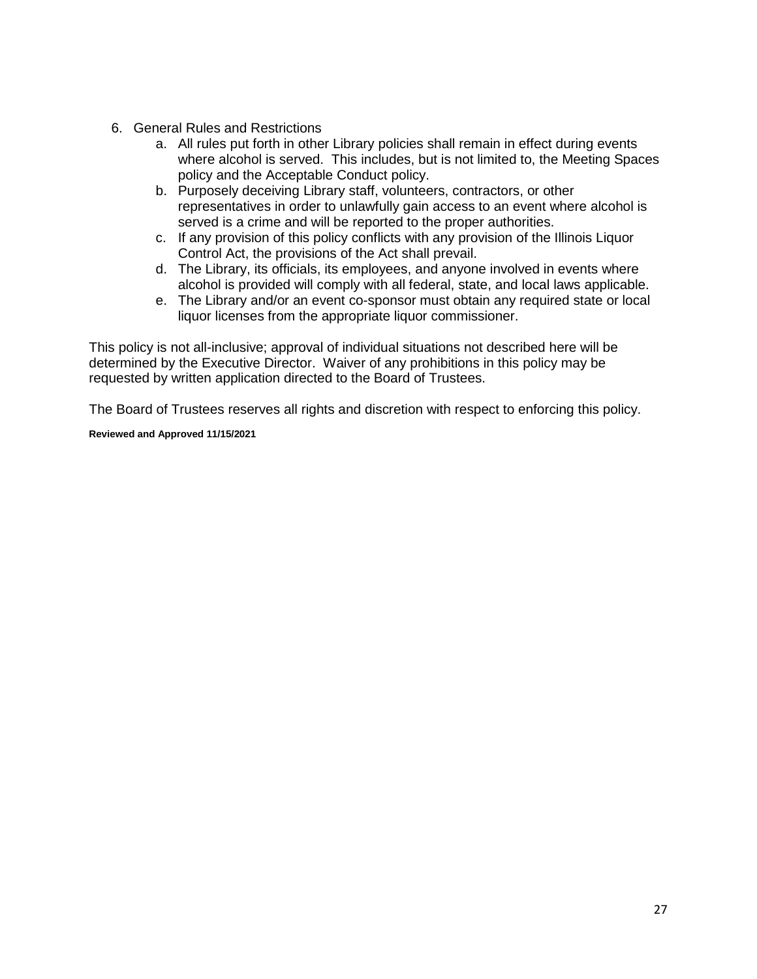- 6. General Rules and Restrictions
	- a. All rules put forth in other Library policies shall remain in effect during events where alcohol is served. This includes, but is not limited to, the Meeting Spaces policy and the Acceptable Conduct policy.
	- b. Purposely deceiving Library staff, volunteers, contractors, or other representatives in order to unlawfully gain access to an event where alcohol is served is a crime and will be reported to the proper authorities.
	- c. If any provision of this policy conflicts with any provision of the Illinois Liquor Control Act, the provisions of the Act shall prevail.
	- d. The Library, its officials, its employees, and anyone involved in events where alcohol is provided will comply with all federal, state, and local laws applicable.
	- e. The Library and/or an event co-sponsor must obtain any required state or local liquor licenses from the appropriate liquor commissioner.

This policy is not all-inclusive; approval of individual situations not described here will be determined by the Executive Director. Waiver of any prohibitions in this policy may be requested by written application directed to the Board of Trustees.

The Board of Trustees reserves all rights and discretion with respect to enforcing this policy.

**Reviewed and Approved 11/15/2021**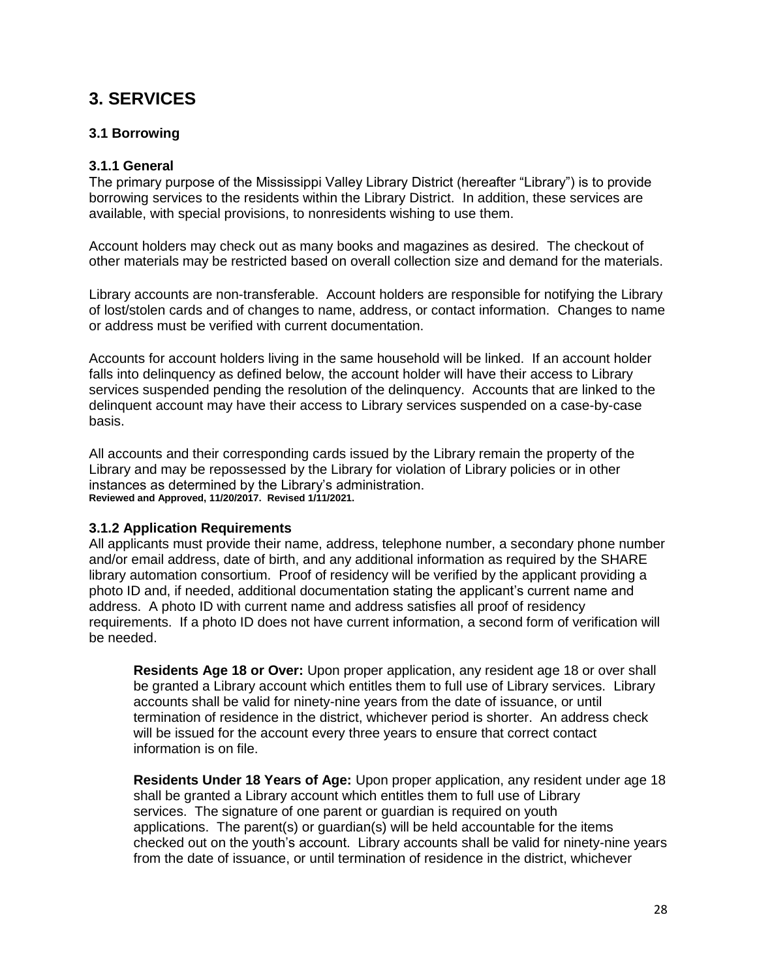## **3. SERVICES**

## **3.1 Borrowing**

## **3.1.1 General**

The primary purpose of the Mississippi Valley Library District (hereafter "Library") is to provide borrowing services to the residents within the Library District. In addition, these services are available, with special provisions, to nonresidents wishing to use them.

Account holders may check out as many books and magazines as desired. The checkout of other materials may be restricted based on overall collection size and demand for the materials.

Library accounts are non-transferable. Account holders are responsible for notifying the Library of lost/stolen cards and of changes to name, address, or contact information. Changes to name or address must be verified with current documentation.

Accounts for account holders living in the same household will be linked. If an account holder falls into delinquency as defined below, the account holder will have their access to Library services suspended pending the resolution of the delinquency. Accounts that are linked to the delinquent account may have their access to Library services suspended on a case-by-case basis.

All accounts and their corresponding cards issued by the Library remain the property of the Library and may be repossessed by the Library for violation of Library policies or in other instances as determined by the Library's administration. **Reviewed and Approved, 11/20/2017. Revised 1/11/2021.**

#### **3.1.2 Application Requirements**

All applicants must provide their name, address, telephone number, a secondary phone number and/or email address, date of birth, and any additional information as required by the SHARE library automation consortium. Proof of residency will be verified by the applicant providing a photo ID and, if needed, additional documentation stating the applicant's current name and address. A photo ID with current name and address satisfies all proof of residency requirements. If a photo ID does not have current information, a second form of verification will be needed.

**Residents Age 18 or Over:** Upon proper application, any resident age 18 or over shall be granted a Library account which entitles them to full use of Library services. Library accounts shall be valid for ninety-nine years from the date of issuance, or until termination of residence in the district, whichever period is shorter. An address check will be issued for the account every three years to ensure that correct contact information is on file.

**Residents Under 18 Years of Age:** Upon proper application, any resident under age 18 shall be granted a Library account which entitles them to full use of Library services. The signature of one parent or guardian is required on youth applications. The parent(s) or guardian(s) will be held accountable for the items checked out on the youth's account. Library accounts shall be valid for ninety-nine years from the date of issuance, or until termination of residence in the district, whichever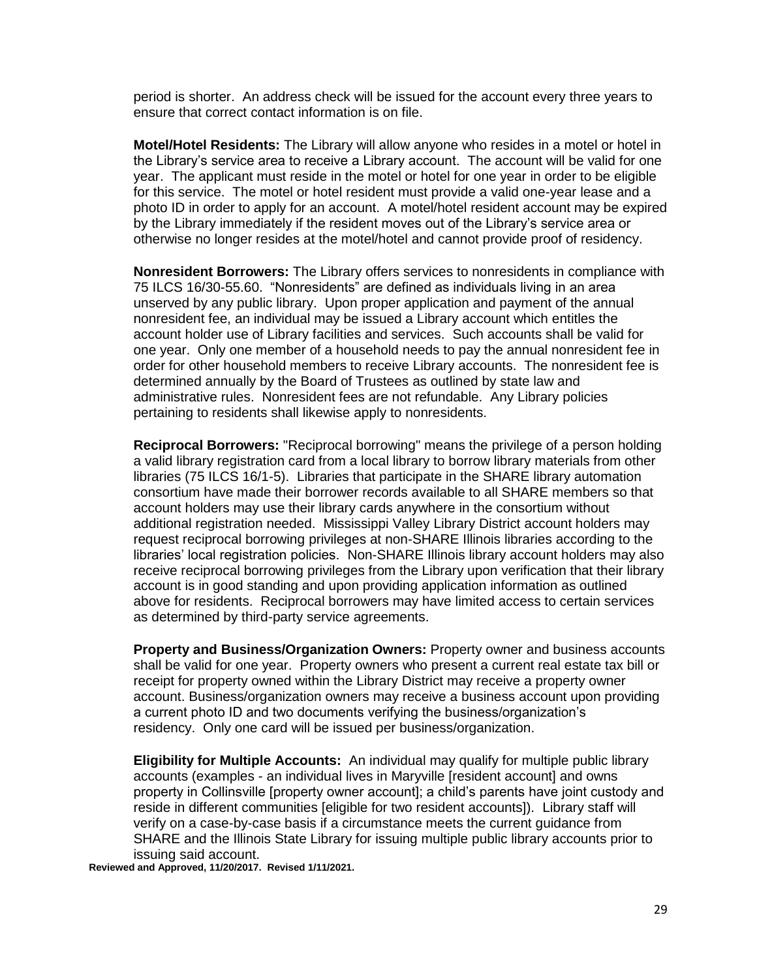period is shorter. An address check will be issued for the account every three years to ensure that correct contact information is on file.

**Motel/Hotel Residents:** The Library will allow anyone who resides in a motel or hotel in the Library's service area to receive a Library account. The account will be valid for one year. The applicant must reside in the motel or hotel for one year in order to be eligible for this service. The motel or hotel resident must provide a valid one-year lease and a photo ID in order to apply for an account. A motel/hotel resident account may be expired by the Library immediately if the resident moves out of the Library's service area or otherwise no longer resides at the motel/hotel and cannot provide proof of residency.

**Nonresident Borrowers:** The Library offers services to nonresidents in compliance with 75 ILCS 16/30-55.60. "Nonresidents" are defined as individuals living in an area unserved by any public library. Upon proper application and payment of the annual nonresident fee, an individual may be issued a Library account which entitles the account holder use of Library facilities and services. Such accounts shall be valid for one year. Only one member of a household needs to pay the annual nonresident fee in order for other household members to receive Library accounts. The nonresident fee is determined annually by the Board of Trustees as outlined by state law and administrative rules. Nonresident fees are not refundable. Any Library policies pertaining to residents shall likewise apply to nonresidents.

**Reciprocal Borrowers:** "Reciprocal borrowing" means the privilege of a person holding a valid library registration card from a local library to borrow library materials from other libraries (75 ILCS 16/1-5). Libraries that participate in the SHARE library automation consortium have made their borrower records available to all SHARE members so that account holders may use their library cards anywhere in the consortium without additional registration needed. Mississippi Valley Library District account holders may request reciprocal borrowing privileges at non-SHARE Illinois libraries according to the libraries' local registration policies. Non-SHARE Illinois library account holders may also receive reciprocal borrowing privileges from the Library upon verification that their library account is in good standing and upon providing application information as outlined above for residents. Reciprocal borrowers may have limited access to certain services as determined by third-party service agreements.

**Property and Business/Organization Owners:** Property owner and business accounts shall be valid for one year. Property owners who present a current real estate tax bill or receipt for property owned within the Library District may receive a property owner account. Business/organization owners may receive a business account upon providing a current photo ID and two documents verifying the business/organization's residency. Only one card will be issued per business/organization.

**Eligibility for Multiple Accounts:** An individual may qualify for multiple public library accounts (examples - an individual lives in Maryville [resident account] and owns property in Collinsville [property owner account]; a child's parents have joint custody and reside in different communities [eligible for two resident accounts]). Library staff will verify on a case-by-case basis if a circumstance meets the current guidance from SHARE and the Illinois State Library for issuing multiple public library accounts prior to issuing said account.

**Reviewed and Approved, 11/20/2017. Revised 1/11/2021.**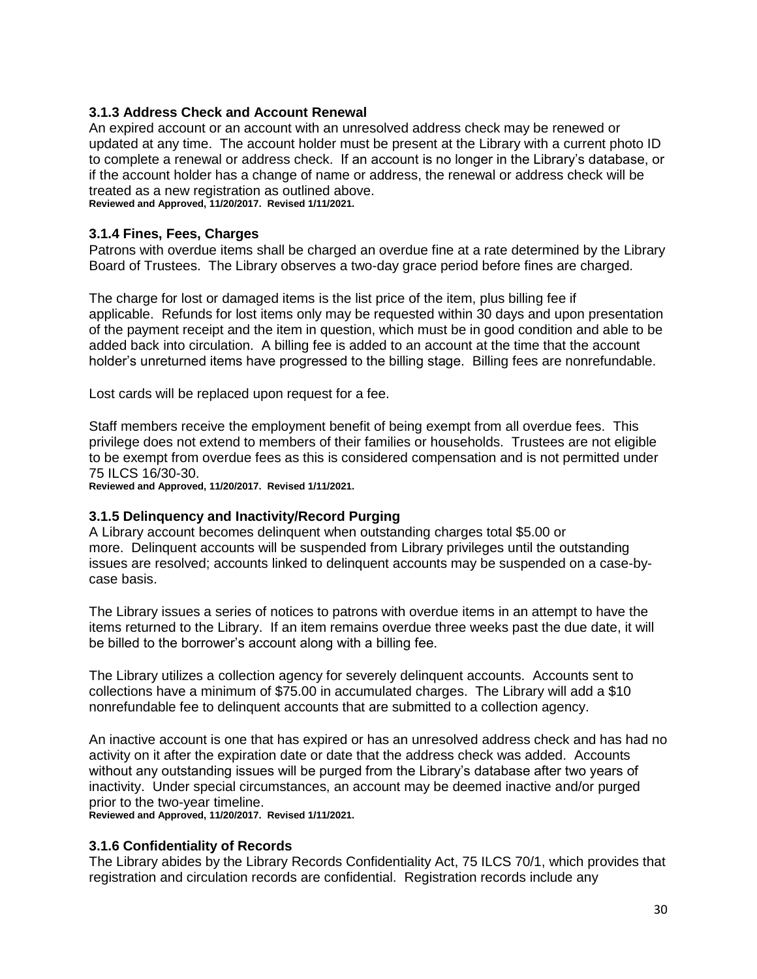#### **3.1.3 Address Check and Account Renewal**

An expired account or an account with an unresolved address check may be renewed or updated at any time. The account holder must be present at the Library with a current photo ID to complete a renewal or address check. If an account is no longer in the Library's database, or if the account holder has a change of name or address, the renewal or address check will be treated as a new registration as outlined above. **Reviewed and Approved, 11/20/2017. Revised 1/11/2021.**

**3.1.4 Fines, Fees, Charges**

Patrons with overdue items shall be charged an overdue fine at a rate determined by the Library Board of Trustees. The Library observes a two-day grace period before fines are charged.

The charge for lost or damaged items is the list price of the item, plus billing fee if applicable. Refunds for lost items only may be requested within 30 days and upon presentation of the payment receipt and the item in question, which must be in good condition and able to be added back into circulation. A billing fee is added to an account at the time that the account holder's unreturned items have progressed to the billing stage. Billing fees are nonrefundable.

Lost cards will be replaced upon request for a fee.

Staff members receive the employment benefit of being exempt from all overdue fees. This privilege does not extend to members of their families or households. Trustees are not eligible to be exempt from overdue fees as this is considered compensation and is not permitted under 75 ILCS 16/30-30.

**Reviewed and Approved, 11/20/2017. Revised 1/11/2021.**

#### **3.1.5 Delinquency and Inactivity/Record Purging**

A Library account becomes delinquent when outstanding charges total \$5.00 or more. Delinquent accounts will be suspended from Library privileges until the outstanding issues are resolved; accounts linked to delinquent accounts may be suspended on a case-bycase basis.

The Library issues a series of notices to patrons with overdue items in an attempt to have the items returned to the Library. If an item remains overdue three weeks past the due date, it will be billed to the borrower's account along with a billing fee.

The Library utilizes a collection agency for severely delinquent accounts. Accounts sent to collections have a minimum of \$75.00 in accumulated charges. The Library will add a \$10 nonrefundable fee to delinquent accounts that are submitted to a collection agency.

An inactive account is one that has expired or has an unresolved address check and has had no activity on it after the expiration date or date that the address check was added. Accounts without any outstanding issues will be purged from the Library's database after two years of inactivity. Under special circumstances, an account may be deemed inactive and/or purged prior to the two-year timeline. **Reviewed and Approved, 11/20/2017. Revised 1/11/2021.**

#### **3.1.6 Confidentiality of Records**

The Library abides by the Library Records Confidentiality Act, 75 ILCS 70/1, which provides that registration and circulation records are confidential. Registration records include any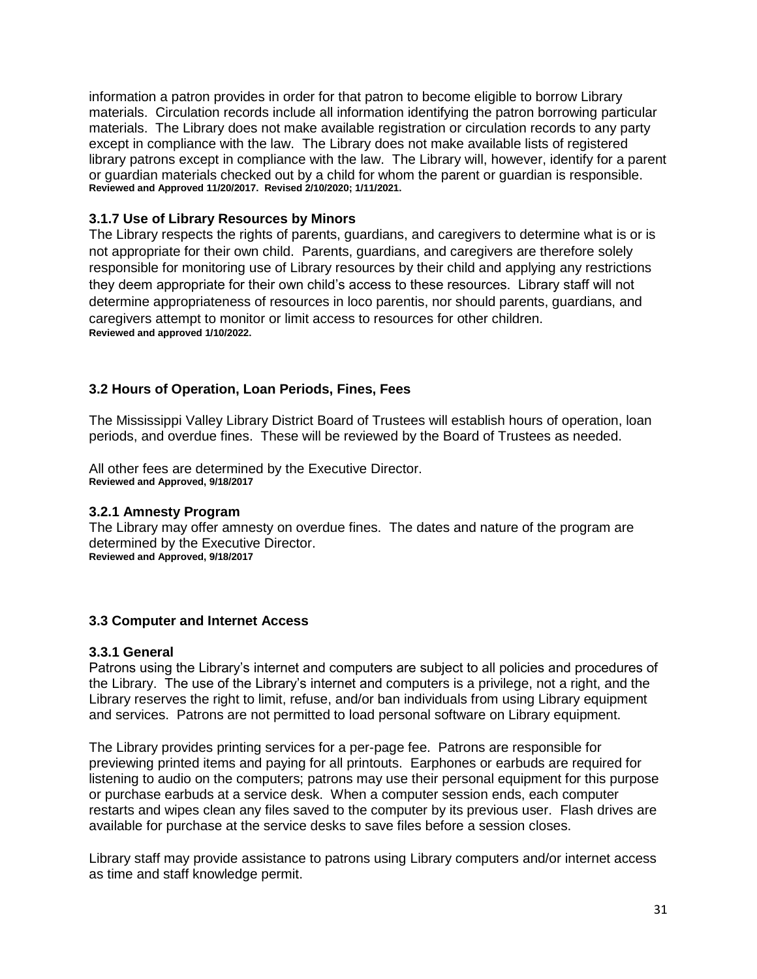information a patron provides in order for that patron to become eligible to borrow Library materials. Circulation records include all information identifying the patron borrowing particular materials. The Library does not make available registration or circulation records to any party except in compliance with the law. The Library does not make available lists of registered library patrons except in compliance with the law. The Library will, however, identify for a parent or guardian materials checked out by a child for whom the parent or guardian is responsible. **Reviewed and Approved 11/20/2017. Revised 2/10/2020; 1/11/2021.**

## **3.1.7 Use of Library Resources by Minors**

The Library respects the rights of parents, guardians, and caregivers to determine what is or is not appropriate for their own child. Parents, guardians, and caregivers are therefore solely responsible for monitoring use of Library resources by their child and applying any restrictions they deem appropriate for their own child's access to these resources. Library staff will not determine appropriateness of resources in loco parentis, nor should parents, guardians, and caregivers attempt to monitor or limit access to resources for other children. **Reviewed and approved 1/10/2022.**

## **3.2 Hours of Operation, Loan Periods, Fines, Fees**

The Mississippi Valley Library District Board of Trustees will establish hours of operation, loan periods, and overdue fines. These will be reviewed by the Board of Trustees as needed.

All other fees are determined by the Executive Director. **Reviewed and Approved, 9/18/2017**

#### **3.2.1 Amnesty Program**

The Library may offer amnesty on overdue fines. The dates and nature of the program are determined by the Executive Director. **Reviewed and Approved, 9/18/2017**

#### **3.3 Computer and Internet Access**

#### **3.3.1 General**

Patrons using the Library's internet and computers are subject to all policies and procedures of the Library. The use of the Library's internet and computers is a privilege, not a right, and the Library reserves the right to limit, refuse, and/or ban individuals from using Library equipment and services. Patrons are not permitted to load personal software on Library equipment.

The Library provides printing services for a per-page fee. Patrons are responsible for previewing printed items and paying for all printouts. Earphones or earbuds are required for listening to audio on the computers; patrons may use their personal equipment for this purpose or purchase earbuds at a service desk. When a computer session ends, each computer restarts and wipes clean any files saved to the computer by its previous user. Flash drives are available for purchase at the service desks to save files before a session closes.

Library staff may provide assistance to patrons using Library computers and/or internet access as time and staff knowledge permit.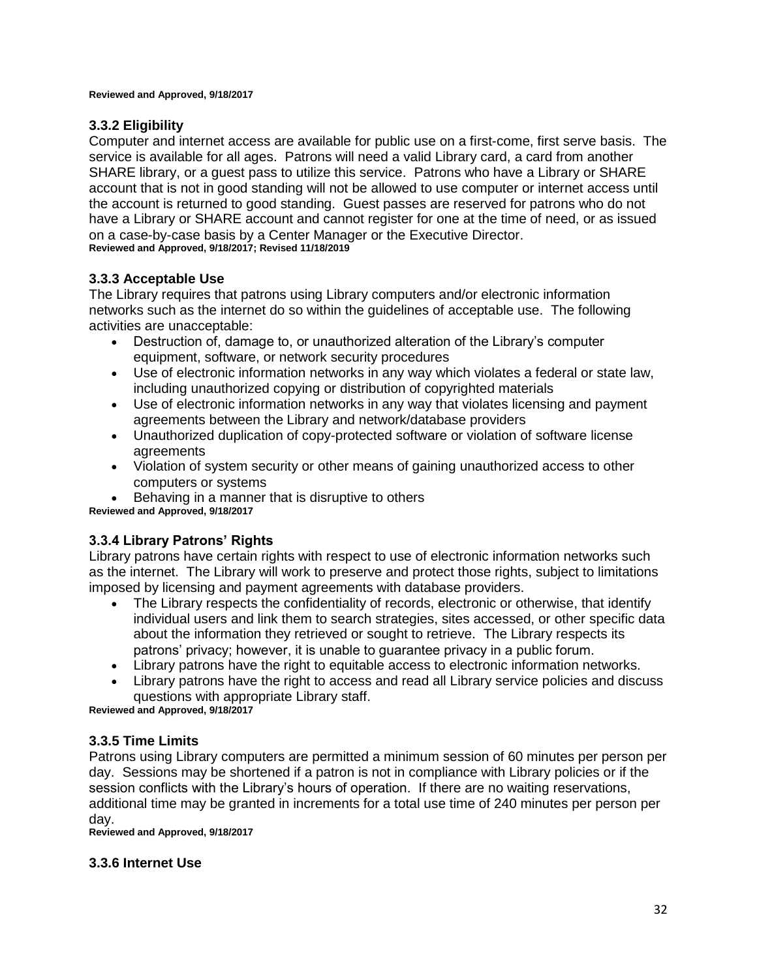#### **Reviewed and Approved, 9/18/2017**

## **3.3.2 Eligibility**

Computer and internet access are available for public use on a first-come, first serve basis. The service is available for all ages. Patrons will need a valid Library card, a card from another SHARE library, or a guest pass to utilize this service. Patrons who have a Library or SHARE account that is not in good standing will not be allowed to use computer or internet access until the account is returned to good standing. Guest passes are reserved for patrons who do not have a Library or SHARE account and cannot register for one at the time of need, or as issued on a case-by-case basis by a Center Manager or the Executive Director. **Reviewed and Approved, 9/18/2017; Revised 11/18/2019**

## **3.3.3 Acceptable Use**

The Library requires that patrons using Library computers and/or electronic information networks such as the internet do so within the guidelines of acceptable use. The following activities are unacceptable:

- Destruction of, damage to, or unauthorized alteration of the Library's computer equipment, software, or network security procedures
- Use of electronic information networks in any way which violates a federal or state law, including unauthorized copying or distribution of copyrighted materials
- Use of electronic information networks in any way that violates licensing and payment agreements between the Library and network/database providers
- Unauthorized duplication of copy-protected software or violation of software license agreements
- Violation of system security or other means of gaining unauthorized access to other computers or systems
- Behaving in a manner that is disruptive to others

**Reviewed and Approved, 9/18/2017**

#### **3.3.4 Library Patrons' Rights**

Library patrons have certain rights with respect to use of electronic information networks such as the internet. The Library will work to preserve and protect those rights, subject to limitations imposed by licensing and payment agreements with database providers.

- The Library respects the confidentiality of records, electronic or otherwise, that identify individual users and link them to search strategies, sites accessed, or other specific data about the information they retrieved or sought to retrieve. The Library respects its patrons' privacy; however, it is unable to guarantee privacy in a public forum.
- Library patrons have the right to equitable access to electronic information networks.
- Library patrons have the right to access and read all Library service policies and discuss questions with appropriate Library staff.

**Reviewed and Approved, 9/18/2017**

#### **3.3.5 Time Limits**

Patrons using Library computers are permitted a minimum session of 60 minutes per person per day. Sessions may be shortened if a patron is not in compliance with Library policies or if the session conflicts with the Library's hours of operation. If there are no waiting reservations, additional time may be granted in increments for a total use time of 240 minutes per person per day.

**Reviewed and Approved, 9/18/2017**

#### **3.3.6 Internet Use**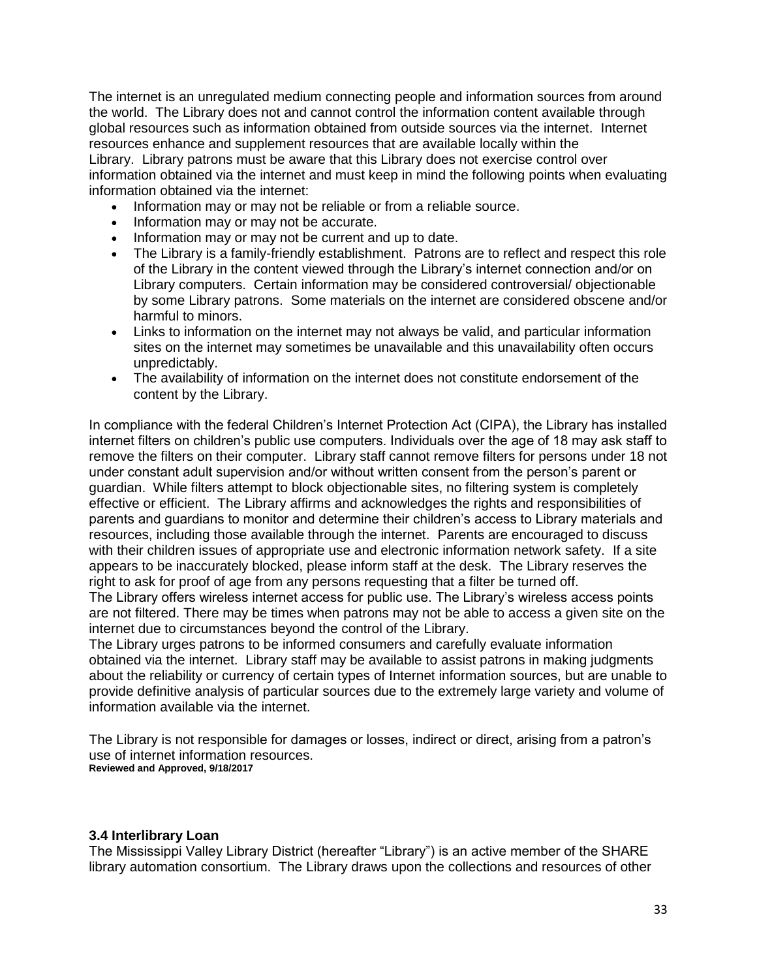The internet is an unregulated medium connecting people and information sources from around the world. The Library does not and cannot control the information content available through global resources such as information obtained from outside sources via the internet. Internet resources enhance and supplement resources that are available locally within the Library. Library patrons must be aware that this Library does not exercise control over information obtained via the internet and must keep in mind the following points when evaluating information obtained via the internet:

- Information may or may not be reliable or from a reliable source.
- Information may or may not be accurate.
- Information may or may not be current and up to date.
- The Library is a family-friendly establishment. Patrons are to reflect and respect this role of the Library in the content viewed through the Library's internet connection and/or on Library computers. Certain information may be considered controversial/ objectionable by some Library patrons. Some materials on the internet are considered obscene and/or harmful to minors.
- Links to information on the internet may not always be valid, and particular information sites on the internet may sometimes be unavailable and this unavailability often occurs unpredictably.
- The availability of information on the internet does not constitute endorsement of the content by the Library.

In compliance with the federal Children's Internet Protection Act (CIPA), the Library has installed internet filters on children's public use computers. Individuals over the age of 18 may ask staff to remove the filters on their computer. Library staff cannot remove filters for persons under 18 not under constant adult supervision and/or without written consent from the person's parent or guardian. While filters attempt to block objectionable sites, no filtering system is completely effective or efficient. The Library affirms and acknowledges the rights and responsibilities of parents and guardians to monitor and determine their children's access to Library materials and resources, including those available through the internet. Parents are encouraged to discuss with their children issues of appropriate use and electronic information network safety. If a site appears to be inaccurately blocked, please inform staff at the desk. The Library reserves the right to ask for proof of age from any persons requesting that a filter be turned off.

The Library offers wireless internet access for public use. The Library's wireless access points are not filtered. There may be times when patrons may not be able to access a given site on the internet due to circumstances beyond the control of the Library.

The Library urges patrons to be informed consumers and carefully evaluate information obtained via the internet. Library staff may be available to assist patrons in making judgments about the reliability or currency of certain types of Internet information sources, but are unable to provide definitive analysis of particular sources due to the extremely large variety and volume of information available via the internet.

The Library is not responsible for damages or losses, indirect or direct, arising from a patron's use of internet information resources. **Reviewed and Approved, 9/18/2017**

#### **3.4 Interlibrary Loan**

The Mississippi Valley Library District (hereafter "Library") is an active member of the SHARE library automation consortium. The Library draws upon the collections and resources of other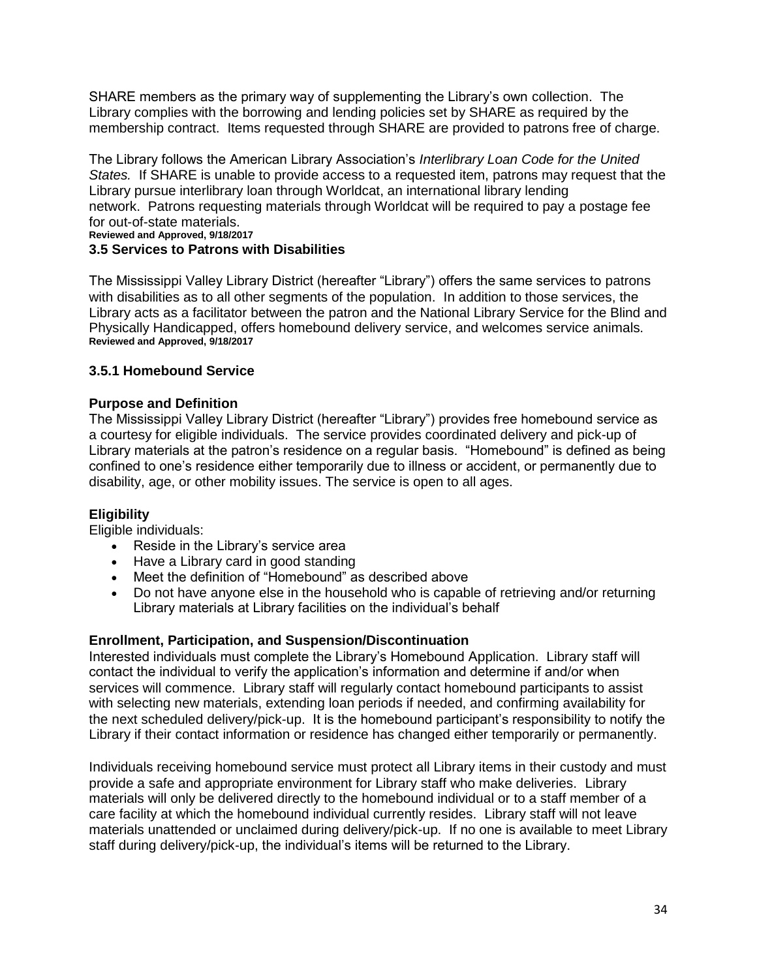SHARE members as the primary way of supplementing the Library's own collection. The Library complies with the borrowing and lending policies set by SHARE as required by the membership contract. Items requested through SHARE are provided to patrons free of charge.

The Library follows the American Library Association's *Interlibrary Loan Code for the United States.* If SHARE is unable to provide access to a requested item, patrons may request that the Library pursue interlibrary loan through Worldcat, an international library lending network. Patrons requesting materials through Worldcat will be required to pay a postage fee for out-of-state materials.

#### **Reviewed and Approved, 9/18/2017**

## **3.5 Services to Patrons with Disabilities**

The Mississippi Valley Library District (hereafter "Library") offers the same services to patrons with disabilities as to all other segments of the population. In addition to those services, the Library acts as a facilitator between the patron and the National Library Service for the Blind and Physically Handicapped, offers homebound delivery service, and welcomes service animals. **Reviewed and Approved, 9/18/2017**

#### **3.5.1 Homebound Service**

#### **Purpose and Definition**

The Mississippi Valley Library District (hereafter "Library") provides free homebound service as a courtesy for eligible individuals. The service provides coordinated delivery and pick-up of Library materials at the patron's residence on a regular basis. "Homebound" is defined as being confined to one's residence either temporarily due to illness or accident, or permanently due to disability, age, or other mobility issues. The service is open to all ages.

#### **Eligibility**

Eligible individuals:

- Reside in the Library's service area
- Have a Library card in good standing
- Meet the definition of "Homebound" as described above
- Do not have anyone else in the household who is capable of retrieving and/or returning Library materials at Library facilities on the individual's behalf

#### **Enrollment, Participation, and Suspension/Discontinuation**

Interested individuals must complete the Library's Homebound Application. Library staff will contact the individual to verify the application's information and determine if and/or when services will commence. Library staff will regularly contact homebound participants to assist with selecting new materials, extending loan periods if needed, and confirming availability for the next scheduled delivery/pick-up. It is the homebound participant's responsibility to notify the Library if their contact information or residence has changed either temporarily or permanently.

Individuals receiving homebound service must protect all Library items in their custody and must provide a safe and appropriate environment for Library staff who make deliveries. Library materials will only be delivered directly to the homebound individual or to a staff member of a care facility at which the homebound individual currently resides. Library staff will not leave materials unattended or unclaimed during delivery/pick-up. If no one is available to meet Library staff during delivery/pick-up, the individual's items will be returned to the Library.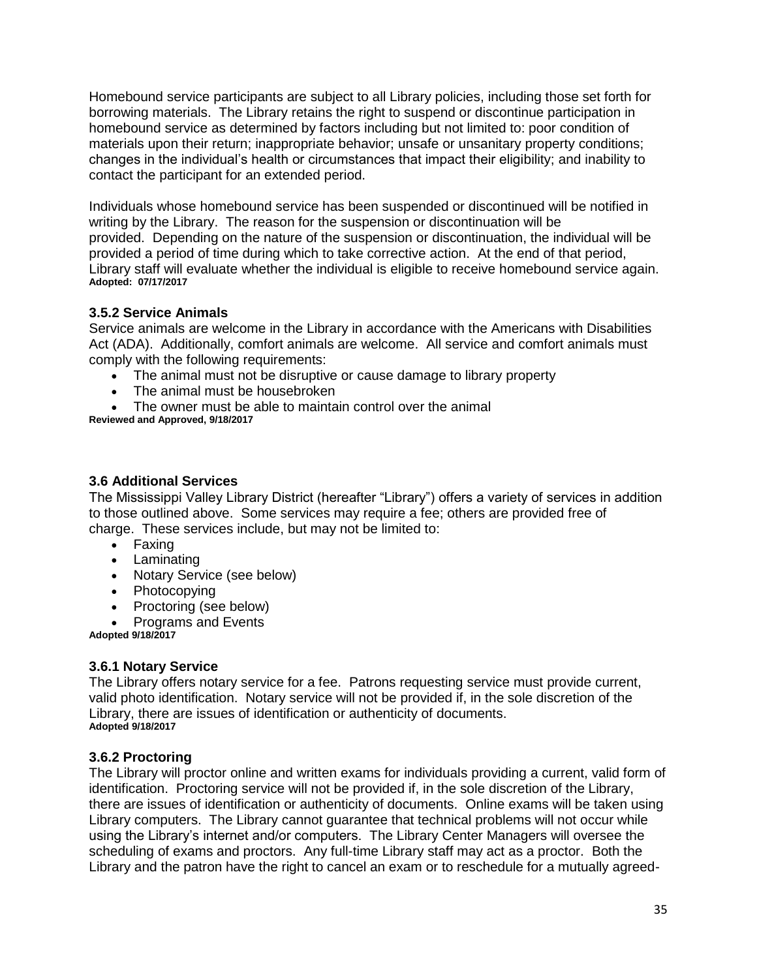Homebound service participants are subject to all Library policies, including those set forth for borrowing materials. The Library retains the right to suspend or discontinue participation in homebound service as determined by factors including but not limited to: poor condition of materials upon their return; inappropriate behavior; unsafe or unsanitary property conditions; changes in the individual's health or circumstances that impact their eligibility; and inability to contact the participant for an extended period.

Individuals whose homebound service has been suspended or discontinued will be notified in writing by the Library. The reason for the suspension or discontinuation will be provided. Depending on the nature of the suspension or discontinuation, the individual will be provided a period of time during which to take corrective action. At the end of that period, Library staff will evaluate whether the individual is eligible to receive homebound service again. **Adopted: 07/17/2017**

## **3.5.2 Service Animals**

Service animals are welcome in the Library in accordance with the Americans with Disabilities Act (ADA). Additionally, comfort animals are welcome. All service and comfort animals must comply with the following requirements:

- The animal must not be disruptive or cause damage to library property
- The animal must be housebroken
- The owner must be able to maintain control over the animal
- **Reviewed and Approved, 9/18/2017**

#### **3.6 Additional Services**

The Mississippi Valley Library District (hereafter "Library") offers a variety of services in addition to those outlined above. Some services may require a fee; others are provided free of charge. These services include, but may not be limited to:

- Faxing
- Laminating
- Notary Service (see below)
- Photocopying
- Proctoring (see below)
- Programs and Events

**Adopted 9/18/2017**

#### **3.6.1 Notary Service**

The Library offers notary service for a fee. Patrons requesting service must provide current, valid photo identification. Notary service will not be provided if, in the sole discretion of the Library, there are issues of identification or authenticity of documents. **Adopted 9/18/2017**

## **3.6.2 Proctoring**

The Library will proctor online and written exams for individuals providing a current, valid form of identification. Proctoring service will not be provided if, in the sole discretion of the Library, there are issues of identification or authenticity of documents. Online exams will be taken using Library computers. The Library cannot guarantee that technical problems will not occur while using the Library's internet and/or computers. The Library Center Managers will oversee the scheduling of exams and proctors. Any full-time Library staff may act as a proctor. Both the Library and the patron have the right to cancel an exam or to reschedule for a mutually agreed-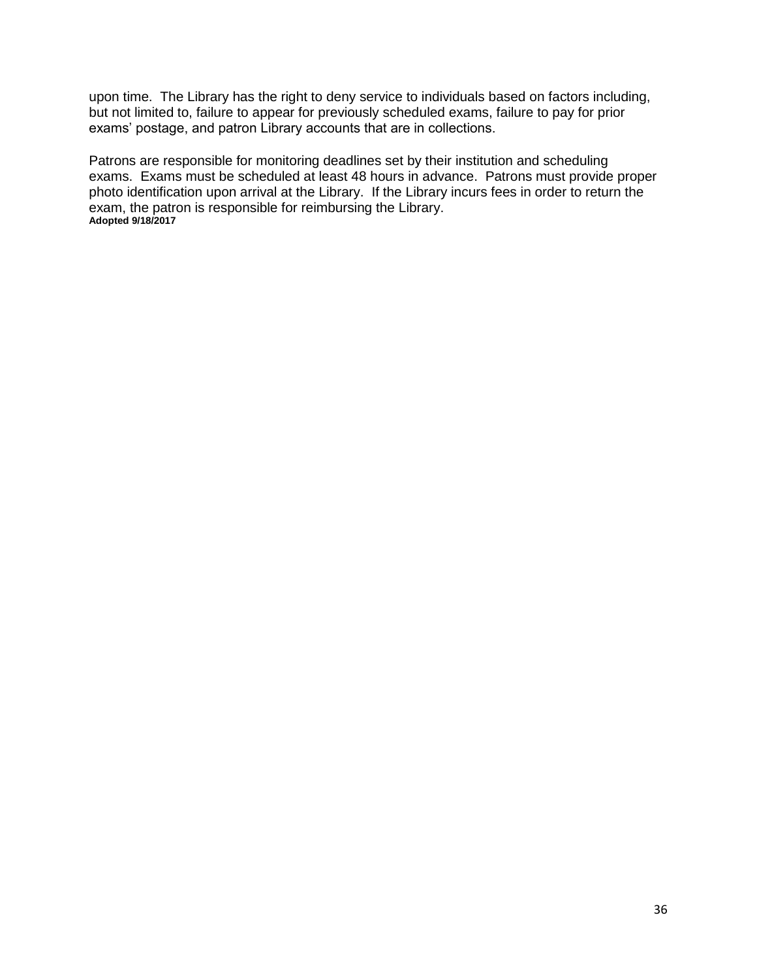upon time. The Library has the right to deny service to individuals based on factors including, but not limited to, failure to appear for previously scheduled exams, failure to pay for prior exams' postage, and patron Library accounts that are in collections.

Patrons are responsible for monitoring deadlines set by their institution and scheduling exams. Exams must be scheduled at least 48 hours in advance. Patrons must provide proper photo identification upon arrival at the Library. If the Library incurs fees in order to return the exam, the patron is responsible for reimbursing the Library. **Adopted 9/18/2017**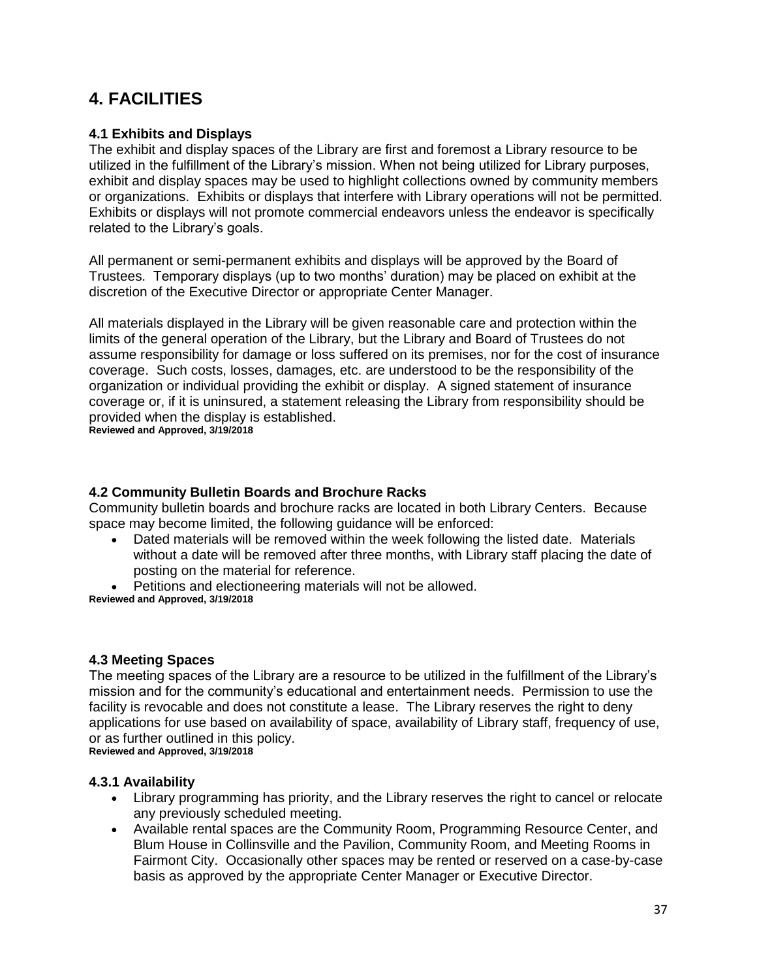## **4. FACILITIES**

## **4.1 Exhibits and Displays**

The exhibit and display spaces of the Library are first and foremost a Library resource to be utilized in the fulfillment of the Library's mission. When not being utilized for Library purposes, exhibit and display spaces may be used to highlight collections owned by community members or organizations. Exhibits or displays that interfere with Library operations will not be permitted. Exhibits or displays will not promote commercial endeavors unless the endeavor is specifically related to the Library's goals.

All permanent or semi-permanent exhibits and displays will be approved by the Board of Trustees. Temporary displays (up to two months' duration) may be placed on exhibit at the discretion of the Executive Director or appropriate Center Manager.

All materials displayed in the Library will be given reasonable care and protection within the limits of the general operation of the Library, but the Library and Board of Trustees do not assume responsibility for damage or loss suffered on its premises, nor for the cost of insurance coverage. Such costs, losses, damages, etc. are understood to be the responsibility of the organization or individual providing the exhibit or display. A signed statement of insurance coverage or, if it is uninsured, a statement releasing the Library from responsibility should be provided when the display is established.

**Reviewed and Approved, 3/19/2018**

## **4.2 Community Bulletin Boards and Brochure Racks**

Community bulletin boards and brochure racks are located in both Library Centers. Because space may become limited, the following guidance will be enforced:

 Dated materials will be removed within the week following the listed date. Materials without a date will be removed after three months, with Library staff placing the date of posting on the material for reference.

 Petitions and electioneering materials will not be allowed. **Reviewed and Approved, 3/19/2018**

## **4.3 Meeting Spaces**

The meeting spaces of the Library are a resource to be utilized in the fulfillment of the Library's mission and for the community's educational and entertainment needs. Permission to use the facility is revocable and does not constitute a lease. The Library reserves the right to deny applications for use based on availability of space, availability of Library staff, frequency of use, or as further outlined in this policy. **Reviewed and Approved, 3/19/2018**

#### **4.3.1 Availability**

- Library programming has priority, and the Library reserves the right to cancel or relocate any previously scheduled meeting.
- Available rental spaces are the Community Room, Programming Resource Center, and Blum House in Collinsville and the Pavilion, Community Room, and Meeting Rooms in Fairmont City. Occasionally other spaces may be rented or reserved on a case-by-case basis as approved by the appropriate Center Manager or Executive Director.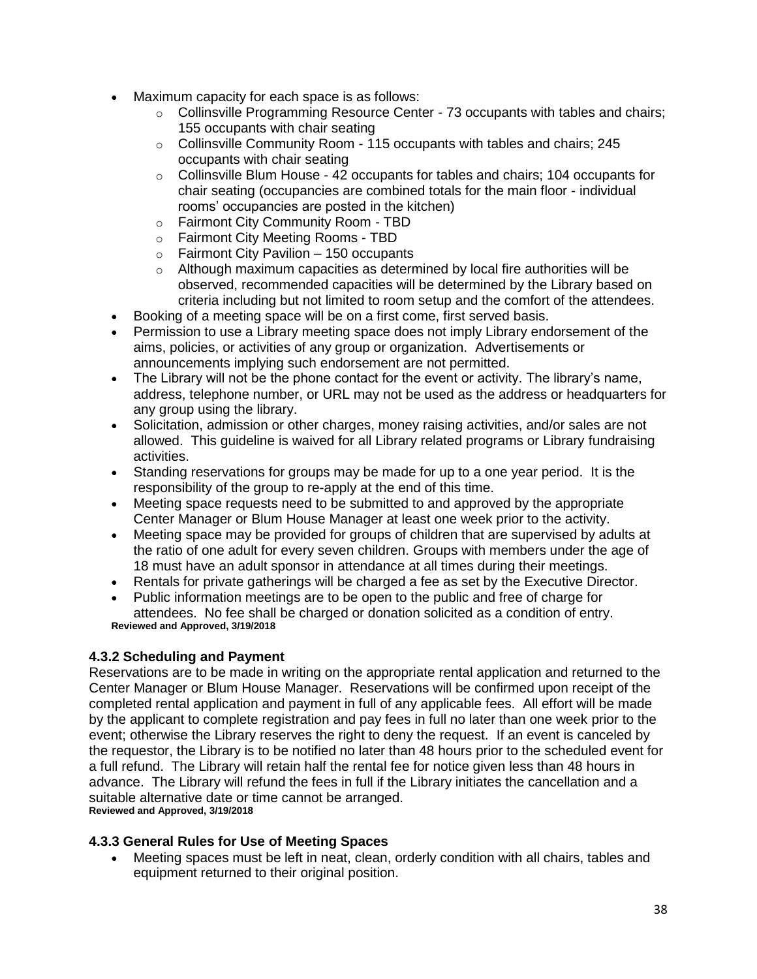- Maximum capacity for each space is as follows:
	- o Collinsville Programming Resource Center 73 occupants with tables and chairs; 155 occupants with chair seating
	- o Collinsville Community Room 115 occupants with tables and chairs; 245 occupants with chair seating
	- $\circ$  Collinsville Blum House 42 occupants for tables and chairs; 104 occupants for chair seating (occupancies are combined totals for the main floor - individual rooms' occupancies are posted in the kitchen)
	- o Fairmont City Community Room TBD
	- o Fairmont City Meeting Rooms TBD
	- $\circ$  Fairmont City Pavilion 150 occupants
	- $\circ$  Although maximum capacities as determined by local fire authorities will be observed, recommended capacities will be determined by the Library based on criteria including but not limited to room setup and the comfort of the attendees.
- Booking of a meeting space will be on a first come, first served basis.
- Permission to use a Library meeting space does not imply Library endorsement of the aims, policies, or activities of any group or organization. Advertisements or announcements implying such endorsement are not permitted.
- The Library will not be the phone contact for the event or activity. The library's name, address, telephone number, or URL may not be used as the address or headquarters for any group using the library.
- Solicitation, admission or other charges, money raising activities, and/or sales are not allowed. This guideline is waived for all Library related programs or Library fundraising activities.
- Standing reservations for groups may be made for up to a one year period. It is the responsibility of the group to re-apply at the end of this time.
- Meeting space requests need to be submitted to and approved by the appropriate Center Manager or Blum House Manager at least one week prior to the activity.
- Meeting space may be provided for groups of children that are supervised by adults at the ratio of one adult for every seven children. Groups with members under the age of 18 must have an adult sponsor in attendance at all times during their meetings.
- Rentals for private gatherings will be charged a fee as set by the Executive Director.
- Public information meetings are to be open to the public and free of charge for attendees. No fee shall be charged or donation solicited as a condition of entry. **Reviewed and Approved, 3/19/2018**

## **4.3.2 Scheduling and Payment**

Reservations are to be made in writing on the appropriate rental application and returned to the Center Manager or Blum House Manager. Reservations will be confirmed upon receipt of the completed rental application and payment in full of any applicable fees. All effort will be made by the applicant to complete registration and pay fees in full no later than one week prior to the event; otherwise the Library reserves the right to deny the request. If an event is canceled by the requestor, the Library is to be notified no later than 48 hours prior to the scheduled event for a full refund. The Library will retain half the rental fee for notice given less than 48 hours in advance. The Library will refund the fees in full if the Library initiates the cancellation and a suitable alternative date or time cannot be arranged. **Reviewed and Approved, 3/19/2018**

## **4.3.3 General Rules for Use of Meeting Spaces**

 Meeting spaces must be left in neat, clean, orderly condition with all chairs, tables and equipment returned to their original position.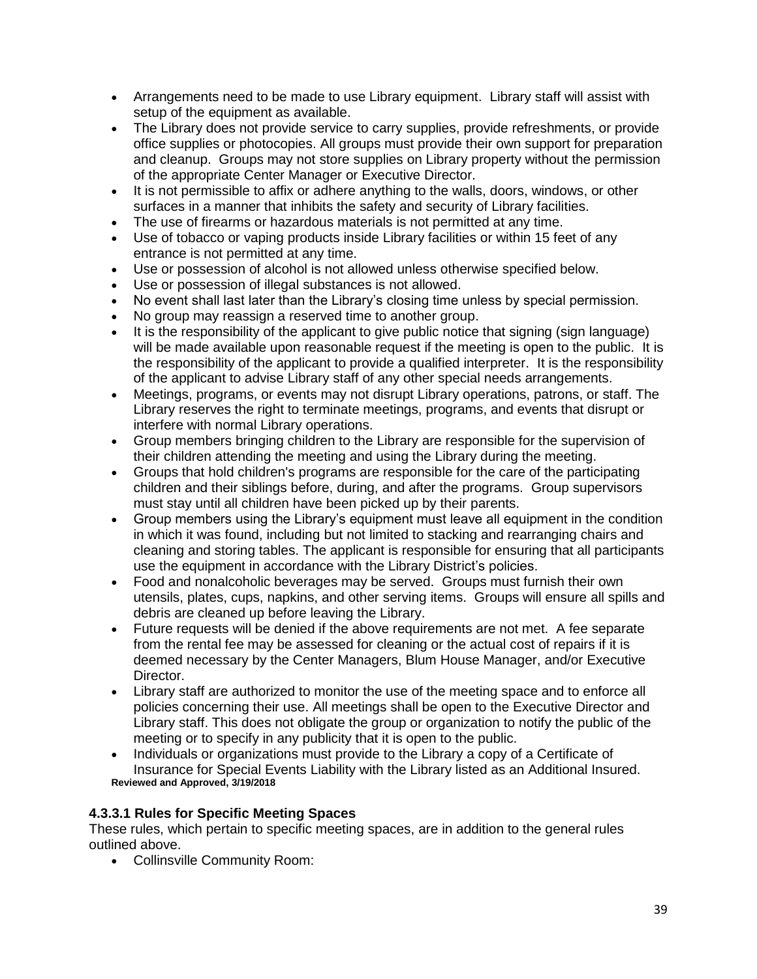- Arrangements need to be made to use Library equipment. Library staff will assist with setup of the equipment as available.
- The Library does not provide service to carry supplies, provide refreshments, or provide office supplies or photocopies. All groups must provide their own support for preparation and cleanup. Groups may not store supplies on Library property without the permission of the appropriate Center Manager or Executive Director.
- It is not permissible to affix or adhere anything to the walls, doors, windows, or other surfaces in a manner that inhibits the safety and security of Library facilities.
- The use of firearms or hazardous materials is not permitted at any time.
- Use of tobacco or vaping products inside Library facilities or within 15 feet of any entrance is not permitted at any time.
- Use or possession of alcohol is not allowed unless otherwise specified below.
- Use or possession of illegal substances is not allowed.
- No event shall last later than the Library's closing time unless by special permission.
- No group may reassign a reserved time to another group.
- It is the responsibility of the applicant to give public notice that signing (sign language) will be made available upon reasonable request if the meeting is open to the public. It is the responsibility of the applicant to provide a qualified interpreter. It is the responsibility of the applicant to advise Library staff of any other special needs arrangements.
- Meetings, programs, or events may not disrupt Library operations, patrons, or staff. The Library reserves the right to terminate meetings, programs, and events that disrupt or interfere with normal Library operations.
- Group members bringing children to the Library are responsible for the supervision of their children attending the meeting and using the Library during the meeting.
- Groups that hold children's programs are responsible for the care of the participating children and their siblings before, during, and after the programs. Group supervisors must stay until all children have been picked up by their parents.
- Group members using the Library's equipment must leave all equipment in the condition in which it was found, including but not limited to stacking and rearranging chairs and cleaning and storing tables. The applicant is responsible for ensuring that all participants use the equipment in accordance with the Library District's policies.
- Food and nonalcoholic beverages may be served. Groups must furnish their own utensils, plates, cups, napkins, and other serving items. Groups will ensure all spills and debris are cleaned up before leaving the Library.
- Future requests will be denied if the above requirements are not met. A fee separate from the rental fee may be assessed for cleaning or the actual cost of repairs if it is deemed necessary by the Center Managers, Blum House Manager, and/or Executive Director.
- Library staff are authorized to monitor the use of the meeting space and to enforce all policies concerning their use. All meetings shall be open to the Executive Director and Library staff. This does not obligate the group or organization to notify the public of the meeting or to specify in any publicity that it is open to the public.
- Individuals or organizations must provide to the Library a copy of a Certificate of Insurance for Special Events Liability with the Library listed as an Additional Insured. **Reviewed and Approved, 3/19/2018**

## **4.3.3.1 Rules for Specific Meeting Spaces**

These rules, which pertain to specific meeting spaces, are in addition to the general rules outlined above.

Collinsville Community Room: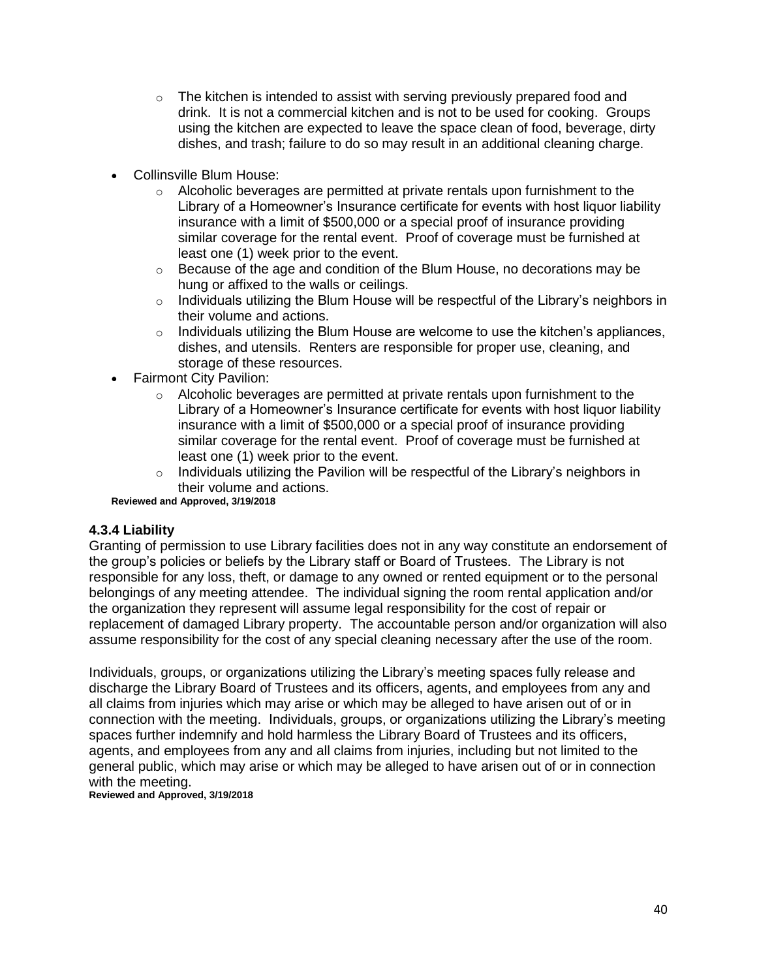- $\circ$  The kitchen is intended to assist with serving previously prepared food and drink. It is not a commercial kitchen and is not to be used for cooking. Groups using the kitchen are expected to leave the space clean of food, beverage, dirty dishes, and trash; failure to do so may result in an additional cleaning charge.
- Collinsville Blum House:
	- $\circ$  Alcoholic beverages are permitted at private rentals upon furnishment to the Library of a Homeowner's Insurance certificate for events with host liquor liability insurance with a limit of \$500,000 or a special proof of insurance providing similar coverage for the rental event. Proof of coverage must be furnished at least one (1) week prior to the event.
	- $\circ$  Because of the age and condition of the Blum House, no decorations may be hung or affixed to the walls or ceilings.
	- o Individuals utilizing the Blum House will be respectful of the Library's neighbors in their volume and actions.
	- $\circ$  Individuals utilizing the Blum House are welcome to use the kitchen's appliances, dishes, and utensils. Renters are responsible for proper use, cleaning, and storage of these resources.
- Fairmont City Pavilion:
	- $\circ$  Alcoholic beverages are permitted at private rentals upon furnishment to the Library of a Homeowner's Insurance certificate for events with host liquor liability insurance with a limit of \$500,000 or a special proof of insurance providing similar coverage for the rental event. Proof of coverage must be furnished at least one (1) week prior to the event.
	- $\circ$  Individuals utilizing the Pavilion will be respectful of the Library's neighbors in their volume and actions.

**Reviewed and Approved, 3/19/2018**

#### **4.3.4 Liability**

Granting of permission to use Library facilities does not in any way constitute an endorsement of the group's policies or beliefs by the Library staff or Board of Trustees. The Library is not responsible for any loss, theft, or damage to any owned or rented equipment or to the personal belongings of any meeting attendee. The individual signing the room rental application and/or the organization they represent will assume legal responsibility for the cost of repair or replacement of damaged Library property. The accountable person and/or organization will also assume responsibility for the cost of any special cleaning necessary after the use of the room.

Individuals, groups, or organizations utilizing the Library's meeting spaces fully release and discharge the Library Board of Trustees and its officers, agents, and employees from any and all claims from injuries which may arise or which may be alleged to have arisen out of or in connection with the meeting. Individuals, groups, or organizations utilizing the Library's meeting spaces further indemnify and hold harmless the Library Board of Trustees and its officers, agents, and employees from any and all claims from injuries, including but not limited to the general public, which may arise or which may be alleged to have arisen out of or in connection with the meeting.

**Reviewed and Approved, 3/19/2018**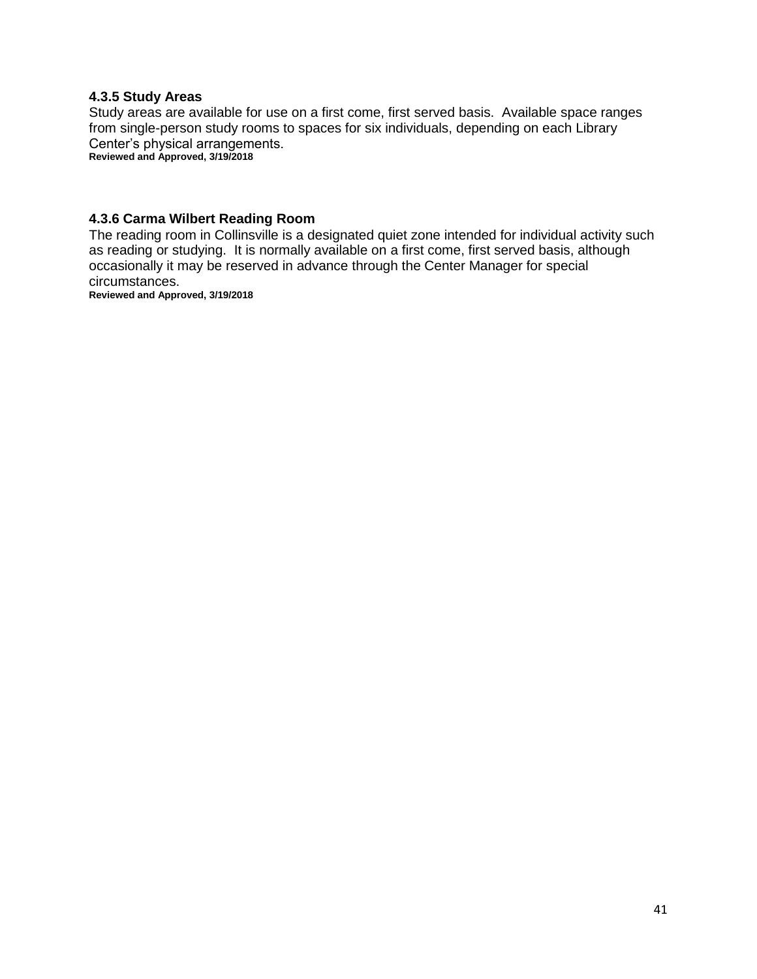#### **4.3.5 Study Areas**

Study areas are available for use on a first come, first served basis. Available space ranges from single-person study rooms to spaces for six individuals, depending on each Library Center's physical arrangements.

**Reviewed and Approved, 3/19/2018**

#### **4.3.6 Carma Wilbert Reading Room**

The reading room in Collinsville is a designated quiet zone intended for individual activity such as reading or studying. It is normally available on a first come, first served basis, although occasionally it may be reserved in advance through the Center Manager for special circumstances.

**Reviewed and Approved, 3/19/2018**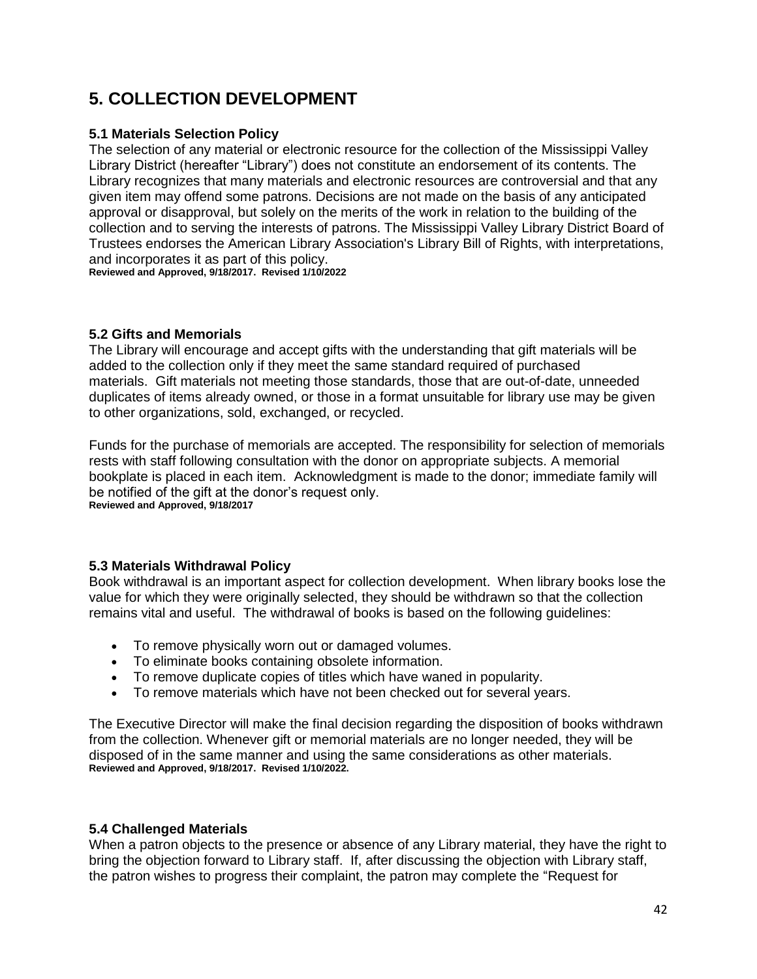## **5. COLLECTION DEVELOPMENT**

## **5.1 Materials Selection Policy**

The selection of any material or electronic resource for the collection of the Mississippi Valley Library District (hereafter "Library") does not constitute an endorsement of its contents. The Library recognizes that many materials and electronic resources are controversial and that any given item may offend some patrons. Decisions are not made on the basis of any anticipated approval or disapproval, but solely on the merits of the work in relation to the building of the collection and to serving the interests of patrons. The Mississippi Valley Library District Board of Trustees endorses the American Library Association's Library Bill of Rights, with interpretations, and incorporates it as part of this policy.

**Reviewed and Approved, 9/18/2017. Revised 1/10/2022**

## **5.2 Gifts and Memorials**

The Library will encourage and accept gifts with the understanding that gift materials will be added to the collection only if they meet the same standard required of purchased materials. Gift materials not meeting those standards, those that are out-of-date, unneeded duplicates of items already owned, or those in a format unsuitable for library use may be given to other organizations, sold, exchanged, or recycled.

Funds for the purchase of memorials are accepted. The responsibility for selection of memorials rests with staff following consultation with the donor on appropriate subjects. A memorial bookplate is placed in each item. Acknowledgment is made to the donor; immediate family will be notified of the gift at the donor's request only. **Reviewed and Approved, 9/18/2017**

## **5.3 Materials Withdrawal Policy**

Book withdrawal is an important aspect for collection development. When library books lose the value for which they were originally selected, they should be withdrawn so that the collection remains vital and useful. The withdrawal of books is based on the following guidelines:

- To remove physically worn out or damaged volumes.
- To eliminate books containing obsolete information.
- To remove duplicate copies of titles which have waned in popularity.
- To remove materials which have not been checked out for several years.

The Executive Director will make the final decision regarding the disposition of books withdrawn from the collection. Whenever gift or memorial materials are no longer needed, they will be disposed of in the same manner and using the same considerations as other materials. **Reviewed and Approved, 9/18/2017. Revised 1/10/2022.**

#### **5.4 Challenged Materials**

When a patron objects to the presence or absence of any Library material, they have the right to bring the objection forward to Library staff. If, after discussing the objection with Library staff, the patron wishes to progress their complaint, the patron may complete the "Request for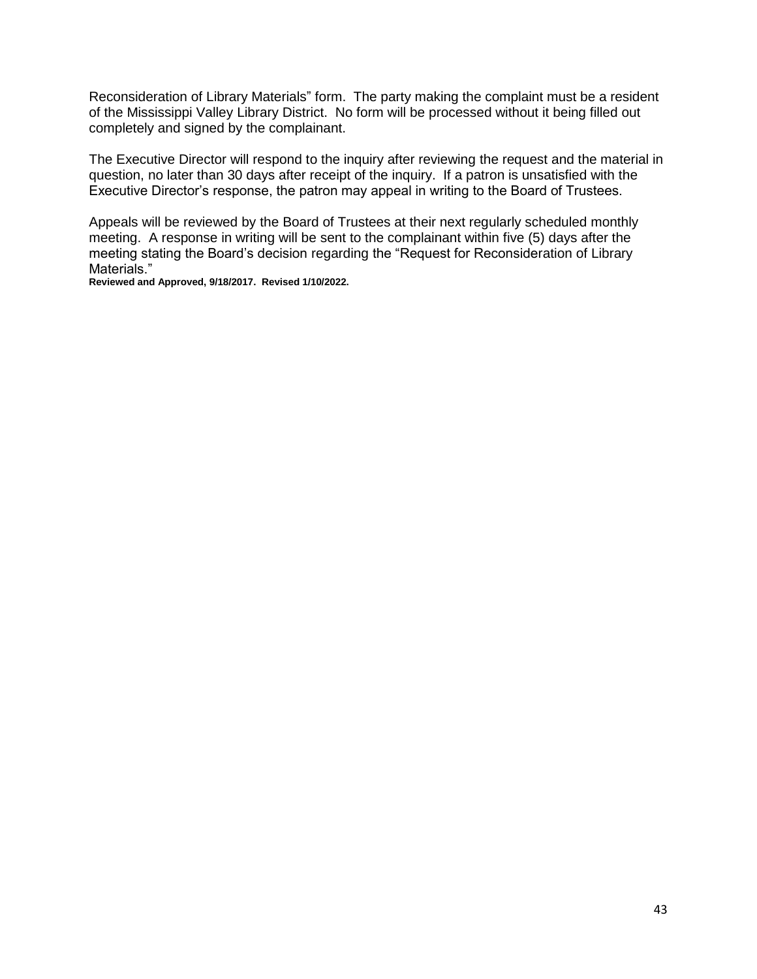Reconsideration of Library Materials" form. The party making the complaint must be a resident of the Mississippi Valley Library District. No form will be processed without it being filled out completely and signed by the complainant.

The Executive Director will respond to the inquiry after reviewing the request and the material in question, no later than 30 days after receipt of the inquiry. If a patron is unsatisfied with the Executive Director's response, the patron may appeal in writing to the Board of Trustees.

Appeals will be reviewed by the Board of Trustees at their next regularly scheduled monthly meeting. A response in writing will be sent to the complainant within five (5) days after the meeting stating the Board's decision regarding the "Request for Reconsideration of Library Materials."

**Reviewed and Approved, 9/18/2017. Revised 1/10/2022.**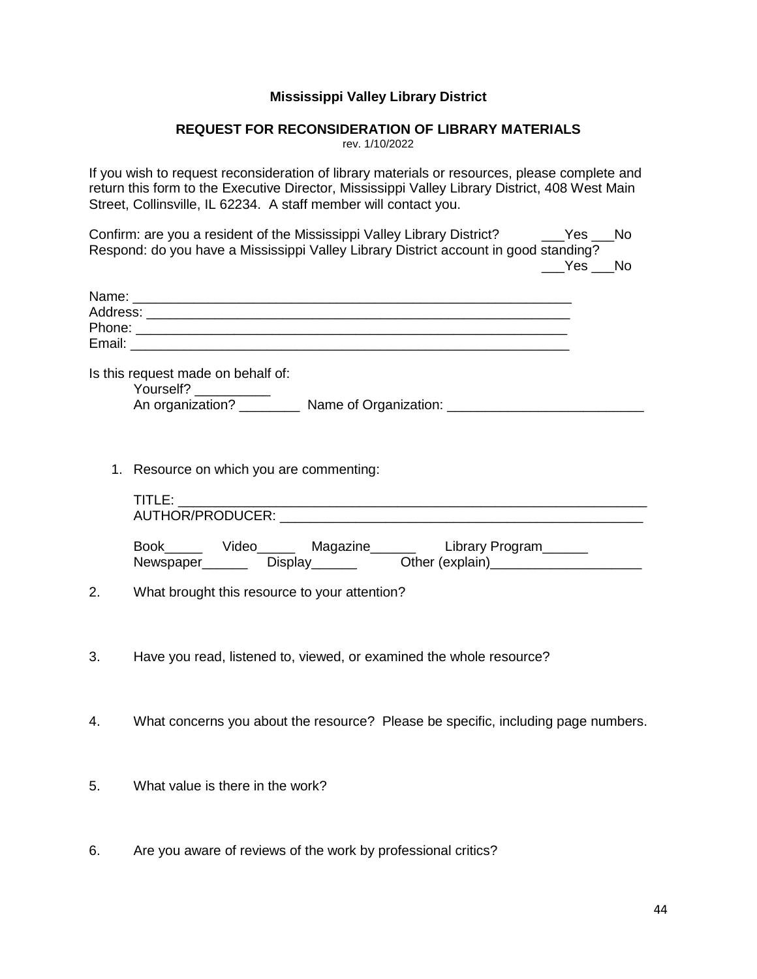### **Mississippi Valley Library District**

#### **REQUEST FOR RECONSIDERATION OF LIBRARY MATERIALS**

rev. 1/10/2022

If you wish to request reconsideration of library materials or resources, please complete and return this form to the Executive Director, Mississippi Valley Library District, 408 West Main Street, Collinsville, IL 62234. A staff member will contact you.

Confirm: are you a resident of the Mississippi Valley Library District? The State No Respond: do you have a Mississippi Valley Library District account in good standing? Yes No

| Is this request made on behalf of:<br>Yourself? ___________<br>An organization? ____________ Name of Organization: ____________________________       |  |
|-------------------------------------------------------------------------------------------------------------------------------------------------------|--|
| 1. Resource on which you are commenting:                                                                                                              |  |
|                                                                                                                                                       |  |
| Book_______ Video_________ Magazine_____________ Library Program________<br>Newspaper_________ Display________ Other (explain)_______________________ |  |

2. What brought this resource to your attention?

- 3. Have you read, listened to, viewed, or examined the whole resource?
- 4. What concerns you about the resource? Please be specific, including page numbers.
- 5. What value is there in the work?
- 6. Are you aware of reviews of the work by professional critics?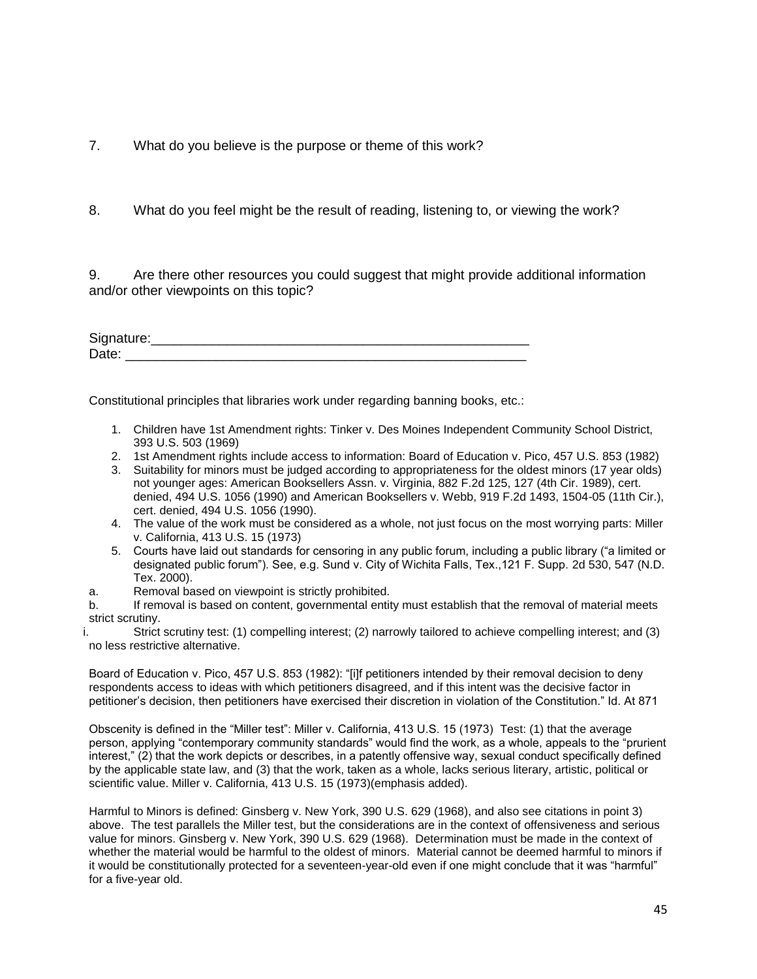7. What do you believe is the purpose or theme of this work?

8. What do you feel might be the result of reading, listening to, or viewing the work?

9. Are there other resources you could suggest that might provide additional information and/or other viewpoints on this topic?

| Signature: |  |  |
|------------|--|--|
| Date:      |  |  |

Constitutional principles that libraries work under regarding banning books, etc.:

- 1. Children have 1st Amendment rights: Tinker v. Des Moines Independent Community School District, 393 U.S. 503 (1969)
- 2. 1st Amendment rights include access to information: Board of Education v. Pico, 457 U.S. 853 (1982)
- 3. Suitability for minors must be judged according to appropriateness for the oldest minors (17 year olds) not younger ages: American Booksellers Assn. v. Virginia, 882 F.2d 125, 127 (4th Cir. 1989), cert. denied, 494 U.S. 1056 (1990) and American Booksellers v. Webb, 919 F.2d 1493, 1504-05 (11th Cir.), cert. denied, 494 U.S. 1056 (1990).
- 4. The value of the work must be considered as a whole, not just focus on the most worrying parts: Miller v. California, 413 U.S. 15 (1973)
- 5. Courts have laid out standards for censoring in any public forum, including a public library ("a limited or designated public forum"). See, e.g. Sund v. City of Wichita Falls, Tex.,121 F. Supp. 2d 530, 547 (N.D. Tex. 2000).
- a. Removal based on viewpoint is strictly prohibited.

b. If removal is based on content, governmental entity must establish that the removal of material meets strict scrutiny.

i. Strict scrutiny test: (1) compelling interest; (2) narrowly tailored to achieve compelling interest; and (3) no less restrictive alternative.

Board of Education v. Pico, 457 U.S. 853 (1982): "[i]f petitioners intended by their removal decision to deny respondents access to ideas with which petitioners disagreed, and if this intent was the decisive factor in petitioner's decision, then petitioners have exercised their discretion in violation of the Constitution." Id. At 871

Obscenity is defined in the "Miller test": Miller v. California, 413 U.S. 15 (1973) Test: (1) that the average person, applying "contemporary community standards" would find the work, as a whole, appeals to the "prurient interest," (2) that the work depicts or describes, in a patently offensive way, sexual conduct specifically defined by the applicable state law, and (3) that the work, taken as a whole, lacks serious literary, artistic, political or scientific value. Miller v. California, 413 U.S. 15 (1973)(emphasis added).

Harmful to Minors is defined: Ginsberg v. New York, 390 U.S. 629 (1968), and also see citations in point 3) above. The test parallels the Miller test, but the considerations are in the context of offensiveness and serious value for minors. Ginsberg v. New York, 390 U.S. 629 (1968). Determination must be made in the context of whether the material would be harmful to the oldest of minors. Material cannot be deemed harmful to minors if it would be constitutionally protected for a seventeen-year-old even if one might conclude that it was "harmful" for a five-year old.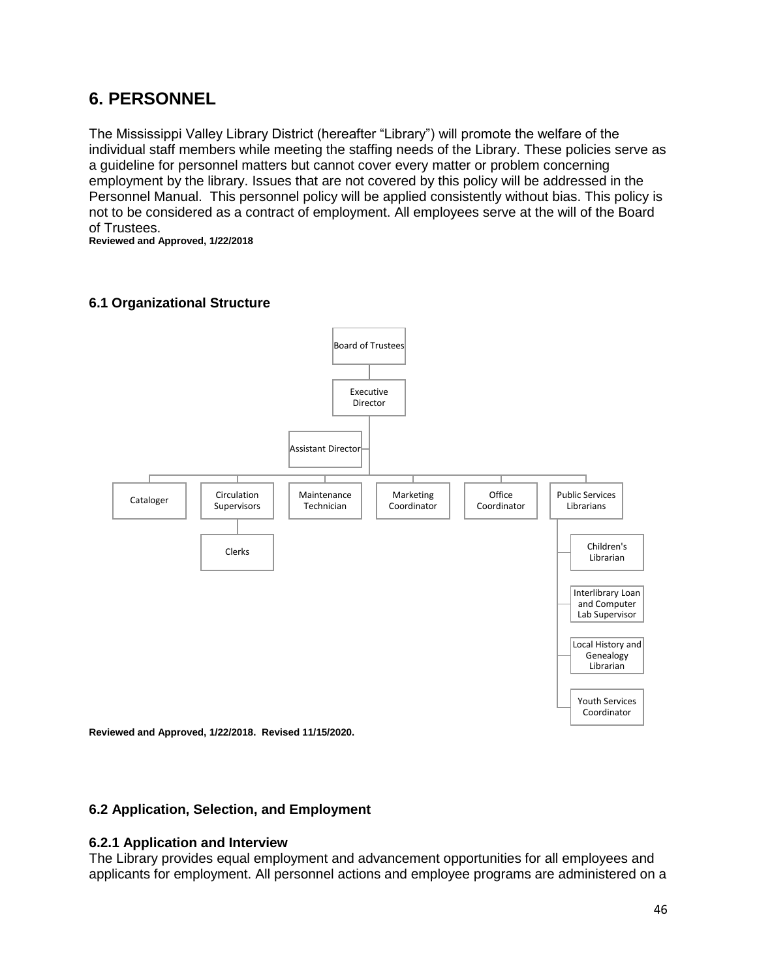## **6. PERSONNEL**

The Mississippi Valley Library District (hereafter "Library") will promote the welfare of the individual staff members while meeting the staffing needs of the Library. These policies serve as a guideline for personnel matters but cannot cover every matter or problem concerning employment by the library. Issues that are not covered by this policy will be addressed in the Personnel Manual. This personnel policy will be applied consistently without bias. This policy is not to be considered as a contract of employment. All employees serve at the will of the Board of Trustees.

**Reviewed and Approved, 1/22/2018**

## **6.1 Organizational Structure**



**Reviewed and Approved, 1/22/2018. Revised 11/15/2020.**

#### **6.2 Application, Selection, and Employment**

#### **6.2.1 Application and Interview**

The Library provides equal employment and advancement opportunities for all employees and applicants for employment. All personnel actions and employee programs are administered on a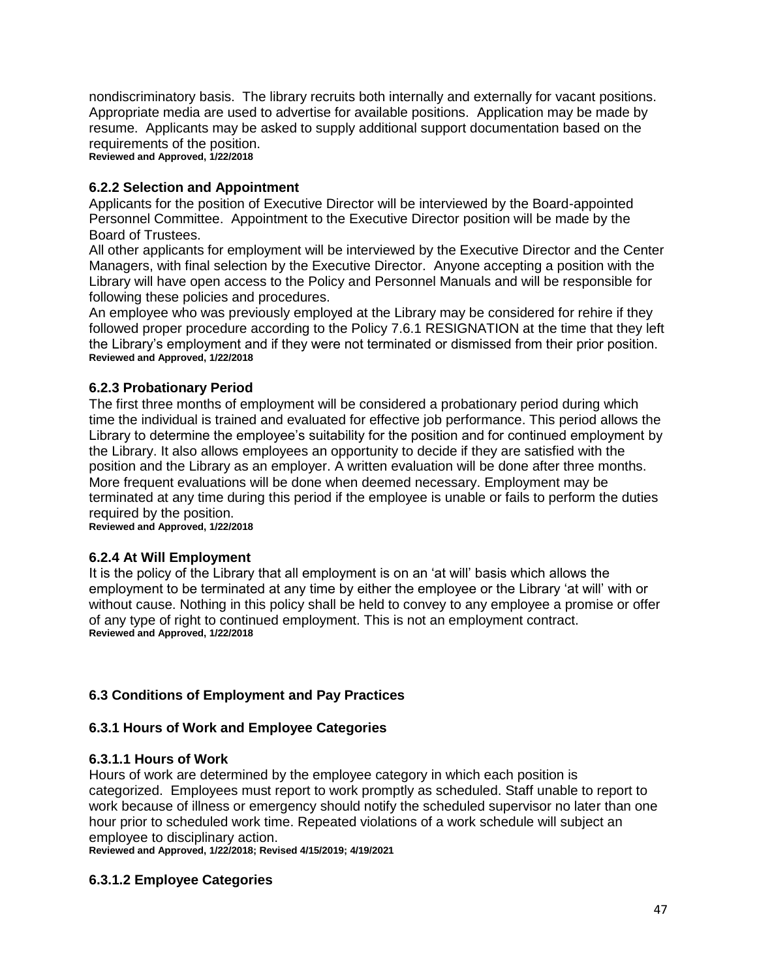nondiscriminatory basis. The library recruits both internally and externally for vacant positions. Appropriate media are used to advertise for available positions. Application may be made by resume. Applicants may be asked to supply additional support documentation based on the requirements of the position. **Reviewed and Approved, 1/22/2018**

**6.2.2 Selection and Appointment**

Applicants for the position of Executive Director will be interviewed by the Board-appointed Personnel Committee. Appointment to the Executive Director position will be made by the Board of Trustees.

All other applicants for employment will be interviewed by the Executive Director and the Center Managers, with final selection by the Executive Director. Anyone accepting a position with the Library will have open access to the Policy and Personnel Manuals and will be responsible for following these policies and procedures.

An employee who was previously employed at the Library may be considered for rehire if they followed proper procedure according to the Policy 7.6.1 RESIGNATION at the time that they left the Library's employment and if they were not terminated or dismissed from their prior position. **Reviewed and Approved, 1/22/2018**

## **6.2.3 Probationary Period**

The first three months of employment will be considered a probationary period during which time the individual is trained and evaluated for effective job performance. This period allows the Library to determine the employee's suitability for the position and for continued employment by the Library. It also allows employees an opportunity to decide if they are satisfied with the position and the Library as an employer. A written evaluation will be done after three months. More frequent evaluations will be done when deemed necessary. Employment may be terminated at any time during this period if the employee is unable or fails to perform the duties required by the position.

**Reviewed and Approved, 1/22/2018**

#### **6.2.4 At Will Employment**

It is the policy of the Library that all employment is on an 'at will' basis which allows the employment to be terminated at any time by either the employee or the Library 'at will' with or without cause. Nothing in this policy shall be held to convey to any employee a promise or offer of any type of right to continued employment. This is not an employment contract. **Reviewed and Approved, 1/22/2018**

#### **6.3 Conditions of Employment and Pay Practices**

#### **6.3.1 Hours of Work and Employee Categories**

#### **6.3.1.1 Hours of Work**

Hours of work are determined by the employee category in which each position is categorized. Employees must report to work promptly as scheduled. Staff unable to report to work because of illness or emergency should notify the scheduled supervisor no later than one hour prior to scheduled work time. Repeated violations of a work schedule will subject an employee to disciplinary action.

**Reviewed and Approved, 1/22/2018; Revised 4/15/2019; 4/19/2021**

#### **6.3.1.2 Employee Categories**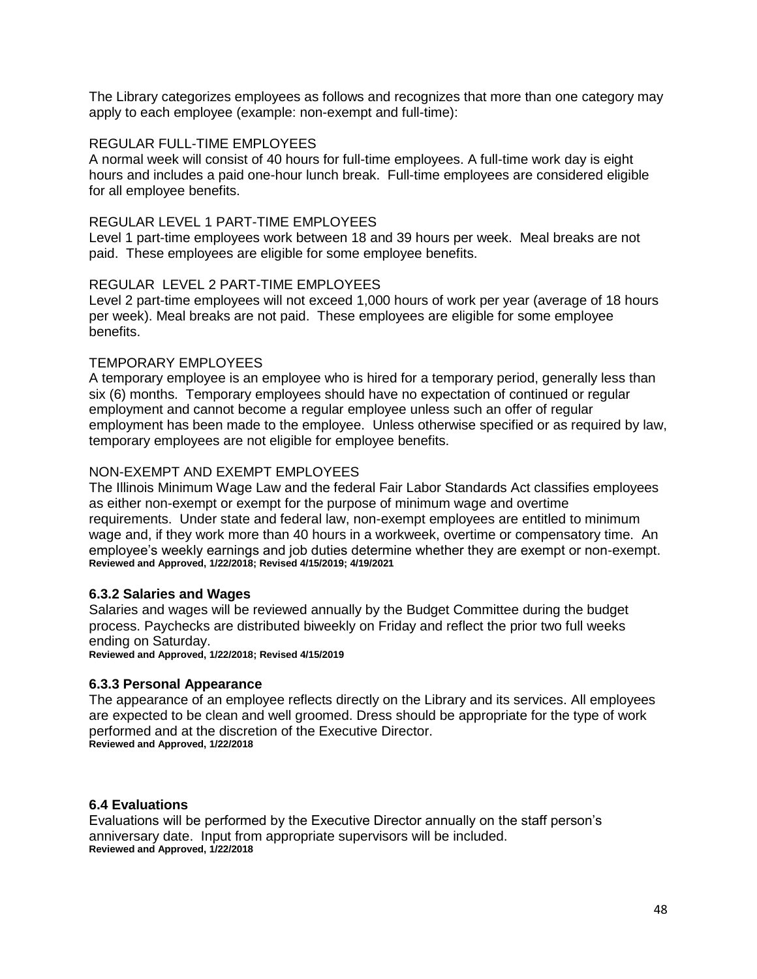The Library categorizes employees as follows and recognizes that more than one category may apply to each employee (example: non-exempt and full-time):

#### REGULAR FULL-TIME EMPLOYEES

A normal week will consist of 40 hours for full-time employees. A full-time work day is eight hours and includes a paid one-hour lunch break. Full-time employees are considered eligible for all employee benefits.

#### REGULAR LEVEL 1 PART-TIME EMPLOYEES

Level 1 part-time employees work between 18 and 39 hours per week. Meal breaks are not paid. These employees are eligible for some employee benefits.

#### REGULAR LEVEL 2 PART-TIME EMPLOYEES

Level 2 part-time employees will not exceed 1,000 hours of work per year (average of 18 hours per week). Meal breaks are not paid. These employees are eligible for some employee benefits.

#### TEMPORARY EMPLOYEES

A temporary employee is an employee who is hired for a temporary period, generally less than six (6) months. Temporary employees should have no expectation of continued or regular employment and cannot become a regular employee unless such an offer of regular employment has been made to the employee. Unless otherwise specified or as required by law, temporary employees are not eligible for employee benefits.

#### NON-EXEMPT AND EXEMPT EMPLOYEES

The Illinois Minimum Wage Law and the federal Fair Labor Standards Act classifies employees as either non-exempt or exempt for the purpose of minimum wage and overtime requirements. Under state and federal law, non-exempt employees are entitled to minimum wage and, if they work more than 40 hours in a workweek, overtime or compensatory time. An employee's weekly earnings and job duties determine whether they are exempt or non-exempt. **Reviewed and Approved, 1/22/2018; Revised 4/15/2019; 4/19/2021**

#### **6.3.2 Salaries and Wages**

Salaries and wages will be reviewed annually by the Budget Committee during the budget process. Paychecks are distributed biweekly on Friday and reflect the prior two full weeks ending on Saturday.

**Reviewed and Approved, 1/22/2018; Revised 4/15/2019**

#### **6.3.3 Personal Appearance**

The appearance of an employee reflects directly on the Library and its services. All employees are expected to be clean and well groomed. Dress should be appropriate for the type of work performed and at the discretion of the Executive Director. **Reviewed and Approved, 1/22/2018**

#### **6.4 Evaluations**

Evaluations will be performed by the Executive Director annually on the staff person's anniversary date. Input from appropriate supervisors will be included. **Reviewed and Approved, 1/22/2018**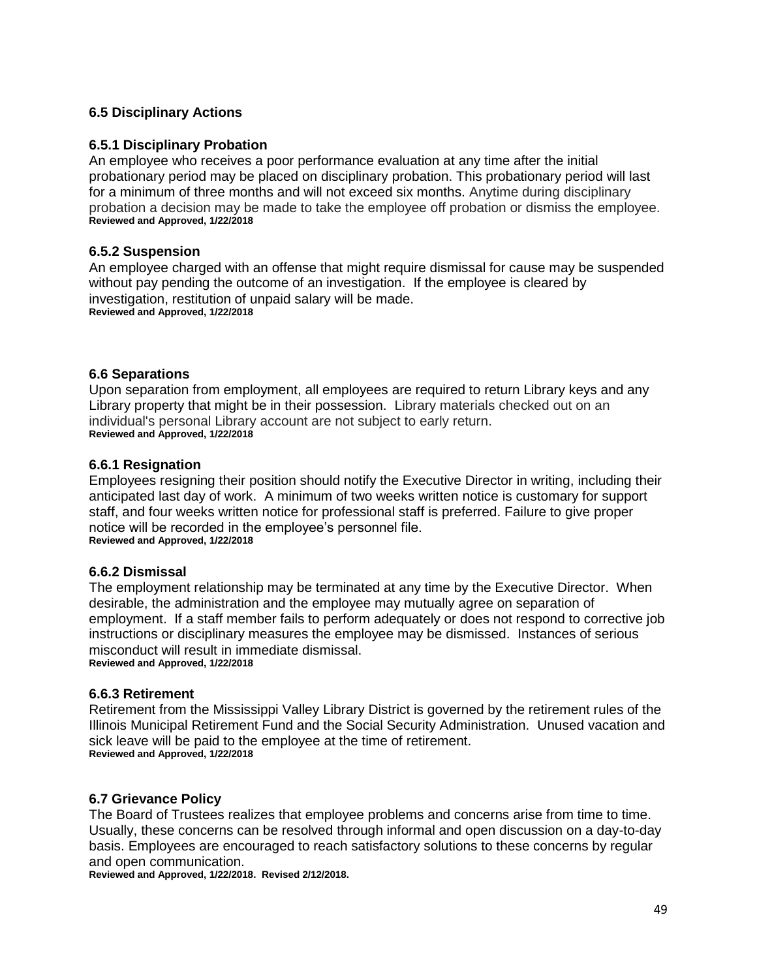#### **6.5 Disciplinary Actions**

#### **6.5.1 Disciplinary Probation**

An employee who receives a poor performance evaluation at any time after the initial probationary period may be placed on disciplinary probation. This probationary period will last for a minimum of three months and will not exceed six months. Anytime during disciplinary probation a decision may be made to take the employee off probation or dismiss the employee. **Reviewed and Approved, 1/22/2018**

#### **6.5.2 Suspension**

An employee charged with an offense that might require dismissal for cause may be suspended without pay pending the outcome of an investigation. If the employee is cleared by investigation, restitution of unpaid salary will be made. **Reviewed and Approved, 1/22/2018**

#### **6.6 Separations**

Upon separation from employment, all employees are required to return Library keys and any Library property that might be in their possession. Library materials checked out on an individual's personal Library account are not subject to early return. **Reviewed and Approved, 1/22/2018**

#### **6.6.1 Resignation**

Employees resigning their position should notify the Executive Director in writing, including their anticipated last day of work. A minimum of two weeks written notice is customary for support staff, and four weeks written notice for professional staff is preferred. Failure to give proper notice will be recorded in the employee's personnel file. **Reviewed and Approved, 1/22/2018**

#### **6.6.2 Dismissal**

The employment relationship may be terminated at any time by the Executive Director. When desirable, the administration and the employee may mutually agree on separation of employment. If a staff member fails to perform adequately or does not respond to corrective job instructions or disciplinary measures the employee may be dismissed. Instances of serious misconduct will result in immediate dismissal. **Reviewed and Approved, 1/22/2018**

#### **6.6.3 Retirement**

Retirement from the Mississippi Valley Library District is governed by the retirement rules of the Illinois Municipal Retirement Fund and the Social Security Administration. Unused vacation and sick leave will be paid to the employee at the time of retirement. **Reviewed and Approved, 1/22/2018**

#### **6.7 Grievance Policy**

The Board of Trustees realizes that employee problems and concerns arise from time to time. Usually, these concerns can be resolved through informal and open discussion on a day-to-day basis. Employees are encouraged to reach satisfactory solutions to these concerns by regular and open communication.

**Reviewed and Approved, 1/22/2018. Revised 2/12/2018.**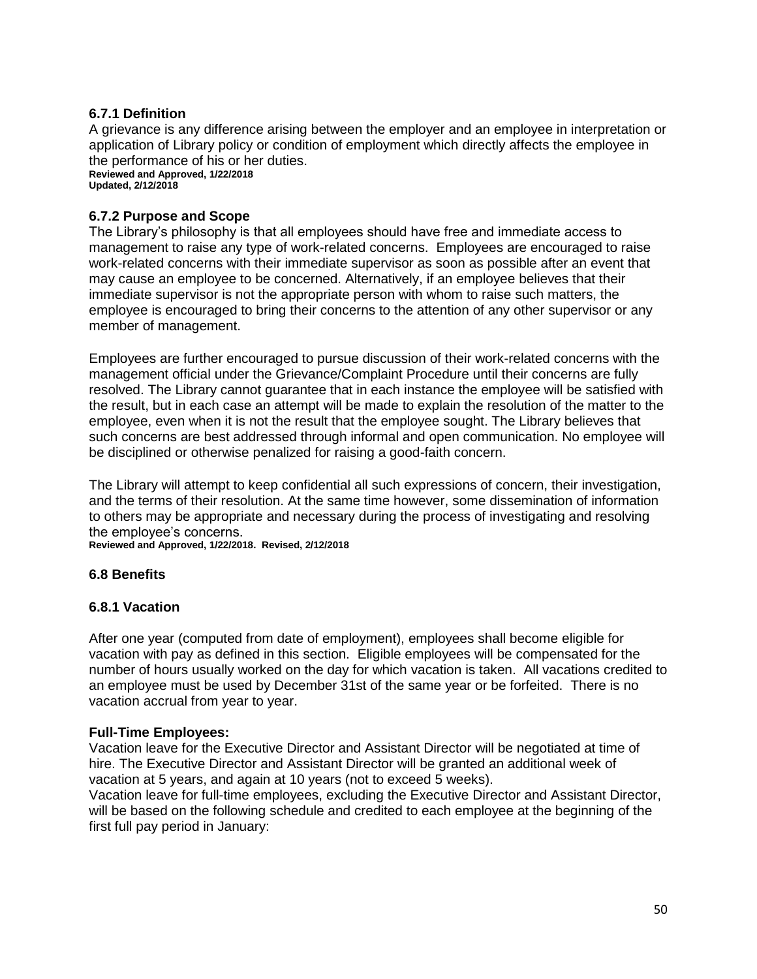#### **6.7.1 Definition**

A grievance is any difference arising between the employer and an employee in interpretation or application of Library policy or condition of employment which directly affects the employee in the performance of his or her duties. **Reviewed and Approved, 1/22/2018 Updated, 2/12/2018**

#### **6.7.2 Purpose and Scope**

The Library's philosophy is that all employees should have free and immediate access to management to raise any type of work-related concerns. Employees are encouraged to raise work-related concerns with their immediate supervisor as soon as possible after an event that may cause an employee to be concerned. Alternatively, if an employee believes that their immediate supervisor is not the appropriate person with whom to raise such matters, the employee is encouraged to bring their concerns to the attention of any other supervisor or any member of management.

Employees are further encouraged to pursue discussion of their work-related concerns with the management official under the Grievance/Complaint Procedure until their concerns are fully resolved. The Library cannot guarantee that in each instance the employee will be satisfied with the result, but in each case an attempt will be made to explain the resolution of the matter to the employee, even when it is not the result that the employee sought. The Library believes that such concerns are best addressed through informal and open communication. No employee will be disciplined or otherwise penalized for raising a good-faith concern.

The Library will attempt to keep confidential all such expressions of concern, their investigation, and the terms of their resolution. At the same time however, some dissemination of information to others may be appropriate and necessary during the process of investigating and resolving the employee's concerns.

**Reviewed and Approved, 1/22/2018. Revised, 2/12/2018**

#### **6.8 Benefits**

#### **6.8.1 Vacation**

After one year (computed from date of employment), employees shall become eligible for vacation with pay as defined in this section. Eligible employees will be compensated for the number of hours usually worked on the day for which vacation is taken. All vacations credited to an employee must be used by December 31st of the same year or be forfeited. There is no vacation accrual from year to year.

#### **Full-Time Employees:**

Vacation leave for the Executive Director and Assistant Director will be negotiated at time of hire. The Executive Director and Assistant Director will be granted an additional week of vacation at 5 years, and again at 10 years (not to exceed 5 weeks).

Vacation leave for full-time employees, excluding the Executive Director and Assistant Director, will be based on the following schedule and credited to each employee at the beginning of the first full pay period in January: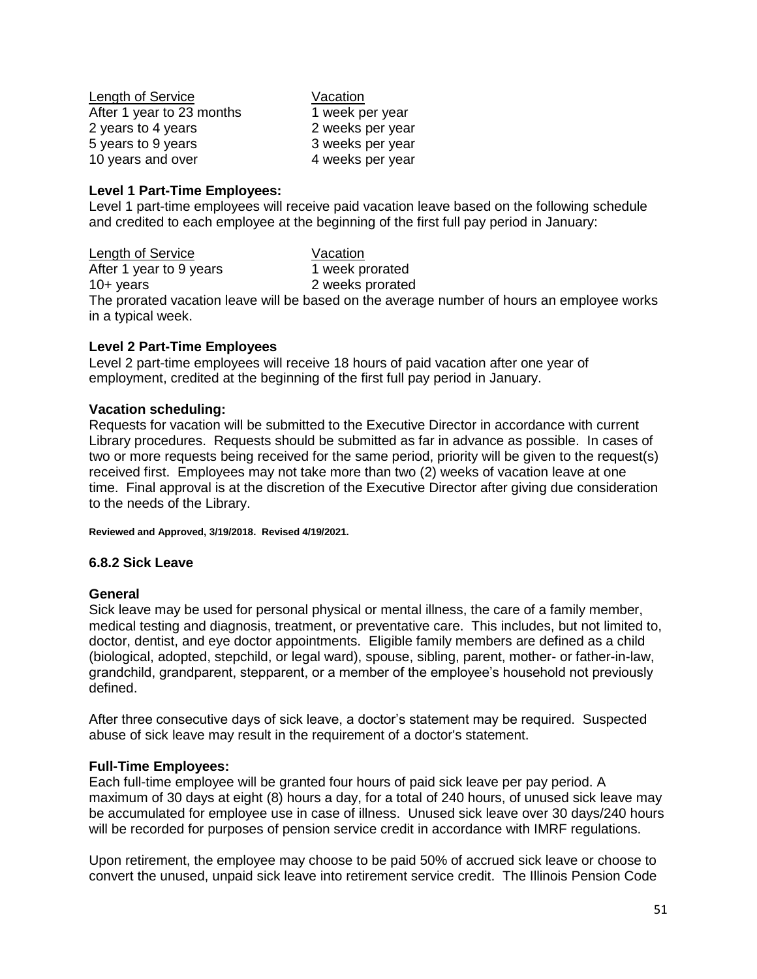Length of Service **Vacation** After 1 year to 23 months 1 week per year 2 years to 4 years 2 weeks per year 5 years to 9 years 3 weeks per year 10 years and over 10 years 4 weeks per year

#### **Level 1 Part-Time Employees:**

Level 1 part-time employees will receive paid vacation leave based on the following schedule and credited to each employee at the beginning of the first full pay period in January:

Length of Service Vacation After 1 year to 9 years 1 week prorated 10+ years 2 weeks prorated The prorated vacation leave will be based on the average number of hours an employee works in a typical week.

#### **Level 2 Part-Time Employees**

Level 2 part-time employees will receive 18 hours of paid vacation after one year of employment, credited at the beginning of the first full pay period in January.

#### **Vacation scheduling:**

Requests for vacation will be submitted to the Executive Director in accordance with current Library procedures. Requests should be submitted as far in advance as possible. In cases of two or more requests being received for the same period, priority will be given to the request(s) received first. Employees may not take more than two (2) weeks of vacation leave at one time. Final approval is at the discretion of the Executive Director after giving due consideration to the needs of the Library.

**Reviewed and Approved, 3/19/2018. Revised 4/19/2021.**

#### **6.8.2 Sick Leave**

#### **General**

Sick leave may be used for personal physical or mental illness, the care of a family member, medical testing and diagnosis, treatment, or preventative care. This includes, but not limited to, doctor, dentist, and eye doctor appointments. Eligible family members are defined as a child (biological, adopted, stepchild, or legal ward), spouse, sibling, parent, mother- or father-in-law, grandchild, grandparent, stepparent, or a member of the employee's household not previously defined.

After three consecutive days of sick leave, a doctor's statement may be required. Suspected abuse of sick leave may result in the requirement of a doctor's statement.

#### **Full-Time Employees:**

Each full-time employee will be granted four hours of paid sick leave per pay period. A maximum of 30 days at eight (8) hours a day, for a total of 240 hours, of unused sick leave may be accumulated for employee use in case of illness. Unused sick leave over 30 days/240 hours will be recorded for purposes of pension service credit in accordance with IMRF regulations.

Upon retirement, the employee may choose to be paid 50% of accrued sick leave or choose to convert the unused, unpaid sick leave into retirement service credit. The Illinois Pension Code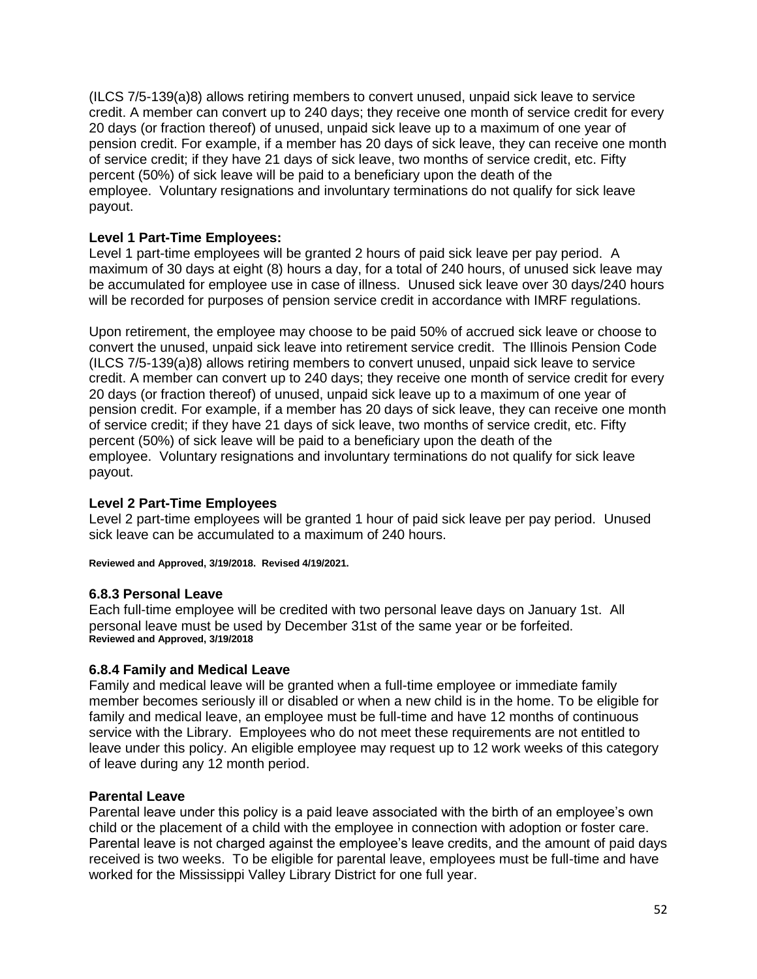(ILCS 7/5-139(a)8) allows retiring members to convert unused, unpaid sick leave to service credit. A member can convert up to 240 days; they receive one month of service credit for every 20 days (or fraction thereof) of unused, unpaid sick leave up to a maximum of one year of pension credit. For example, if a member has 20 days of sick leave, they can receive one month of service credit; if they have 21 days of sick leave, two months of service credit, etc. Fifty percent (50%) of sick leave will be paid to a beneficiary upon the death of the employee. Voluntary resignations and involuntary terminations do not qualify for sick leave payout.

## **Level 1 Part-Time Employees:**

Level 1 part-time employees will be granted 2 hours of paid sick leave per pay period. A maximum of 30 days at eight (8) hours a day, for a total of 240 hours, of unused sick leave may be accumulated for employee use in case of illness. Unused sick leave over 30 days/240 hours will be recorded for purposes of pension service credit in accordance with IMRF regulations.

Upon retirement, the employee may choose to be paid 50% of accrued sick leave or choose to convert the unused, unpaid sick leave into retirement service credit. The Illinois Pension Code (ILCS 7/5-139(a)8) allows retiring members to convert unused, unpaid sick leave to service credit. A member can convert up to 240 days; they receive one month of service credit for every 20 days (or fraction thereof) of unused, unpaid sick leave up to a maximum of one year of pension credit. For example, if a member has 20 days of sick leave, they can receive one month of service credit; if they have 21 days of sick leave, two months of service credit, etc. Fifty percent (50%) of sick leave will be paid to a beneficiary upon the death of the employee. Voluntary resignations and involuntary terminations do not qualify for sick leave payout.

#### **Level 2 Part-Time Employees**

Level 2 part-time employees will be granted 1 hour of paid sick leave per pay period. Unused sick leave can be accumulated to a maximum of 240 hours.

**Reviewed and Approved, 3/19/2018. Revised 4/19/2021.**

#### **6.8.3 Personal Leave**

Each full-time employee will be credited with two personal leave days on January 1st. All personal leave must be used by December 31st of the same year or be forfeited. **Reviewed and Approved, 3/19/2018**

#### **6.8.4 Family and Medical Leave**

Family and medical leave will be granted when a full-time employee or immediate family member becomes seriously ill or disabled or when a new child is in the home. To be eligible for family and medical leave, an employee must be full-time and have 12 months of continuous service with the Library. Employees who do not meet these requirements are not entitled to leave under this policy. An eligible employee may request up to 12 work weeks of this category of leave during any 12 month period.

#### **Parental Leave**

Parental leave under this policy is a paid leave associated with the birth of an employee's own child or the placement of a child with the employee in connection with adoption or foster care. Parental leave is not charged against the employee's leave credits, and the amount of paid days received is two weeks. To be eligible for parental leave, employees must be full-time and have worked for the Mississippi Valley Library District for one full year.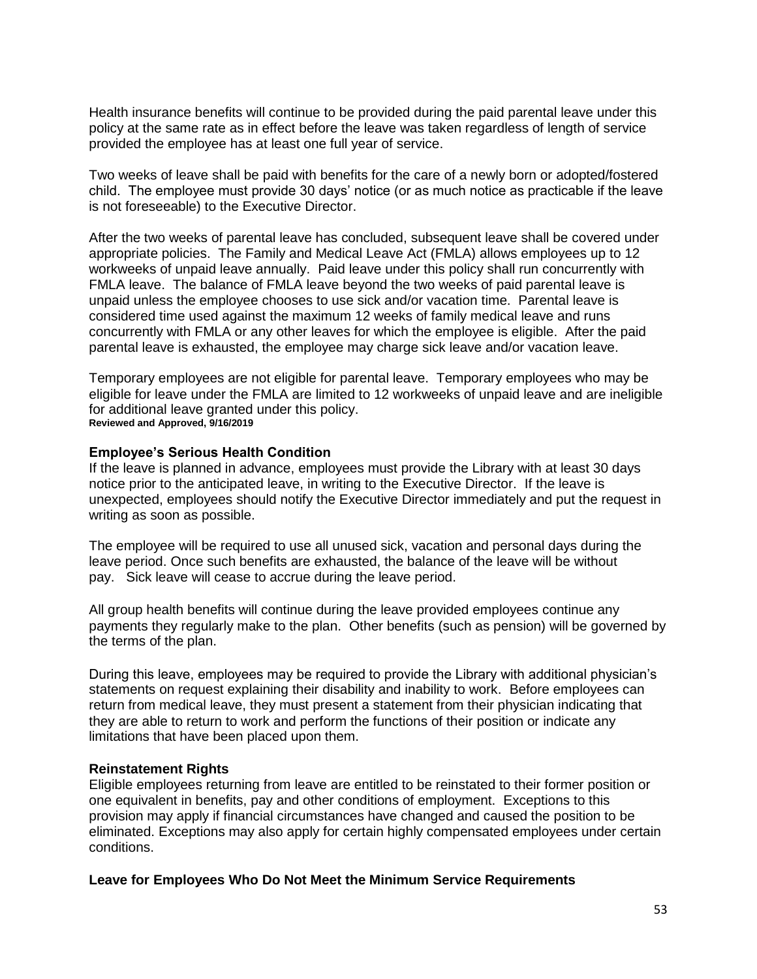Health insurance benefits will continue to be provided during the paid parental leave under this policy at the same rate as in effect before the leave was taken regardless of length of service provided the employee has at least one full year of service.

Two weeks of leave shall be paid with benefits for the care of a newly born or adopted/fostered child. The employee must provide 30 days' notice (or as much notice as practicable if the leave is not foreseeable) to the Executive Director.

After the two weeks of parental leave has concluded, subsequent leave shall be covered under appropriate policies. The Family and Medical Leave Act (FMLA) allows employees up to 12 workweeks of unpaid leave annually. Paid leave under this policy shall run concurrently with FMLA leave. The balance of FMLA leave beyond the two weeks of paid parental leave is unpaid unless the employee chooses to use sick and/or vacation time. Parental leave is considered time used against the maximum 12 weeks of family medical leave and runs concurrently with FMLA or any other leaves for which the employee is eligible. After the paid parental leave is exhausted, the employee may charge sick leave and/or vacation leave.

Temporary employees are not eligible for parental leave. Temporary employees who may be eligible for leave under the FMLA are limited to 12 workweeks of unpaid leave and are ineligible for additional leave granted under this policy. **Reviewed and Approved, 9/16/2019**

#### **Employee's Serious Health Condition**

If the leave is planned in advance, employees must provide the Library with at least 30 days notice prior to the anticipated leave, in writing to the Executive Director. If the leave is unexpected, employees should notify the Executive Director immediately and put the request in writing as soon as possible.

The employee will be required to use all unused sick, vacation and personal days during the leave period. Once such benefits are exhausted, the balance of the leave will be without pay. Sick leave will cease to accrue during the leave period.

All group health benefits will continue during the leave provided employees continue any payments they regularly make to the plan. Other benefits (such as pension) will be governed by the terms of the plan.

During this leave, employees may be required to provide the Library with additional physician's statements on request explaining their disability and inability to work. Before employees can return from medical leave, they must present a statement from their physician indicating that they are able to return to work and perform the functions of their position or indicate any limitations that have been placed upon them.

#### **Reinstatement Rights**

Eligible employees returning from leave are entitled to be reinstated to their former position or one equivalent in benefits, pay and other conditions of employment. Exceptions to this provision may apply if financial circumstances have changed and caused the position to be eliminated. Exceptions may also apply for certain highly compensated employees under certain conditions.

#### **Leave for Employees Who Do Not Meet the Minimum Service Requirements**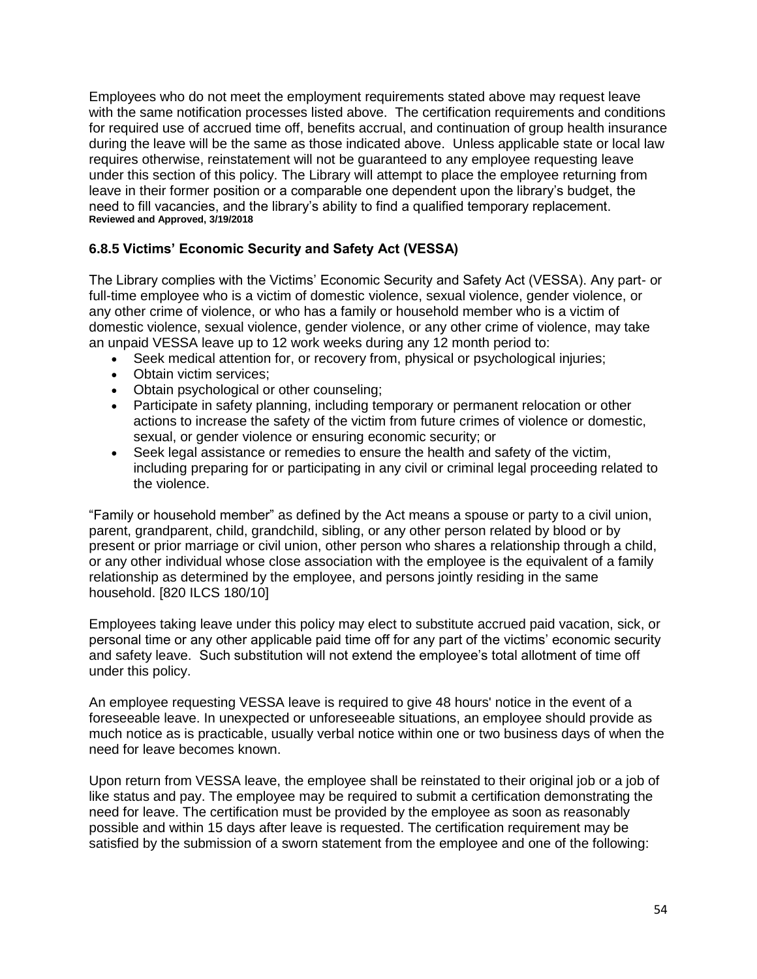Employees who do not meet the employment requirements stated above may request leave with the same notification processes listed above. The certification requirements and conditions for required use of accrued time off, benefits accrual, and continuation of group health insurance during the leave will be the same as those indicated above. Unless applicable state or local law requires otherwise, reinstatement will not be guaranteed to any employee requesting leave under this section of this policy. The Library will attempt to place the employee returning from leave in their former position or a comparable one dependent upon the library's budget, the need to fill vacancies, and the library's ability to find a qualified temporary replacement. **Reviewed and Approved, 3/19/2018**

## **6.8.5 Victims' Economic Security and Safety Act (VESSA)**

The Library complies with the Victims' Economic Security and Safety Act (VESSA). Any part- or full-time employee who is a victim of domestic violence, sexual violence, gender violence, or any other crime of violence, or who has a family or household member who is a victim of domestic violence, sexual violence, gender violence, or any other crime of violence, may take an unpaid VESSA leave up to 12 work weeks during any 12 month period to:

- Seek medical attention for, or recovery from, physical or psychological injuries;
- Obtain victim services;
- Obtain psychological or other counseling;
- Participate in safety planning, including temporary or permanent relocation or other actions to increase the safety of the victim from future crimes of violence or domestic, sexual, or gender violence or ensuring economic security; or
- Seek legal assistance or remedies to ensure the health and safety of the victim, including preparing for or participating in any civil or criminal legal proceeding related to the violence.

"Family or household member" as defined by the Act means a spouse or party to a civil union, parent, grandparent, child, grandchild, sibling, or any other person related by blood or by present or prior marriage or civil union, other person who shares a relationship through a child, or any other individual whose close association with the employee is the equivalent of a family relationship as determined by the employee, and persons jointly residing in the same household. [820 ILCS 180/10]

Employees taking leave under this policy may elect to substitute accrued paid vacation, sick, or personal time or any other applicable paid time off for any part of the victims' economic security and safety leave. Such substitution will not extend the employee's total allotment of time off under this policy.

An employee requesting VESSA leave is required to give 48 hours' notice in the event of a foreseeable leave. In unexpected or unforeseeable situations, an employee should provide as much notice as is practicable, usually verbal notice within one or two business days of when the need for leave becomes known.

Upon return from VESSA leave, the employee shall be reinstated to their original job or a job of like status and pay. The employee may be required to submit a certification demonstrating the need for leave. The certification must be provided by the employee as soon as reasonably possible and within 15 days after leave is requested. The certification requirement may be satisfied by the submission of a sworn statement from the employee and one of the following: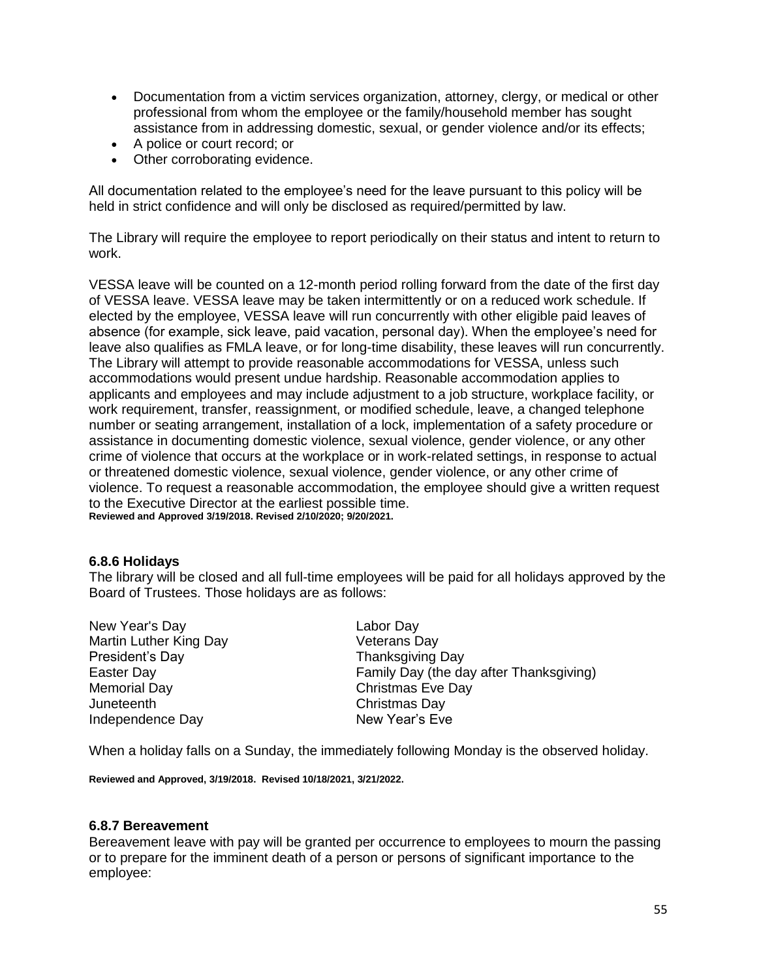- Documentation from a victim services organization, attorney, clergy, or medical or other professional from whom the employee or the family/household member has sought assistance from in addressing domestic, sexual, or gender violence and/or its effects;
- A police or court record; or
- Other corroborating evidence.

All documentation related to the employee's need for the leave pursuant to this policy will be held in strict confidence and will only be disclosed as required/permitted by law.

The Library will require the employee to report periodically on their status and intent to return to work.

VESSA leave will be counted on a 12-month period rolling forward from the date of the first day of VESSA leave. VESSA leave may be taken intermittently or on a reduced work schedule. If elected by the employee, VESSA leave will run concurrently with other eligible paid leaves of absence (for example, sick leave, paid vacation, personal day). When the employee's need for leave also qualifies as FMLA leave, or for long-time disability, these leaves will run concurrently. The Library will attempt to provide reasonable accommodations for VESSA, unless such accommodations would present undue hardship. Reasonable accommodation applies to applicants and employees and may include adjustment to a job structure, workplace facility, or work requirement, transfer, reassignment, or modified schedule, leave, a changed telephone number or seating arrangement, installation of a lock, implementation of a safety procedure or assistance in documenting domestic violence, sexual violence, gender violence, or any other crime of violence that occurs at the workplace or in work-related settings, in response to actual or threatened domestic violence, sexual violence, gender violence, or any other crime of violence. To request a reasonable accommodation, the employee should give a written request to the Executive Director at the earliest possible time. **Reviewed and Approved 3/19/2018. Revised 2/10/2020; 9/20/2021.**

#### **6.8.6 Holidays**

The library will be closed and all full-time employees will be paid for all holidays approved by the Board of Trustees. Those holidays are as follows:

New Year's Day **Labor Day** Martin Luther King Day **Veterans Day** President's Day **Thanksgiving Day** Memorial Day **Christmas Eve Day** Juneteenth Christmas Day Independence Day New Year's Eve

Easter Day Family Day (the day after Thanksgiving)

When a holiday falls on a Sunday, the immediately following Monday is the observed holiday.

**Reviewed and Approved, 3/19/2018. Revised 10/18/2021, 3/21/2022.**

#### **6.8.7 Bereavement**

Bereavement leave with pay will be granted per occurrence to employees to mourn the passing or to prepare for the imminent death of a person or persons of significant importance to the employee: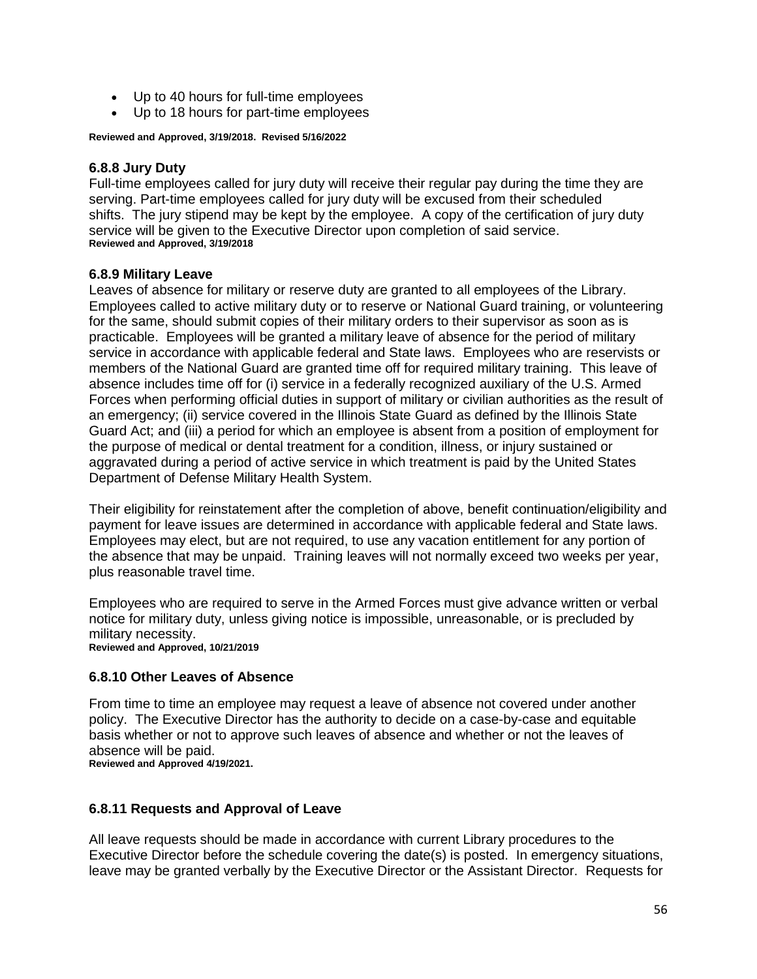- Up to 40 hours for full-time employees
- Up to 18 hours for part-time employees

#### **Reviewed and Approved, 3/19/2018. Revised 5/16/2022**

## **6.8.8 Jury Duty**

Full-time employees called for jury duty will receive their regular pay during the time they are serving. Part-time employees called for jury duty will be excused from their scheduled shifts. The jury stipend may be kept by the employee. A copy of the certification of jury duty service will be given to the Executive Director upon completion of said service. **Reviewed and Approved, 3/19/2018**

#### **6.8.9 Military Leave**

Leaves of absence for military or reserve duty are granted to all employees of the Library. Employees called to active military duty or to reserve or National Guard training, or volunteering for the same, should submit copies of their military orders to their supervisor as soon as is practicable. Employees will be granted a military leave of absence for the period of military service in accordance with applicable federal and State laws. Employees who are reservists or members of the National Guard are granted time off for required military training. This leave of absence includes time off for (i) service in a federally recognized auxiliary of the U.S. Armed Forces when performing official duties in support of military or civilian authorities as the result of an emergency; (ii) service covered in the Illinois State Guard as defined by the Illinois State Guard Act; and (iii) a period for which an employee is absent from a position of employment for the purpose of medical or dental treatment for a condition, illness, or injury sustained or aggravated during a period of active service in which treatment is paid by the United States Department of Defense Military Health System.

Their eligibility for reinstatement after the completion of above, benefit continuation/eligibility and payment for leave issues are determined in accordance with applicable federal and State laws. Employees may elect, but are not required, to use any vacation entitlement for any portion of the absence that may be unpaid. Training leaves will not normally exceed two weeks per year, plus reasonable travel time.

Employees who are required to serve in the Armed Forces must give advance written or verbal notice for military duty, unless giving notice is impossible, unreasonable, or is precluded by military necessity. **Reviewed and Approved, 10/21/2019**

#### **6.8.10 Other Leaves of Absence**

From time to time an employee may request a leave of absence not covered under another policy. The Executive Director has the authority to decide on a case-by-case and equitable basis whether or not to approve such leaves of absence and whether or not the leaves of absence will be paid. **Reviewed and Approved 4/19/2021.**

#### **6.8.11 Requests and Approval of Leave**

All leave requests should be made in accordance with current Library procedures to the Executive Director before the schedule covering the date(s) is posted. In emergency situations, leave may be granted verbally by the Executive Director or the Assistant Director. Requests for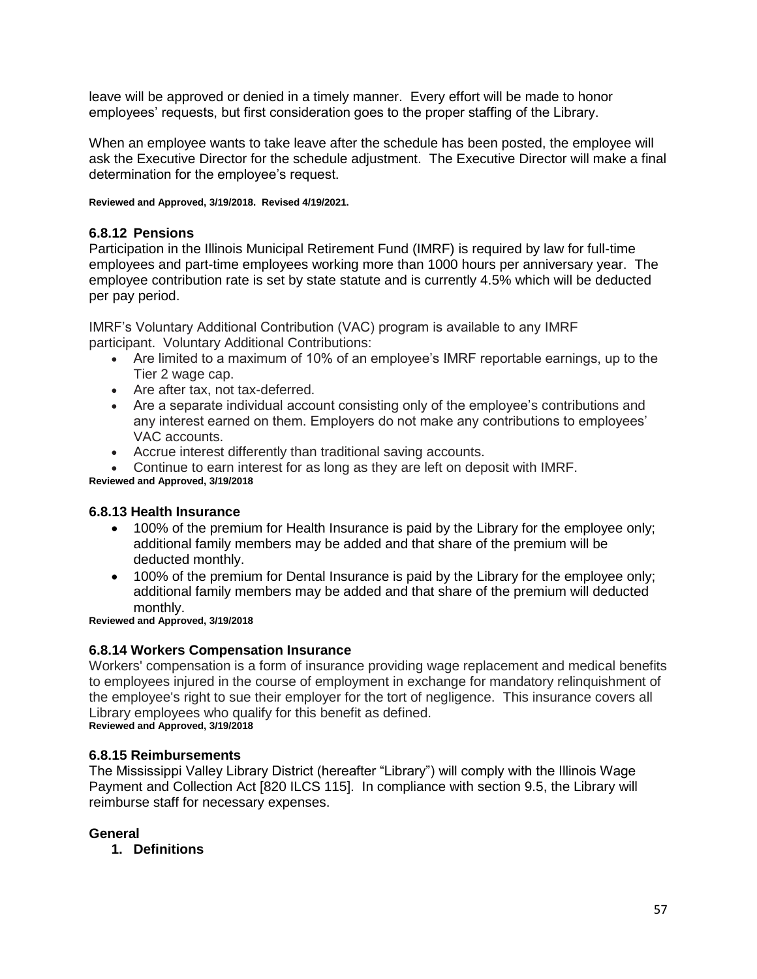leave will be approved or denied in a timely manner. Every effort will be made to honor employees' requests, but first consideration goes to the proper staffing of the Library.

When an employee wants to take leave after the schedule has been posted, the employee will ask the Executive Director for the schedule adjustment. The Executive Director will make a final determination for the employee's request.

**Reviewed and Approved, 3/19/2018. Revised 4/19/2021.**

#### **6.8.12 Pensions**

Participation in the Illinois Municipal Retirement Fund (IMRF) is required by law for full-time employees and part-time employees working more than 1000 hours per anniversary year. The employee contribution rate is set by state statute and is currently 4.5% which will be deducted per pay period.

IMRF's Voluntary Additional Contribution (VAC) program is available to any IMRF participant. Voluntary Additional Contributions:

- Are limited to a maximum of 10% of an employee's IMRF reportable earnings, up to the Tier 2 wage cap.
- Are after tax, not tax-deferred.
- Are a separate individual account consisting only of the employee's contributions and any interest earned on them. Employers do not make any contributions to employees' VAC accounts.
- Accrue interest differently than traditional saving accounts.
- Continue to earn interest for as long as they are left on deposit with IMRF.

**Reviewed and Approved, 3/19/2018**

#### **6.8.13 Health Insurance**

- 100% of the premium for Health Insurance is paid by the Library for the employee only; additional family members may be added and that share of the premium will be deducted monthly.
- 100% of the premium for Dental Insurance is paid by the Library for the employee only; additional family members may be added and that share of the premium will deducted monthly.

**Reviewed and Approved, 3/19/2018**

#### **6.8.14 Workers Compensation Insurance**

Workers' compensation is a form of insurance providing wage replacement and medical benefits to employees injured in the course of employment in exchange for mandatory relinquishment of the employee's right to sue their employer for the tort of negligence. This insurance covers all Library employees who qualify for this benefit as defined. **Reviewed and Approved, 3/19/2018**

#### **6.8.15 Reimbursements**

The Mississippi Valley Library District (hereafter "Library") will comply with the Illinois Wage Payment and Collection Act [820 ILCS 115]. In compliance with section 9.5, the Library will reimburse staff for necessary expenses.

#### **General**

**1. Definitions**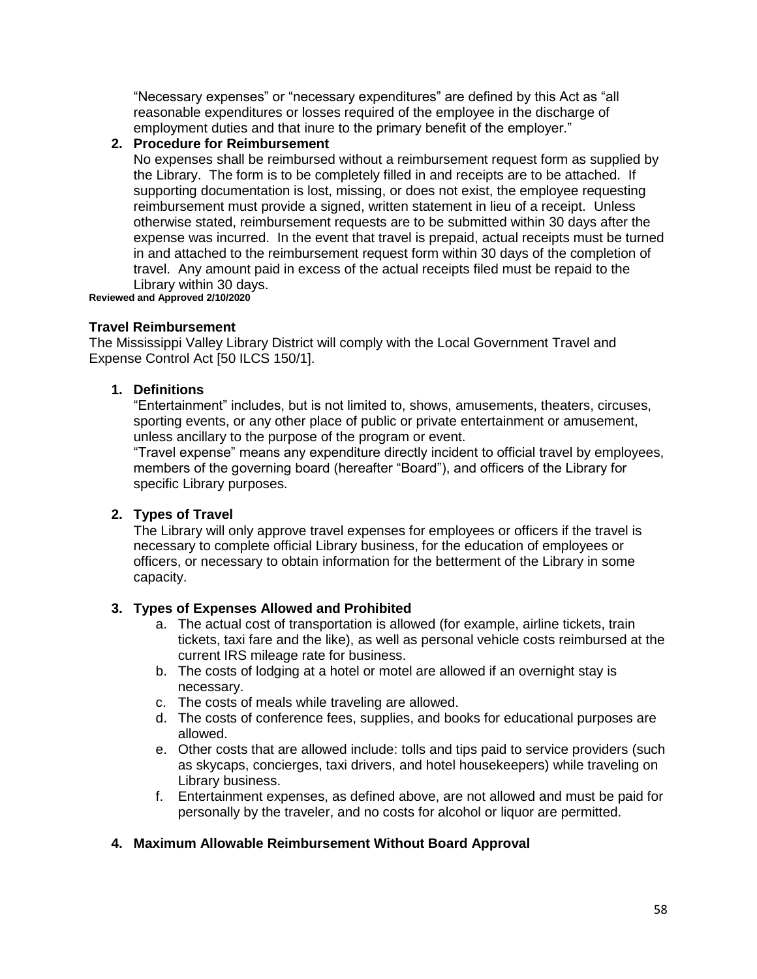"Necessary expenses" or "necessary expenditures" are defined by this Act as "all reasonable expenditures or losses required of the employee in the discharge of employment duties and that inure to the primary benefit of the employer."

## **2. Procedure for Reimbursement**

No expenses shall be reimbursed without a reimbursement request form as supplied by the Library. The form is to be completely filled in and receipts are to be attached. If supporting documentation is lost, missing, or does not exist, the employee requesting reimbursement must provide a signed, written statement in lieu of a receipt. Unless otherwise stated, reimbursement requests are to be submitted within 30 days after the expense was incurred. In the event that travel is prepaid, actual receipts must be turned in and attached to the reimbursement request form within 30 days of the completion of travel. Any amount paid in excess of the actual receipts filed must be repaid to the Library within 30 days.

**Reviewed and Approved 2/10/2020**

#### **Travel Reimbursement**

The Mississippi Valley Library District will comply with the Local Government Travel and Expense Control Act [50 ILCS 150/1].

#### **1. Definitions**

"Entertainment" includes, but is not limited to, shows, amusements, theaters, circuses, sporting events, or any other place of public or private entertainment or amusement, unless ancillary to the purpose of the program or event.

"Travel expense" means any expenditure directly incident to official travel by employees, members of the governing board (hereafter "Board"), and officers of the Library for specific Library purposes.

#### **2. Types of Travel**

The Library will only approve travel expenses for employees or officers if the travel is necessary to complete official Library business, for the education of employees or officers, or necessary to obtain information for the betterment of the Library in some capacity.

#### **3. Types of Expenses Allowed and Prohibited**

- a. The actual cost of transportation is allowed (for example, airline tickets, train tickets, taxi fare and the like), as well as personal vehicle costs reimbursed at the current IRS mileage rate for business.
- b. The costs of lodging at a hotel or motel are allowed if an overnight stay is necessary.
- c. The costs of meals while traveling are allowed.
- d. The costs of conference fees, supplies, and books for educational purposes are allowed.
- e. Other costs that are allowed include: tolls and tips paid to service providers (such as skycaps, concierges, taxi drivers, and hotel housekeepers) while traveling on Library business.
- f. Entertainment expenses, as defined above, are not allowed and must be paid for personally by the traveler, and no costs for alcohol or liquor are permitted.

#### **4. Maximum Allowable Reimbursement Without Board Approval**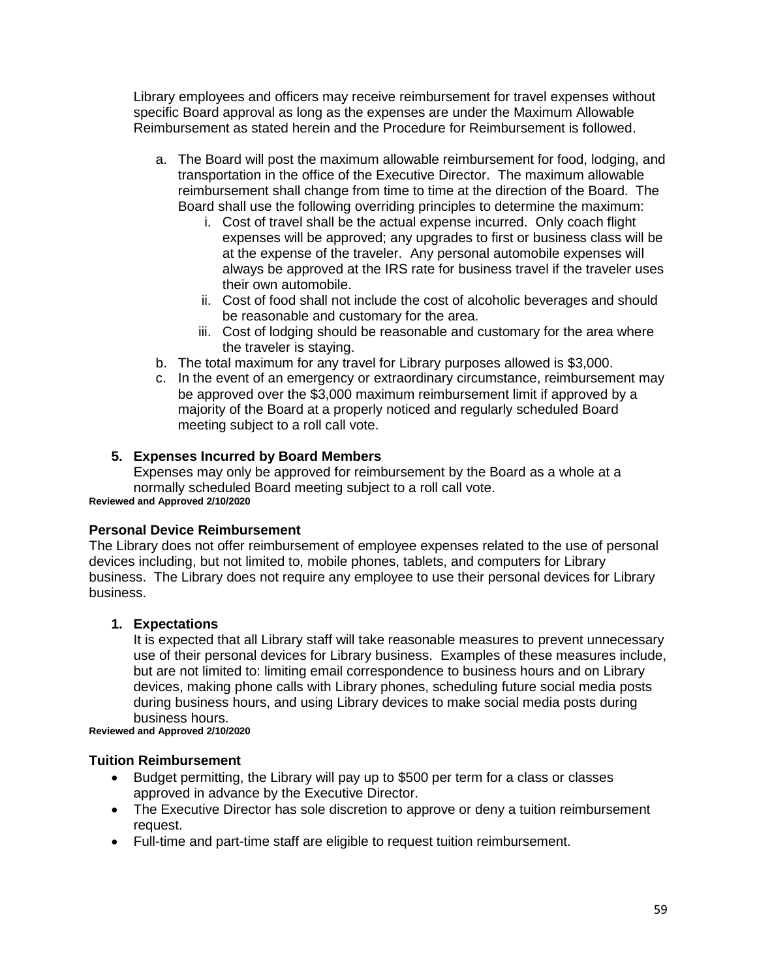Library employees and officers may receive reimbursement for travel expenses without specific Board approval as long as the expenses are under the Maximum Allowable Reimbursement as stated herein and the Procedure for Reimbursement is followed.

- a. The Board will post the maximum allowable reimbursement for food, lodging, and transportation in the office of the Executive Director. The maximum allowable reimbursement shall change from time to time at the direction of the Board. The Board shall use the following overriding principles to determine the maximum:
	- i. Cost of travel shall be the actual expense incurred. Only coach flight expenses will be approved; any upgrades to first or business class will be at the expense of the traveler. Any personal automobile expenses will always be approved at the IRS rate for business travel if the traveler uses their own automobile.
	- ii. Cost of food shall not include the cost of alcoholic beverages and should be reasonable and customary for the area.
	- iii. Cost of lodging should be reasonable and customary for the area where the traveler is staying.
- b. The total maximum for any travel for Library purposes allowed is \$3,000.
- c. In the event of an emergency or extraordinary circumstance, reimbursement may be approved over the \$3,000 maximum reimbursement limit if approved by a majority of the Board at a properly noticed and regularly scheduled Board meeting subject to a roll call vote.

## **5. Expenses Incurred by Board Members**

Expenses may only be approved for reimbursement by the Board as a whole at a normally scheduled Board meeting subject to a roll call vote.

**Reviewed and Approved 2/10/2020**

## **Personal Device Reimbursement**

The Library does not offer reimbursement of employee expenses related to the use of personal devices including, but not limited to, mobile phones, tablets, and computers for Library business. The Library does not require any employee to use their personal devices for Library business.

#### **1. Expectations**

It is expected that all Library staff will take reasonable measures to prevent unnecessary use of their personal devices for Library business. Examples of these measures include, but are not limited to: limiting email correspondence to business hours and on Library devices, making phone calls with Library phones, scheduling future social media posts during business hours, and using Library devices to make social media posts during business hours.

#### **Reviewed and Approved 2/10/2020**

#### **Tuition Reimbursement**

- Budget permitting, the Library will pay up to \$500 per term for a class or classes approved in advance by the Executive Director.
- The Executive Director has sole discretion to approve or deny a tuition reimbursement request.
- Full-time and part-time staff are eligible to request tuition reimbursement.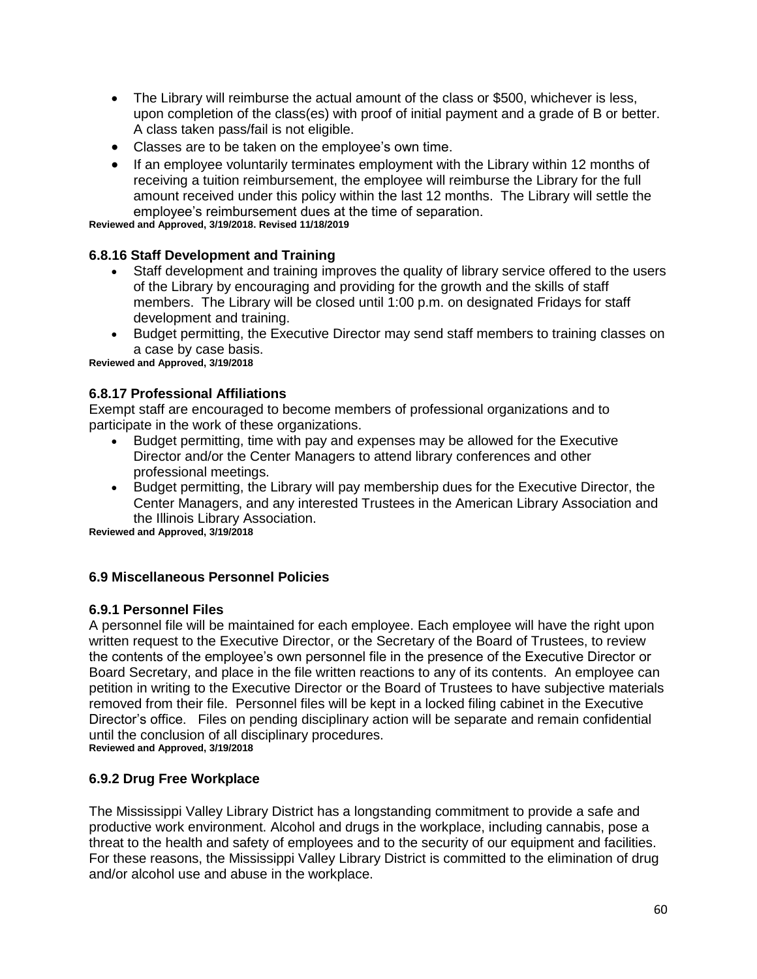- The Library will reimburse the actual amount of the class or \$500, whichever is less, upon completion of the class(es) with proof of initial payment and a grade of B or better. A class taken pass/fail is not eligible.
- Classes are to be taken on the employee's own time.
- If an employee voluntarily terminates employment with the Library within 12 months of receiving a tuition reimbursement, the employee will reimburse the Library for the full amount received under this policy within the last 12 months. The Library will settle the employee's reimbursement dues at the time of separation.

**Reviewed and Approved, 3/19/2018. Revised 11/18/2019**

#### **6.8.16 Staff Development and Training**

- Staff development and training improves the quality of library service offered to the users of the Library by encouraging and providing for the growth and the skills of staff members. The Library will be closed until 1:00 p.m. on designated Fridays for staff development and training.
- Budget permitting, the Executive Director may send staff members to training classes on a case by case basis.

**Reviewed and Approved, 3/19/2018**

#### **6.8.17 Professional Affiliations**

Exempt staff are encouraged to become members of professional organizations and to participate in the work of these organizations.

- Budget permitting, time with pay and expenses may be allowed for the Executive Director and/or the Center Managers to attend library conferences and other professional meetings.
- Budget permitting, the Library will pay membership dues for the Executive Director, the Center Managers, and any interested Trustees in the American Library Association and the Illinois Library Association.

**Reviewed and Approved, 3/19/2018**

#### **6.9 Miscellaneous Personnel Policies**

#### **6.9.1 Personnel Files**

A personnel file will be maintained for each employee. Each employee will have the right upon written request to the Executive Director, or the Secretary of the Board of Trustees, to review the contents of the employee's own personnel file in the presence of the Executive Director or Board Secretary, and place in the file written reactions to any of its contents. An employee can petition in writing to the Executive Director or the Board of Trustees to have subjective materials removed from their file. Personnel files will be kept in a locked filing cabinet in the Executive Director's office. Files on pending disciplinary action will be separate and remain confidential until the conclusion of all disciplinary procedures.

**Reviewed and Approved, 3/19/2018**

#### **6.9.2 Drug Free Workplace**

The Mississippi Valley Library District has a longstanding commitment to provide a safe and productive work environment. Alcohol and drugs in the workplace, including cannabis, pose a threat to the health and safety of employees and to the security of our equipment and facilities. For these reasons, the Mississippi Valley Library District is committed to the elimination of drug and/or alcohol use and abuse in the workplace.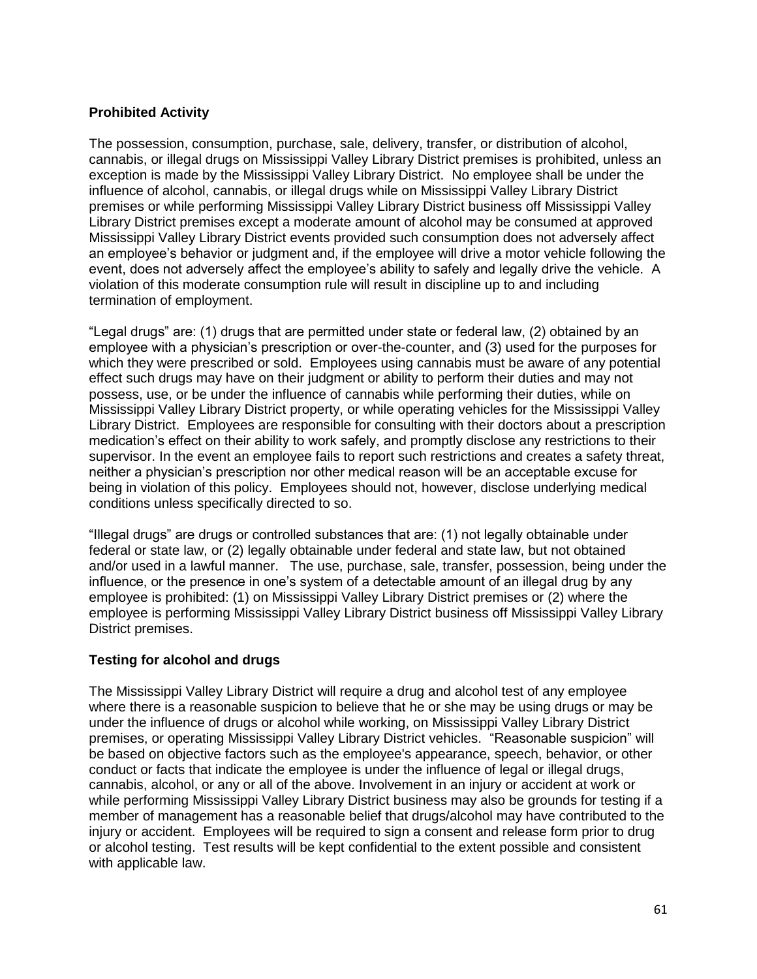## **Prohibited Activity**

The possession, consumption, purchase, sale, delivery, transfer, or distribution of alcohol, cannabis, or illegal drugs on Mississippi Valley Library District premises is prohibited, unless an exception is made by the Mississippi Valley Library District. No employee shall be under the influence of alcohol, cannabis, or illegal drugs while on Mississippi Valley Library District premises or while performing Mississippi Valley Library District business off Mississippi Valley Library District premises except a moderate amount of alcohol may be consumed at approved Mississippi Valley Library District events provided such consumption does not adversely affect an employee's behavior or judgment and, if the employee will drive a motor vehicle following the event, does not adversely affect the employee's ability to safely and legally drive the vehicle. A violation of this moderate consumption rule will result in discipline up to and including termination of employment.

"Legal drugs" are: (1) drugs that are permitted under state or federal law, (2) obtained by an employee with a physician's prescription or over-the-counter, and (3) used for the purposes for which they were prescribed or sold. Employees using cannabis must be aware of any potential effect such drugs may have on their judgment or ability to perform their duties and may not possess, use, or be under the influence of cannabis while performing their duties, while on Mississippi Valley Library District property, or while operating vehicles for the Mississippi Valley Library District. Employees are responsible for consulting with their doctors about a prescription medication's effect on their ability to work safely, and promptly disclose any restrictions to their supervisor. In the event an employee fails to report such restrictions and creates a safety threat, neither a physician's prescription nor other medical reason will be an acceptable excuse for being in violation of this policy. Employees should not, however, disclose underlying medical conditions unless specifically directed to so.

"Illegal drugs" are drugs or controlled substances that are: (1) not legally obtainable under federal or state law, or (2) legally obtainable under federal and state law, but not obtained and/or used in a lawful manner. The use, purchase, sale, transfer, possession, being under the influence, or the presence in one's system of a detectable amount of an illegal drug by any employee is prohibited: (1) on Mississippi Valley Library District premises or (2) where the employee is performing Mississippi Valley Library District business off Mississippi Valley Library District premises.

#### **Testing for alcohol and drugs**

The Mississippi Valley Library District will require a drug and alcohol test of any employee where there is a reasonable suspicion to believe that he or she may be using drugs or may be under the influence of drugs or alcohol while working, on Mississippi Valley Library District premises, or operating Mississippi Valley Library District vehicles. "Reasonable suspicion" will be based on objective factors such as the employee's appearance, speech, behavior, or other conduct or facts that indicate the employee is under the influence of legal or illegal drugs, cannabis, alcohol, or any or all of the above. Involvement in an injury or accident at work or while performing Mississippi Valley Library District business may also be grounds for testing if a member of management has a reasonable belief that drugs/alcohol may have contributed to the injury or accident. Employees will be required to sign a consent and release form prior to drug or alcohol testing. Test results will be kept confidential to the extent possible and consistent with applicable law.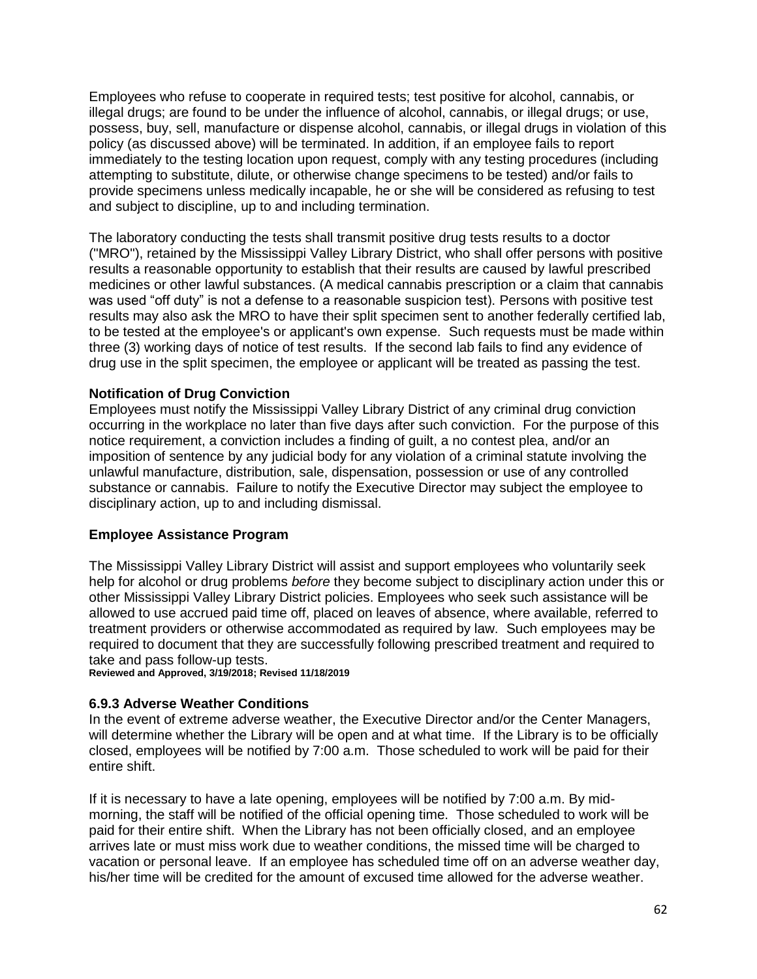Employees who refuse to cooperate in required tests; test positive for alcohol, cannabis, or illegal drugs; are found to be under the influence of alcohol, cannabis, or illegal drugs; or use, possess, buy, sell, manufacture or dispense alcohol, cannabis, or illegal drugs in violation of this policy (as discussed above) will be terminated. In addition, if an employee fails to report immediately to the testing location upon request, comply with any testing procedures (including attempting to substitute, dilute, or otherwise change specimens to be tested) and/or fails to provide specimens unless medically incapable, he or she will be considered as refusing to test and subject to discipline, up to and including termination.

The laboratory conducting the tests shall transmit positive drug tests results to a doctor ("MRO"), retained by the Mississippi Valley Library District, who shall offer persons with positive results a reasonable opportunity to establish that their results are caused by lawful prescribed medicines or other lawful substances. (A medical cannabis prescription or a claim that cannabis was used "off duty" is not a defense to a reasonable suspicion test). Persons with positive test results may also ask the MRO to have their split specimen sent to another federally certified lab, to be tested at the employee's or applicant's own expense. Such requests must be made within three (3) working days of notice of test results. If the second lab fails to find any evidence of drug use in the split specimen, the employee or applicant will be treated as passing the test.

#### **Notification of Drug Conviction**

Employees must notify the Mississippi Valley Library District of any criminal drug conviction occurring in the workplace no later than five days after such conviction. For the purpose of this notice requirement, a conviction includes a finding of guilt, a no contest plea, and/or an imposition of sentence by any judicial body for any violation of a criminal statute involving the unlawful manufacture, distribution, sale, dispensation, possession or use of any controlled substance or cannabis. Failure to notify the Executive Director may subject the employee to disciplinary action, up to and including dismissal.

#### **Employee Assistance Program**

The Mississippi Valley Library District will assist and support employees who voluntarily seek help for alcohol or drug problems *before* they become subject to disciplinary action under this or other Mississippi Valley Library District policies. Employees who seek such assistance will be allowed to use accrued paid time off, placed on leaves of absence, where available, referred to treatment providers or otherwise accommodated as required by law. Such employees may be required to document that they are successfully following prescribed treatment and required to take and pass follow-up tests.

**Reviewed and Approved, 3/19/2018; Revised 11/18/2019**

#### **6.9.3 Adverse Weather Conditions**

In the event of extreme adverse weather, the Executive Director and/or the Center Managers, will determine whether the Library will be open and at what time. If the Library is to be officially closed, employees will be notified by 7:00 a.m. Those scheduled to work will be paid for their entire shift.

If it is necessary to have a late opening, employees will be notified by 7:00 a.m. By midmorning, the staff will be notified of the official opening time. Those scheduled to work will be paid for their entire shift. When the Library has not been officially closed, and an employee arrives late or must miss work due to weather conditions, the missed time will be charged to vacation or personal leave. If an employee has scheduled time off on an adverse weather day, his/her time will be credited for the amount of excused time allowed for the adverse weather.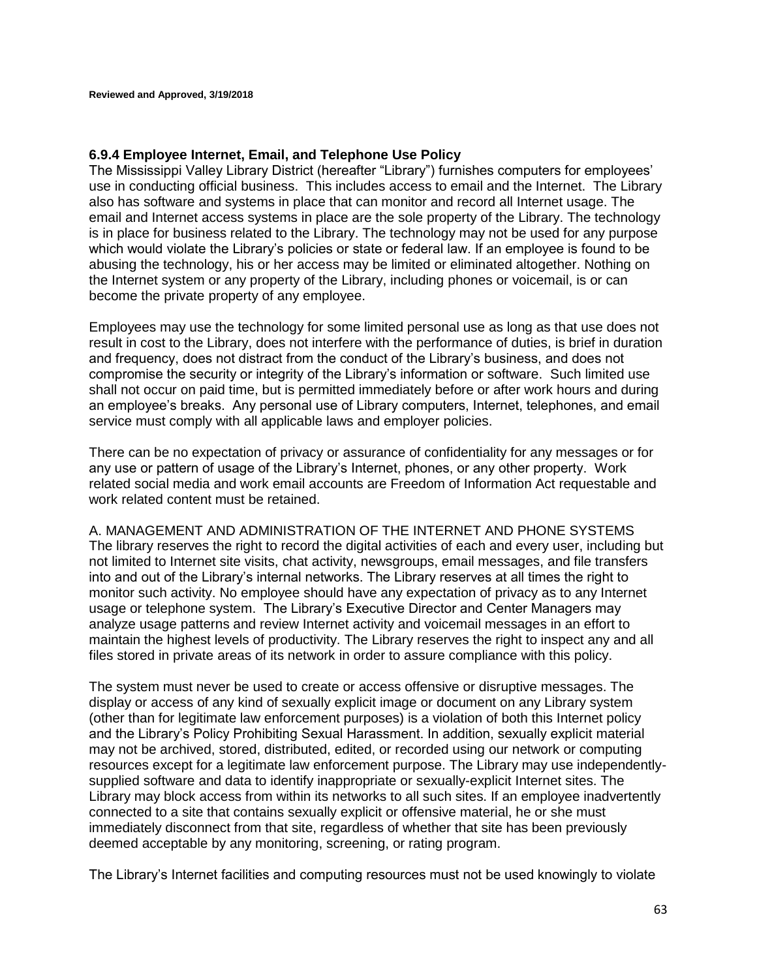#### **6.9.4 Employee Internet, Email, and Telephone Use Policy**

The Mississippi Valley Library District (hereafter "Library") furnishes computers for employees' use in conducting official business. This includes access to email and the Internet. The Library also has software and systems in place that can monitor and record all Internet usage. The email and Internet access systems in place are the sole property of the Library. The technology is in place for business related to the Library. The technology may not be used for any purpose which would violate the Library's policies or state or federal law. If an employee is found to be abusing the technology, his or her access may be limited or eliminated altogether. Nothing on the Internet system or any property of the Library, including phones or voicemail, is or can become the private property of any employee.

Employees may use the technology for some limited personal use as long as that use does not result in cost to the Library, does not interfere with the performance of duties, is brief in duration and frequency, does not distract from the conduct of the Library's business, and does not compromise the security or integrity of the Library's information or software. Such limited use shall not occur on paid time, but is permitted immediately before or after work hours and during an employee's breaks. Any personal use of Library computers, Internet, telephones, and email service must comply with all applicable laws and employer policies.

There can be no expectation of privacy or assurance of confidentiality for any messages or for any use or pattern of usage of the Library's Internet, phones, or any other property. Work related social media and work email accounts are Freedom of Information Act requestable and work related content must be retained.

A. MANAGEMENT AND ADMINISTRATION OF THE INTERNET AND PHONE SYSTEMS The library reserves the right to record the digital activities of each and every user, including but not limited to Internet site visits, chat activity, newsgroups, email messages, and file transfers into and out of the Library's internal networks. The Library reserves at all times the right to monitor such activity. No employee should have any expectation of privacy as to any Internet usage or telephone system. The Library's Executive Director and Center Managers may analyze usage patterns and review Internet activity and voicemail messages in an effort to maintain the highest levels of productivity. The Library reserves the right to inspect any and all files stored in private areas of its network in order to assure compliance with this policy.

The system must never be used to create or access offensive or disruptive messages. The display or access of any kind of sexually explicit image or document on any Library system (other than for legitimate law enforcement purposes) is a violation of both this Internet policy and the Library's Policy Prohibiting Sexual Harassment. In addition, sexually explicit material may not be archived, stored, distributed, edited, or recorded using our network or computing resources except for a legitimate law enforcement purpose. The Library may use independentlysupplied software and data to identify inappropriate or sexually-explicit Internet sites. The Library may block access from within its networks to all such sites. If an employee inadvertently connected to a site that contains sexually explicit or offensive material, he or she must immediately disconnect from that site, regardless of whether that site has been previously deemed acceptable by any monitoring, screening, or rating program.

The Library's Internet facilities and computing resources must not be used knowingly to violate